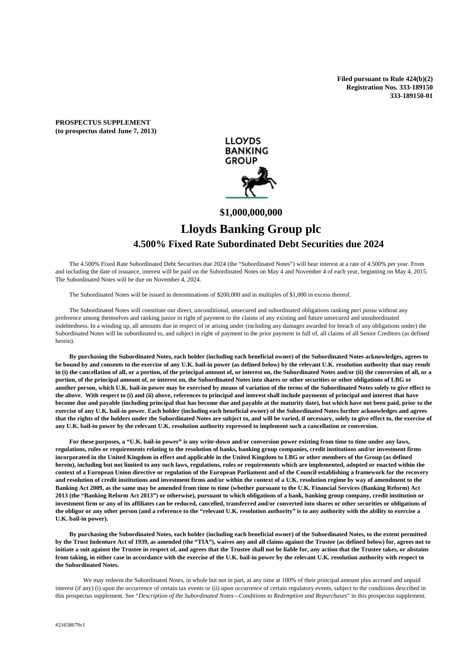**Filed pursuant to Rule 424(b)(2) Registration Nos. 333-189150 333-189150-01** 

**PROSPECTUS SUPPLEMENT (to prospectus dated June 7, 2013)** 



# **\$1,000,000,000**

# **Lloyds Banking Group plc 4.500% Fixed Rate Subordinated Debt Securities due 2024**

 The 4.500% Fixed Rate Subordinated Debt Securities due 2024 (the "Subordinated Notes") will bear interest at a rate of 4.500% per year. From and including the date of issuance, interest will be paid on the Subordinated Notes on May 4 and November 4 of each year, beginning on May 4, 2015. The Subordinated Notes will be due on November 4, 2024.

The Subordinated Notes will be issued in denominations of \$200,000 and in multiples of \$1,000 in excess thereof.

 The Subordinated Notes will constitute our direct, unconditional, unsecured and subordinated obligations ranking *pari passu* without any preference among themselves and ranking junior in right of payment to the claims of any existing and future unsecured and unsubordinated indebtedness. In a winding up, all amounts due in respect of or arising under (including any damages awarded for breach of any obligations under) the Subordinated Notes will be subordinated to, and subject in right of payment to the prior payment in full of, all claims of all Senior Creditors (as defined herein).

**By purchasing the Subordinated Notes, each holder (including each beneficial owner) of the Subordinated Notes acknowledges, agrees to be bound by and consents to the exercise of any U.K. bail-in power (as defined below) by the relevant U.K. resolution authority that may result**  in (i) the cancellation of all, or a portion, of the principal amount of, or interest on, the Subordinated Notes and/or (ii) the conversion of all, or a **portion, of the principal amount of, or interest on, the Subordinated Notes into shares or other securities or other obligations of LBG or another person, which U.K. bail-in power may be exercised by means of variation of the terms of the Subordinated Notes solely to give effect to the above. With respect to (i) and (ii) above, references to principal and interest shall include payments of principal and interest that have become due and payable (including principal that has become due and payable at the maturity date), but which have not been paid, prior to the exercise of any U.K. bail-in power. Each holder (including each beneficial owner) of the Subordinated Notes further acknowledges and agrees that the rights of the holders under the Subordinated Notes are subject to, and will be varied, if necessary, solely to give effect to, the exercise of any U.K. bail-in power by the relevant U.K. resolution authority expressed to implement such a cancellation or conversion.** 

**For these purposes, a "U.K. bail-in power" is any write-down and/or conversion power existing from time to time under any laws, regulations, rules or requirements relating to the resolution of banks, banking group companies, credit institutions and/or investment firms incorporated in the United Kingdom in effect and applicable in the United Kingdom to LBG or other members of the Group (as defined herein), including but not limited to any such laws, regulations, rules or requirements which are implemented, adopted or enacted within the context of a European Union directive or regulation of the European Parliament and of the Council establishing a framework for the recovery and resolution of credit institutions and investment firms and/or within the context of a U.K. resolution regime by way of amendment to the Banking Act 2009, as the same may be amended from time to time (whether pursuant to the U.K. Financial Services (Banking Reform) Act 2013 (the "Banking Reform Act 2013") or otherwise), pursuant to which obligations of a bank, banking group company, credit institution or investment firm or any of its affiliates can be reduced, cancelled, transferred and/or converted into shares or other securities or obligations of the obligor or any other person (and a reference to the "relevant U.K. resolution authority" is to any authority with the ability to exercise a U.K. bail-in power).** 

**By purchasing the Subordinated Notes, each holder (including each beneficial owner) of the Subordinated Notes, to the extent permitted by the Trust Indenture Act of 1939, as amended (the "TIA"), waives any and all claims against the Trustee (as defined below) for, agrees not to initiate a suit against the Trustee in respect of, and agrees that the Trustee shall not be liable for, any action that the Trustee takes, or abstains from taking, in either case in accordance with the exercise of the U.K. bail-in power by the relevant U.K. resolution authority with respect to the Subordinated Notes.** 

 We may redeem the Subordinated Notes, in whole but not in part, at any time at 100% of their principal amount plus accrued and unpaid interest (if any) (i) upon the occurrence of certain tax events or (ii) upon occurrence of certain regulatory events, subject to the conditions described in this prospectus supplement. See "*Description of the Subordinated Notes—Conditions to Redemption and Repurchases*" in this prospectus supplement.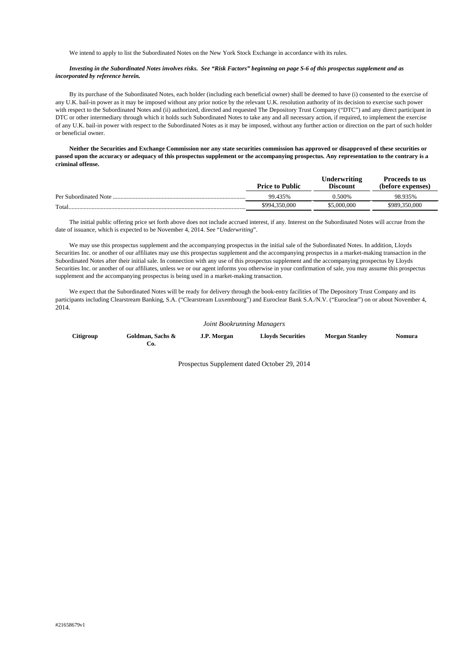We intend to apply to list the Subordinated Notes on the New York Stock Exchange in accordance with its rules.

#### *Investing in the Subordinated Notes involves risks. See "Risk Factors" beginning on page S-6 of this prospectus supplement and as incorporated by reference herein.*

By its purchase of the Subordinated Notes, each holder (including each beneficial owner) shall be deemed to have (i) consented to the exercise of any U.K. bail-in power as it may be imposed without any prior notice by the relevant U.K. resolution authority of its decision to exercise such power with respect to the Subordinated Notes and (ii) authorized, directed and requested The Depository Trust Company ("DTC") and any direct participant in DTC or other intermediary through which it holds such Subordinated Notes to take any and all necessary action, if required, to implement the exercise of any U.K. bail-in power with respect to the Subordinated Notes as it may be imposed, without any further action or direction on the part of such holder or beneficial owner.

 **Neither the Securities and Exchange Commission nor any state securities commission has approved or disapproved of these securities or passed upon the accuracy or adequacy of this prospectus supplement or the accompanying prospectus. Any representation to the contrary is a criminal offense.** 

|                       | <b>Price to Public</b> | Underwriting<br><b>Discount</b> | <b>Proceeds to us</b><br>(before expenses) |
|-----------------------|------------------------|---------------------------------|--------------------------------------------|
| Per Subordinated Note | 99.435%                | <b>2.500%</b>                   | 98.935%                                    |
| Total.                | \$994.350.000          | \$5,000,000                     | \$989,350,000                              |

The initial public offering price set forth above does not include accrued interest, if any. Interest on the Subordinated Notes will accrue from the date of issuance, which is expected to be November 4, 2014. See "*Underwriting*".

 We may use this prospectus supplement and the accompanying prospectus in the initial sale of the Subordinated Notes. In addition, Lloyds Securities Inc. or another of our affiliates may use this prospectus supplement and the accompanying prospectus in a market-making transaction in the Subordinated Notes after their initial sale. In connection with any use of this prospectus supplement and the accompanying prospectus by Lloyds Securities Inc. or another of our affiliates, unless we or our agent informs you otherwise in your confirmation of sale, you may assume this prospectus supplement and the accompanying prospectus is being used in a market-making transaction.

 We expect that the Subordinated Notes will be ready for delivery through the book-entry facilities of The Depository Trust Company and its participants including Clearstream Banking, S.A. ("Clearstream Luxembourg") and Euroclear Bank S.A./N.V. ("Euroclear") on or about November 4, 2014.

#### *Joint Bookrunning Managers*

| Citigroup | Goldman, Sachs & | J.P. Morgan | <b>Lloyds Securities</b> | <b>Morgan Stanley</b> | <b>Nomura</b> |
|-----------|------------------|-------------|--------------------------|-----------------------|---------------|
|           |                  |             |                          |                       |               |

Prospectus Supplement dated October 29, 2014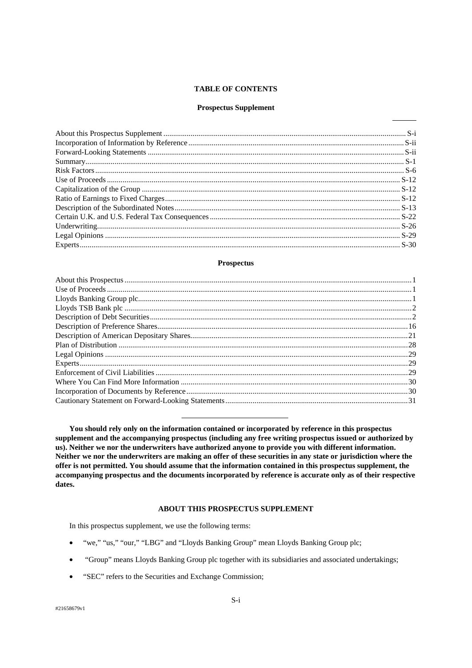# **TABLE OF CONTENTS**

# **Prospectus Supplement**

# **Prospectus**

You should rely only on the information contained or incorporated by reference in this prospectus supplement and the accompanying prospectus (including any free writing prospectus issued or authorized by us). Neither we nor the underwriters have authorized anyone to provide you with different information. Neither we nor the underwriters are making an offer of these securities in any state or jurisdiction where the offer is not permitted. You should assume that the information contained in this prospectus supplement, the accompanying prospectus and the documents incorporated by reference is accurate only as of their respective dates.

# **ABOUT THIS PROSPECTUS SUPPLEMENT**

In this prospectus supplement, we use the following terms:

- "we," "us," "our," "LBG" and "Lloyds Banking Group" mean Lloyds Banking Group plc;
- "Group" means Lloyds Banking Group plc together with its subsidiaries and associated undertakings;  $\bullet$
- $\bullet$ "SEC" refers to the Securities and Exchange Commission;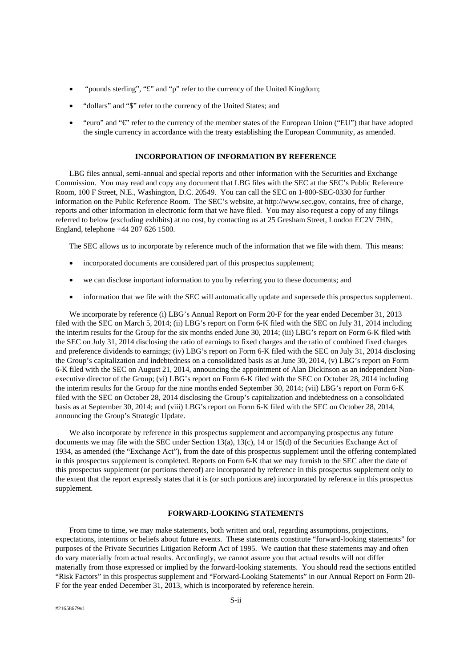- "pounds sterling", "£" and "p" refer to the currency of the United Kingdom;
- "dollars" and "\$" refer to the currency of the United States; and
- "euro" and "€" refer to the currency of the member states of the European Union ("EU") that have adopted the single currency in accordance with the treaty establishing the European Community, as amended.

# **INCORPORATION OF INFORMATION BY REFERENCE**

LBG files annual, semi-annual and special reports and other information with the Securities and Exchange Commission. You may read and copy any document that LBG files with the SEC at the SEC's Public Reference Room, 100 F Street, N.E., Washington, D.C. 20549. You can call the SEC on 1-800-SEC-0330 for further information on the Public Reference Room. The SEC's website, at http://www.sec.gov, contains, free of charge, reports and other information in electronic form that we have filed. You may also request a copy of any filings referred to below (excluding exhibits) at no cost, by contacting us at 25 Gresham Street, London EC2V 7HN, England, telephone +44 207 626 1500.

The SEC allows us to incorporate by reference much of the information that we file with them. This means:

- incorporated documents are considered part of this prospectus supplement;
- we can disclose important information to you by referring you to these documents; and
- information that we file with the SEC will automatically update and supersede this prospectus supplement.

We incorporate by reference (i) LBG's Annual Report on Form 20-F for the year ended December 31, 2013 filed with the SEC on March 5, 2014; (ii) LBG's report on Form 6-K filed with the SEC on July 31, 2014 including the interim results for the Group for the six months ended June 30, 2014; (iii) LBG's report on Form 6-K filed with the SEC on July 31, 2014 disclosing the ratio of earnings to fixed charges and the ratio of combined fixed charges and preference dividends to earnings; (iv) LBG's report on Form 6-K filed with the SEC on July 31, 2014 disclosing the Group's capitalization and indebtedness on a consolidated basis as at June 30, 2014, (v) LBG's report on Form 6-K filed with the SEC on August 21, 2014, announcing the appointment of Alan Dickinson as an independent Nonexecutive director of the Group; (vi) LBG's report on Form 6-K filed with the SEC on October 28, 2014 including the interim results for the Group for the nine months ended September 30, 2014; (vii) LBG's report on Form 6-K filed with the SEC on October 28, 2014 disclosing the Group's capitalization and indebtedness on a consolidated basis as at September 30, 2014; and (viii) LBG's report on Form 6-K filed with the SEC on October 28, 2014, announcing the Group's Strategic Update.

We also incorporate by reference in this prospectus supplement and accompanying prospectus any future documents we may file with the SEC under Section 13(a), 13(c), 14 or 15(d) of the Securities Exchange Act of 1934, as amended (the "Exchange Act"), from the date of this prospectus supplement until the offering contemplated in this prospectus supplement is completed. Reports on Form 6-K that we may furnish to the SEC after the date of this prospectus supplement (or portions thereof) are incorporated by reference in this prospectus supplement only to the extent that the report expressly states that it is (or such portions are) incorporated by reference in this prospectus supplement.

# **FORWARD-LOOKING STATEMENTS**

From time to time, we may make statements, both written and oral, regarding assumptions, projections, expectations, intentions or beliefs about future events. These statements constitute "forward-looking statements" for purposes of the Private Securities Litigation Reform Act of 1995. We caution that these statements may and often do vary materially from actual results. Accordingly, we cannot assure you that actual results will not differ materially from those expressed or implied by the forward-looking statements. You should read the sections entitled "Risk Factors" in this prospectus supplement and "Forward-Looking Statements" in our Annual Report on Form 20- F for the year ended December 31, 2013, which is incorporated by reference herein.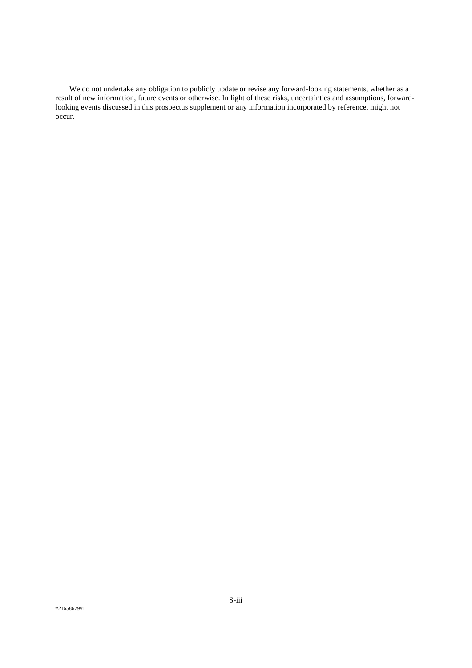We do not undertake any obligation to publicly update or revise any forward-looking statements, whether as a result of new information, future events or otherwise. In light of these risks, uncertainties and assumptions, forwardlooking events discussed in this prospectus supplement or any information incorporated by reference, might not occur.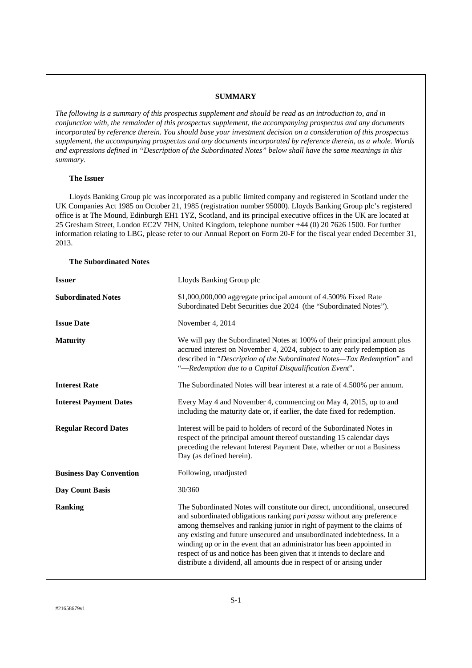# **SUMMARY**

*The following is a summary of this prospectus supplement and should be read as an introduction to, and in conjunction with, the remainder of this prospectus supplement, the accompanying prospectus and any documents incorporated by reference therein. You should base your investment decision on a consideration of this prospectus supplement, the accompanying prospectus and any documents incorporated by reference therein, as a whole. Words and expressions defined in "Description of the Subordinated Notes" below shall have the same meanings in this summary.* 

# **The Issuer**

Lloyds Banking Group plc was incorporated as a public limited company and registered in Scotland under the UK Companies Act 1985 on October 21, 1985 (registration number 95000). Lloyds Banking Group plc's registered office is at The Mound, Edinburgh EH1 1YZ, Scotland, and its principal executive offices in the UK are located at 25 Gresham Street, London EC2V 7HN, United Kingdom, telephone number +44 (0) 20 7626 1500. For further information relating to LBG, please refer to our Annual Report on Form 20-F for the fiscal year ended December 31, 2013.

# **The Subordinated Notes**

| <b>Issuer</b>                  | Lloyds Banking Group plc                                                                                                                                                                                                                                                                                                                                                                                                                                                                                                                  |  |  |
|--------------------------------|-------------------------------------------------------------------------------------------------------------------------------------------------------------------------------------------------------------------------------------------------------------------------------------------------------------------------------------------------------------------------------------------------------------------------------------------------------------------------------------------------------------------------------------------|--|--|
| <b>Subordinated Notes</b>      | \$1,000,000,000 aggregate principal amount of 4.500% Fixed Rate<br>Subordinated Debt Securities due 2024 (the "Subordinated Notes").                                                                                                                                                                                                                                                                                                                                                                                                      |  |  |
| <b>Issue Date</b>              | November 4, 2014                                                                                                                                                                                                                                                                                                                                                                                                                                                                                                                          |  |  |
| <b>Maturity</b>                | We will pay the Subordinated Notes at 100% of their principal amount plus<br>accrued interest on November 4, 2024, subject to any early redemption as<br>described in "Description of the Subordinated Notes-Tax Redemption" and<br>"-Redemption due to a Capital Disqualification Event".                                                                                                                                                                                                                                                |  |  |
| <b>Interest Rate</b>           | The Subordinated Notes will bear interest at a rate of 4.500% per annum.                                                                                                                                                                                                                                                                                                                                                                                                                                                                  |  |  |
| <b>Interest Payment Dates</b>  | Every May 4 and November 4, commencing on May 4, 2015, up to and<br>including the maturity date or, if earlier, the date fixed for redemption.                                                                                                                                                                                                                                                                                                                                                                                            |  |  |
| <b>Regular Record Dates</b>    | Interest will be paid to holders of record of the Subordinated Notes in<br>respect of the principal amount thereof outstanding 15 calendar days<br>preceding the relevant Interest Payment Date, whether or not a Business<br>Day (as defined herein).                                                                                                                                                                                                                                                                                    |  |  |
| <b>Business Day Convention</b> | Following, unadjusted                                                                                                                                                                                                                                                                                                                                                                                                                                                                                                                     |  |  |
| <b>Day Count Basis</b>         | 30/360                                                                                                                                                                                                                                                                                                                                                                                                                                                                                                                                    |  |  |
| <b>Ranking</b>                 | The Subordinated Notes will constitute our direct, unconditional, unsecured<br>and subordinated obligations ranking pari passu without any preference<br>among themselves and ranking junior in right of payment to the claims of<br>any existing and future unsecured and unsubordinated indebtedness. In a<br>winding up or in the event that an administrator has been appointed in<br>respect of us and notice has been given that it intends to declare and<br>distribute a dividend, all amounts due in respect of or arising under |  |  |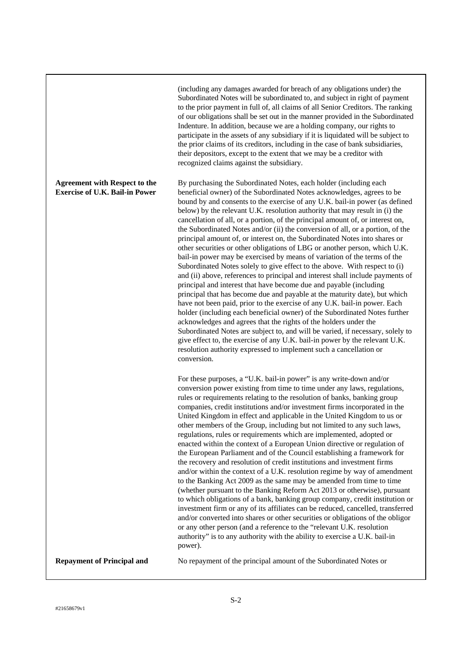|                                                                               | (including any damages awarded for breach of any obligations under) the<br>Subordinated Notes will be subordinated to, and subject in right of payment<br>to the prior payment in full of, all claims of all Senior Creditors. The ranking<br>of our obligations shall be set out in the manner provided in the Subordinated<br>Indenture. In addition, because we are a holding company, our rights to<br>participate in the assets of any subsidiary if it is liquidated will be subject to<br>the prior claims of its creditors, including in the case of bank subsidiaries,<br>their depositors, except to the extent that we may be a creditor with<br>recognized claims against the subsidiary.                                                                                                                                                                                                                                                                                                                                                                                                                                                                                                                                                                                                                                                                                                                                                                                                                          |
|-------------------------------------------------------------------------------|--------------------------------------------------------------------------------------------------------------------------------------------------------------------------------------------------------------------------------------------------------------------------------------------------------------------------------------------------------------------------------------------------------------------------------------------------------------------------------------------------------------------------------------------------------------------------------------------------------------------------------------------------------------------------------------------------------------------------------------------------------------------------------------------------------------------------------------------------------------------------------------------------------------------------------------------------------------------------------------------------------------------------------------------------------------------------------------------------------------------------------------------------------------------------------------------------------------------------------------------------------------------------------------------------------------------------------------------------------------------------------------------------------------------------------------------------------------------------------------------------------------------------------|
| <b>Agreement with Respect to the</b><br><b>Exercise of U.K. Bail-in Power</b> | By purchasing the Subordinated Notes, each holder (including each<br>beneficial owner) of the Subordinated Notes acknowledges, agrees to be<br>bound by and consents to the exercise of any U.K. bail-in power (as defined<br>below) by the relevant U.K. resolution authority that may result in (i) the<br>cancellation of all, or a portion, of the principal amount of, or interest on,<br>the Subordinated Notes and/or (ii) the conversion of all, or a portion, of the<br>principal amount of, or interest on, the Subordinated Notes into shares or<br>other securities or other obligations of LBG or another person, which U.K.<br>bail-in power may be exercised by means of variation of the terms of the<br>Subordinated Notes solely to give effect to the above. With respect to (i)<br>and (ii) above, references to principal and interest shall include payments of<br>principal and interest that have become due and payable (including<br>principal that has become due and payable at the maturity date), but which<br>have not been paid, prior to the exercise of any U.K. bail-in power. Each<br>holder (including each beneficial owner) of the Subordinated Notes further<br>acknowledges and agrees that the rights of the holders under the<br>Subordinated Notes are subject to, and will be varied, if necessary, solely to<br>give effect to, the exercise of any U.K. bail-in power by the relevant U.K.<br>resolution authority expressed to implement such a cancellation or<br>conversion. |
|                                                                               | For these purposes, a "U.K. bail-in power" is any write-down and/or<br>conversion power existing from time to time under any laws, regulations,<br>rules or requirements relating to the resolution of banks, banking group<br>companies, credit institutions and/or investment firms incorporated in the<br>United Kingdom in effect and applicable in the United Kingdom to us or<br>other members of the Group, including but not limited to any such laws,<br>regulations, rules or requirements which are implemented, adopted or<br>enacted within the context of a European Union directive or regulation of<br>the European Parliament and of the Council establishing a framework for<br>the recovery and resolution of credit institutions and investment firms<br>and/or within the context of a U.K. resolution regime by way of amendment<br>to the Banking Act 2009 as the same may be amended from time to time<br>(whether pursuant to the Banking Reform Act 2013 or otherwise), pursuant<br>to which obligations of a bank, banking group company, credit institution or<br>investment firm or any of its affiliates can be reduced, cancelled, transferred<br>and/or converted into shares or other securities or obligations of the obligor<br>or any other person (and a reference to the "relevant U.K. resolution<br>authority" is to any authority with the ability to exercise a U.K. bail-in<br>power).                                                                                              |
| <b>Repayment of Principal and</b>                                             | No repayment of the principal amount of the Subordinated Notes or                                                                                                                                                                                                                                                                                                                                                                                                                                                                                                                                                                                                                                                                                                                                                                                                                                                                                                                                                                                                                                                                                                                                                                                                                                                                                                                                                                                                                                                              |

 $\overline{\phantom{a}}$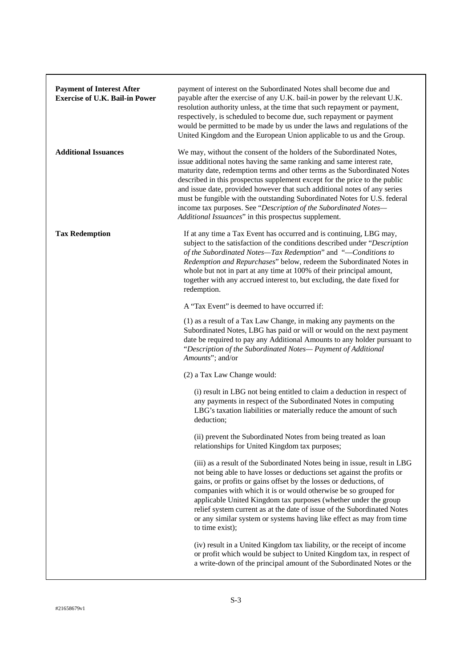| <b>Payment of Interest After</b><br><b>Exercise of U.K. Bail-in Power</b> | payment of interest on the Subordinated Notes shall become due and<br>payable after the exercise of any U.K. bail-in power by the relevant U.K.<br>resolution authority unless, at the time that such repayment or payment,<br>respectively, is scheduled to become due, such repayment or payment<br>would be permitted to be made by us under the laws and regulations of the<br>United Kingdom and the European Union applicable to us and the Group.                                                                                                                                         |
|---------------------------------------------------------------------------|--------------------------------------------------------------------------------------------------------------------------------------------------------------------------------------------------------------------------------------------------------------------------------------------------------------------------------------------------------------------------------------------------------------------------------------------------------------------------------------------------------------------------------------------------------------------------------------------------|
| <b>Additional Issuances</b>                                               | We may, without the consent of the holders of the Subordinated Notes,<br>issue additional notes having the same ranking and same interest rate,<br>maturity date, redemption terms and other terms as the Subordinated Notes<br>described in this prospectus supplement except for the price to the public<br>and issue date, provided however that such additional notes of any series<br>must be fungible with the outstanding Subordinated Notes for U.S. federal<br>income tax purposes. See "Description of the Subordinated Notes-<br>Additional Issuances" in this prospectus supplement. |
| <b>Tax Redemption</b>                                                     | If at any time a Tax Event has occurred and is continuing, LBG may,<br>subject to the satisfaction of the conditions described under "Description<br>of the Subordinated Notes-Tax Redemption" and "-Conditions to<br>Redemption and Repurchases" below, redeem the Subordinated Notes in<br>whole but not in part at any time at 100% of their principal amount,<br>together with any accrued interest to, but excluding, the date fixed for<br>redemption.                                                                                                                                     |
|                                                                           | A "Tax Event" is deemed to have occurred if:                                                                                                                                                                                                                                                                                                                                                                                                                                                                                                                                                     |
|                                                                           | (1) as a result of a Tax Law Change, in making any payments on the<br>Subordinated Notes, LBG has paid or will or would on the next payment<br>date be required to pay any Additional Amounts to any holder pursuant to<br>"Description of the Subordinated Notes- Payment of Additional<br>Amounts"; and/or                                                                                                                                                                                                                                                                                     |
|                                                                           | (2) a Tax Law Change would:                                                                                                                                                                                                                                                                                                                                                                                                                                                                                                                                                                      |
|                                                                           | (i) result in LBG not being entitled to claim a deduction in respect of<br>any payments in respect of the Subordinated Notes in computing<br>LBG's taxation liabilities or materially reduce the amount of such<br>deduction;                                                                                                                                                                                                                                                                                                                                                                    |
|                                                                           | (ii) prevent the Subordinated Notes from being treated as loan<br>relationships for United Kingdom tax purposes;                                                                                                                                                                                                                                                                                                                                                                                                                                                                                 |
|                                                                           | (iii) as a result of the Subordinated Notes being in issue, result in LBG<br>not being able to have losses or deductions set against the profits or<br>gains, or profits or gains offset by the losses or deductions, of<br>companies with which it is or would otherwise be so grouped for<br>applicable United Kingdom tax purposes (whether under the group<br>relief system current as at the date of issue of the Subordinated Notes<br>or any similar system or systems having like effect as may from time<br>to time exist);                                                             |
|                                                                           | (iv) result in a United Kingdom tax liability, or the receipt of income<br>or profit which would be subject to United Kingdom tax, in respect of<br>a write-down of the principal amount of the Subordinated Notes or the                                                                                                                                                                                                                                                                                                                                                                        |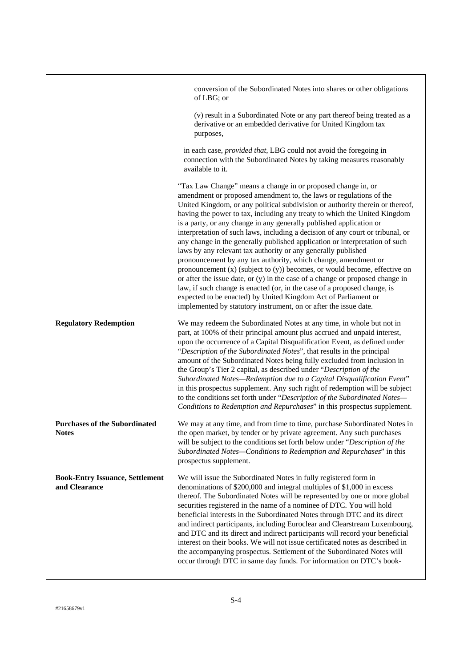|                                                         | conversion of the Subordinated Notes into shares or other obligations<br>of LBG; or                                                                                                                                                                                                                                                                                                                                                                                                                                                                                                                                                                                                                                                                                                                                                                                                                                                                                                                                                                                |
|---------------------------------------------------------|--------------------------------------------------------------------------------------------------------------------------------------------------------------------------------------------------------------------------------------------------------------------------------------------------------------------------------------------------------------------------------------------------------------------------------------------------------------------------------------------------------------------------------------------------------------------------------------------------------------------------------------------------------------------------------------------------------------------------------------------------------------------------------------------------------------------------------------------------------------------------------------------------------------------------------------------------------------------------------------------------------------------------------------------------------------------|
|                                                         | (v) result in a Subordinated Note or any part thereof being treated as a<br>derivative or an embedded derivative for United Kingdom tax<br>purposes,                                                                                                                                                                                                                                                                                                                                                                                                                                                                                                                                                                                                                                                                                                                                                                                                                                                                                                               |
|                                                         | in each case, provided that, LBG could not avoid the foregoing in<br>connection with the Subordinated Notes by taking measures reasonably<br>available to it.                                                                                                                                                                                                                                                                                                                                                                                                                                                                                                                                                                                                                                                                                                                                                                                                                                                                                                      |
|                                                         | "Tax Law Change" means a change in or proposed change in, or<br>amendment or proposed amendment to, the laws or regulations of the<br>United Kingdom, or any political subdivision or authority therein or thereof,<br>having the power to tax, including any treaty to which the United Kingdom<br>is a party, or any change in any generally published application or<br>interpretation of such laws, including a decision of any court or tribunal, or<br>any change in the generally published application or interpretation of such<br>laws by any relevant tax authority or any generally published<br>pronouncement by any tax authority, which change, amendment or<br>pronouncement $(x)$ (subject to $(y)$ ) becomes, or would become, effective on<br>or after the issue date, or $(y)$ in the case of a change or proposed change in<br>law, if such change is enacted (or, in the case of a proposed change, is<br>expected to be enacted) by United Kingdom Act of Parliament or<br>implemented by statutory instrument, on or after the issue date. |
| <b>Regulatory Redemption</b>                            | We may redeem the Subordinated Notes at any time, in whole but not in<br>part, at 100% of their principal amount plus accrued and unpaid interest,<br>upon the occurrence of a Capital Disqualification Event, as defined under<br>"Description of the Subordinated Notes", that results in the principal<br>amount of the Subordinated Notes being fully excluded from inclusion in<br>the Group's Tier 2 capital, as described under "Description of the<br>Subordinated Notes-Redemption due to a Capital Disqualification Event"<br>in this prospectus supplement. Any such right of redemption will be subject<br>to the conditions set forth under "Description of the Subordinated Notes-<br>Conditions to Redemption and Repurchases" in this prospectus supplement.                                                                                                                                                                                                                                                                                       |
| <b>Purchases of the Subordinated</b><br><b>Notes</b>    | We may at any time, and from time to time, purchase Subordinated Notes in<br>the open market, by tender or by private agreement. Any such purchases<br>will be subject to the conditions set forth below under "Description of the<br>Subordinated Notes-Conditions to Redemption and Repurchases" in this<br>prospectus supplement.                                                                                                                                                                                                                                                                                                                                                                                                                                                                                                                                                                                                                                                                                                                               |
| <b>Book-Entry Issuance, Settlement</b><br>and Clearance | We will issue the Subordinated Notes in fully registered form in<br>denominations of \$200,000 and integral multiples of \$1,000 in excess<br>thereof. The Subordinated Notes will be represented by one or more global<br>securities registered in the name of a nominee of DTC. You will hold<br>beneficial interests in the Subordinated Notes through DTC and its direct<br>and indirect participants, including Euroclear and Clearstream Luxembourg,<br>and DTC and its direct and indirect participants will record your beneficial<br>interest on their books. We will not issue certificated notes as described in<br>the accompanying prospectus. Settlement of the Subordinated Notes will<br>occur through DTC in same day funds. For information on DTC's book-                                                                                                                                                                                                                                                                                       |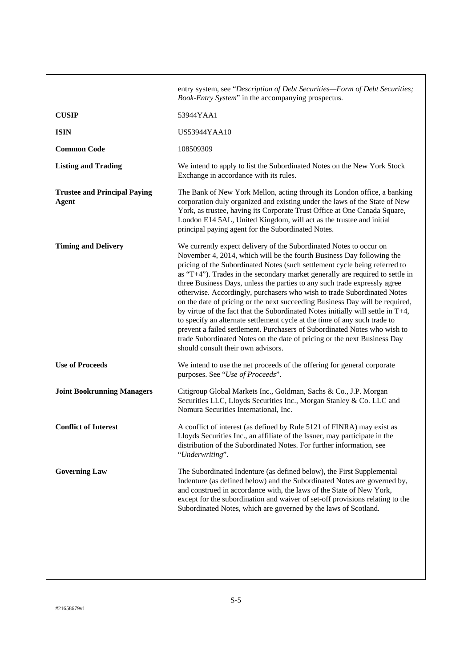|                                                     | entry system, see "Description of Debt Securities-Form of Debt Securities;<br>Book-Entry System" in the accompanying prospectus.                                                                                                                                                                                                                                                                                                                                                                                                                                                                                                                                                                                                                                                                                                                                                                                  |
|-----------------------------------------------------|-------------------------------------------------------------------------------------------------------------------------------------------------------------------------------------------------------------------------------------------------------------------------------------------------------------------------------------------------------------------------------------------------------------------------------------------------------------------------------------------------------------------------------------------------------------------------------------------------------------------------------------------------------------------------------------------------------------------------------------------------------------------------------------------------------------------------------------------------------------------------------------------------------------------|
| <b>CUSIP</b>                                        | 53944YAA1                                                                                                                                                                                                                                                                                                                                                                                                                                                                                                                                                                                                                                                                                                                                                                                                                                                                                                         |
| <b>ISIN</b>                                         | US53944YAA10                                                                                                                                                                                                                                                                                                                                                                                                                                                                                                                                                                                                                                                                                                                                                                                                                                                                                                      |
| <b>Common Code</b>                                  | 108509309                                                                                                                                                                                                                                                                                                                                                                                                                                                                                                                                                                                                                                                                                                                                                                                                                                                                                                         |
| <b>Listing and Trading</b>                          | We intend to apply to list the Subordinated Notes on the New York Stock<br>Exchange in accordance with its rules.                                                                                                                                                                                                                                                                                                                                                                                                                                                                                                                                                                                                                                                                                                                                                                                                 |
| <b>Trustee and Principal Paying</b><br><b>Agent</b> | The Bank of New York Mellon, acting through its London office, a banking<br>corporation duly organized and existing under the laws of the State of New<br>York, as trustee, having its Corporate Trust Office at One Canada Square,<br>London E14 5AL, United Kingdom, will act as the trustee and initial<br>principal paying agent for the Subordinated Notes.                                                                                                                                                                                                                                                                                                                                                                                                                                                                                                                                                  |
| <b>Timing and Delivery</b>                          | We currently expect delivery of the Subordinated Notes to occur on<br>November 4, 2014, which will be the fourth Business Day following the<br>pricing of the Subordinated Notes (such settlement cycle being referred to<br>as "T+4"). Trades in the secondary market generally are required to settle in<br>three Business Days, unless the parties to any such trade expressly agree<br>otherwise. Accordingly, purchasers who wish to trade Subordinated Notes<br>on the date of pricing or the next succeeding Business Day will be required,<br>by virtue of the fact that the Subordinated Notes initially will settle in T+4,<br>to specify an alternate settlement cycle at the time of any such trade to<br>prevent a failed settlement. Purchasers of Subordinated Notes who wish to<br>trade Subordinated Notes on the date of pricing or the next Business Day<br>should consult their own advisors. |
| <b>Use of Proceeds</b>                              | We intend to use the net proceeds of the offering for general corporate<br>purposes. See "Use of Proceeds".                                                                                                                                                                                                                                                                                                                                                                                                                                                                                                                                                                                                                                                                                                                                                                                                       |
| <b>Joint Bookrunning Managers</b>                   | Citigroup Global Markets Inc., Goldman, Sachs & Co., J.P. Morgan<br>Securities LLC, Lloyds Securities Inc., Morgan Stanley & Co. LLC and<br>Nomura Securities International, Inc.                                                                                                                                                                                                                                                                                                                                                                                                                                                                                                                                                                                                                                                                                                                                 |
| <b>Conflict of Interest</b>                         | A conflict of interest (as defined by Rule 5121 of FINRA) may exist as<br>Lloyds Securities Inc., an affiliate of the Issuer, may participate in the<br>distribution of the Subordinated Notes. For further information, see<br>"Underwriting".                                                                                                                                                                                                                                                                                                                                                                                                                                                                                                                                                                                                                                                                   |
| <b>Governing Law</b>                                | The Subordinated Indenture (as defined below), the First Supplemental<br>Indenture (as defined below) and the Subordinated Notes are governed by,<br>and construed in accordance with, the laws of the State of New York,<br>except for the subordination and waiver of set-off provisions relating to the<br>Subordinated Notes, which are governed by the laws of Scotland.                                                                                                                                                                                                                                                                                                                                                                                                                                                                                                                                     |
|                                                     |                                                                                                                                                                                                                                                                                                                                                                                                                                                                                                                                                                                                                                                                                                                                                                                                                                                                                                                   |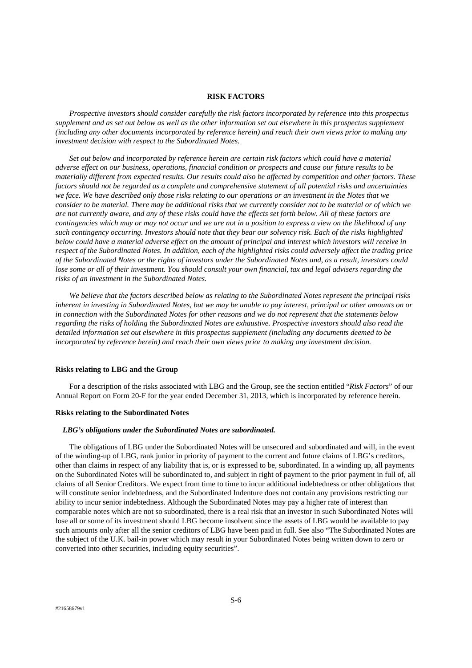#### **RISK FACTORS**

*Prospective investors should consider carefully the risk factors incorporated by reference into this prospectus supplement and as set out below as well as the other information set out elsewhere in this prospectus supplement (including any other documents incorporated by reference herein) and reach their own views prior to making any investment decision with respect to the Subordinated Notes.* 

*Set out below and incorporated by reference herein are certain risk factors which could have a material adverse effect on our business, operations, financial condition or prospects and cause our future results to be materially different from expected results. Our results could also be affected by competition and other factors. These factors should not be regarded as a complete and comprehensive statement of all potential risks and uncertainties we face. We have described only those risks relating to our operations or an investment in the Notes that we consider to be material. There may be additional risks that we currently consider not to be material or of which we are not currently aware, and any of these risks could have the effects set forth below. All of these factors are contingencies which may or may not occur and we are not in a position to express a view on the likelihood of any such contingency occurring. Investors should note that they bear our solvency risk. Each of the risks highlighted below could have a material adverse effect on the amount of principal and interest which investors will receive in respect of the Subordinated Notes. In addition, each of the highlighted risks could adversely affect the trading price of the Subordinated Notes or the rights of investors under the Subordinated Notes and, as a result, investors could lose some or all of their investment. You should consult your own financial, tax and legal advisers regarding the risks of an investment in the Subordinated Notes.* 

 *We believe that the factors described below as relating to the Subordinated Notes represent the principal risks inherent in investing in Subordinated Notes, but we may be unable to pay interest, principal or other amounts on or in connection with the Subordinated Notes for other reasons and we do not represent that the statements below regarding the risks of holding the Subordinated Notes are exhaustive. Prospective investors should also read the detailed information set out elsewhere in this prospectus supplement (including any documents deemed to be incorporated by reference herein) and reach their own views prior to making any investment decision.* 

# **Risks relating to LBG and the Group**

For a description of the risks associated with LBG and the Group, see the section entitled "*Risk Factors*" of our Annual Report on Form 20-F for the year ended December 31, 2013, which is incorporated by reference herein.

#### **Risks relating to the Subordinated Notes**

#### *LBG's obligations under the Subordinated Notes are subordinated.*

The obligations of LBG under the Subordinated Notes will be unsecured and subordinated and will, in the event of the winding-up of LBG, rank junior in priority of payment to the current and future claims of LBG's creditors, other than claims in respect of any liability that is, or is expressed to be, subordinated. In a winding up, all payments on the Subordinated Notes will be subordinated to, and subject in right of payment to the prior payment in full of, all claims of all Senior Creditors. We expect from time to time to incur additional indebtedness or other obligations that will constitute senior indebtedness, and the Subordinated Indenture does not contain any provisions restricting our ability to incur senior indebtedness. Although the Subordinated Notes may pay a higher rate of interest than comparable notes which are not so subordinated, there is a real risk that an investor in such Subordinated Notes will lose all or some of its investment should LBG become insolvent since the assets of LBG would be available to pay such amounts only after all the senior creditors of LBG have been paid in full. See also "The Subordinated Notes are the subject of the U.K. bail-in power which may result in your Subordinated Notes being written down to zero or converted into other securities, including equity securities".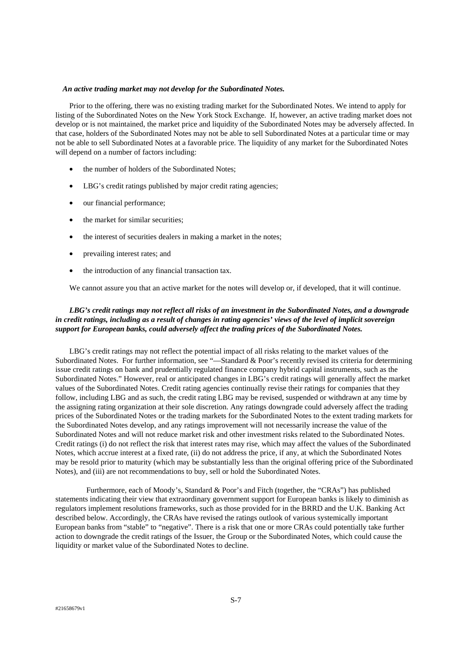# *An active trading market may not develop for the Subordinated Notes.*

Prior to the offering, there was no existing trading market for the Subordinated Notes. We intend to apply for listing of the Subordinated Notes on the New York Stock Exchange. If, however, an active trading market does not develop or is not maintained, the market price and liquidity of the Subordinated Notes may be adversely affected. In that case, holders of the Subordinated Notes may not be able to sell Subordinated Notes at a particular time or may not be able to sell Subordinated Notes at a favorable price. The liquidity of any market for the Subordinated Notes will depend on a number of factors including:

- the number of holders of the Subordinated Notes;
- LBG's credit ratings published by major credit rating agencies;
- our financial performance;
- the market for similar securities;
- the interest of securities dealers in making a market in the notes;
- prevailing interest rates; and
- the introduction of any financial transaction tax.

We cannot assure you that an active market for the notes will develop or, if developed, that it will continue.

# *LBG's credit ratings may not reflect all risks of an investment in the Subordinated Notes, and a downgrade in credit ratings, including as a result of changes in rating agencies' views of the level of implicit sovereign support for European banks, could adversely affect the trading prices of the Subordinated Notes.*

 LBG's credit ratings may not reflect the potential impact of all risks relating to the market values of the Subordinated Notes. For further information, see "—Standard & Poor's recently revised its criteria for determining issue credit ratings on bank and prudentially regulated finance company hybrid capital instruments, such as the Subordinated Notes." However, real or anticipated changes in LBG's credit ratings will generally affect the market values of the Subordinated Notes. Credit rating agencies continually revise their ratings for companies that they follow, including LBG and as such, the credit rating LBG may be revised, suspended or withdrawn at any time by the assigning rating organization at their sole discretion. Any ratings downgrade could adversely affect the trading prices of the Subordinated Notes or the trading markets for the Subordinated Notes to the extent trading markets for the Subordinated Notes develop, and any ratings improvement will not necessarily increase the value of the Subordinated Notes and will not reduce market risk and other investment risks related to the Subordinated Notes. Credit ratings (i) do not reflect the risk that interest rates may rise, which may affect the values of the Subordinated Notes, which accrue interest at a fixed rate, (ii) do not address the price, if any, at which the Subordinated Notes may be resold prior to maturity (which may be substantially less than the original offering price of the Subordinated Notes), and (iii) are not recommendations to buy, sell or hold the Subordinated Notes.

 Furthermore, each of Moody's, Standard & Poor's and Fitch (together, the "CRAs") has published statements indicating their view that extraordinary government support for European banks is likely to diminish as regulators implement resolutions frameworks, such as those provided for in the BRRD and the U.K. Banking Act described below. Accordingly, the CRAs have revised the ratings outlook of various systemically important European banks from "stable" to "negative". There is a risk that one or more CRAs could potentially take further action to downgrade the credit ratings of the Issuer, the Group or the Subordinated Notes, which could cause the liquidity or market value of the Subordinated Notes to decline.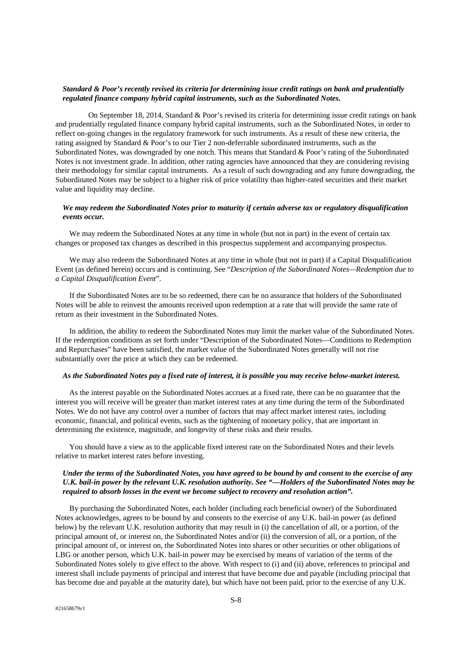# *Standard & Poor's recently revised its criteria for determining issue credit ratings on bank and prudentially regulated finance company hybrid capital instruments, such as the Subordinated Notes.*

 On September 18, 2014, Standard & Poor's revised its criteria for determining issue credit ratings on bank and prudentially regulated finance company hybrid capital instruments, such as the Subordinated Notes, in order to reflect on-going changes in the regulatory framework for such instruments. As a result of these new criteria, the rating assigned by Standard & Poor's to our Tier 2 non-deferrable subordinated instruments, such as the Subordinated Notes, was downgraded by one notch. This means that Standard & Poor's rating of the Subordinated Notes is not investment grade. In addition, other rating agencies have announced that they are considering revising their methodology for similar capital instruments. As a result of such downgrading and any future downgrading, the Subordinated Notes may be subject to a higher risk of price volatility than higher-rated securities and their market value and liquidity may decline.

# *We may redeem the Subordinated Notes prior to maturity if certain adverse tax or regulatory disqualification events occur.*

We may redeem the Subordinated Notes at any time in whole (but not in part) in the event of certain tax changes or proposed tax changes as described in this prospectus supplement and accompanying prospectus.

We may also redeem the Subordinated Notes at any time in whole (but not in part) if a Capital Disqualification Event (as defined herein) occurs and is continuing. See "*Description of the Subordinated Notes—Redemption due to a Capital Disqualification Event*".

If the Subordinated Notes are to be so redeemed, there can be no assurance that holders of the Subordinated Notes will be able to reinvest the amounts received upon redemption at a rate that will provide the same rate of return as their investment in the Subordinated Notes.

In addition, the ability to redeem the Subordinated Notes may limit the market value of the Subordinated Notes. If the redemption conditions as set forth under "Description of the Subordinated Notes—Conditions to Redemption and Repurchases" have been satisfied, the market value of the Subordinated Notes generally will not rise substantially over the price at which they can be redeemed.

# *As the Subordinated Notes pay a fixed rate of interest, it is possible you may receive below-market interest.*

As the interest payable on the Subordinated Notes accrues at a fixed rate, there can be no guarantee that the interest you will receive will be greater than market interest rates at any time during the term of the Subordinated Notes. We do not have any control over a number of factors that may affect market interest rates, including economic, financial, and political events, such as the tightening of monetary policy, that are important in determining the existence, magnitude, and longevity of these risks and their results.

You should have a view as to the applicable fixed interest rate on the Subordinated Notes and their levels relative to market interest rates before investing.

# *Under the terms of the Subordinated Notes, you have agreed to be bound by and consent to the exercise of any U.K. bail-in power by the relevant U.K. resolution authority. See "—Holders of the Subordinated Notes may be required to absorb losses in the event we become subject to recovery and resolution action".*

By purchasing the Subordinated Notes, each holder (including each beneficial owner) of the Subordinated Notes acknowledges, agrees to be bound by and consents to the exercise of any U.K. bail-in power (as defined below) by the relevant U.K. resolution authority that may result in (i) the cancellation of all, or a portion, of the principal amount of, or interest on, the Subordinated Notes and/or (ii) the conversion of all, or a portion, of the principal amount of, or interest on, the Subordinated Notes into shares or other securities or other obligations of LBG or another person, which U.K. bail-in power may be exercised by means of variation of the terms of the Subordinated Notes solely to give effect to the above. With respect to (i) and (ii) above, references to principal and interest shall include payments of principal and interest that have become due and payable (including principal that has become due and payable at the maturity date), but which have not been paid, prior to the exercise of any U.K.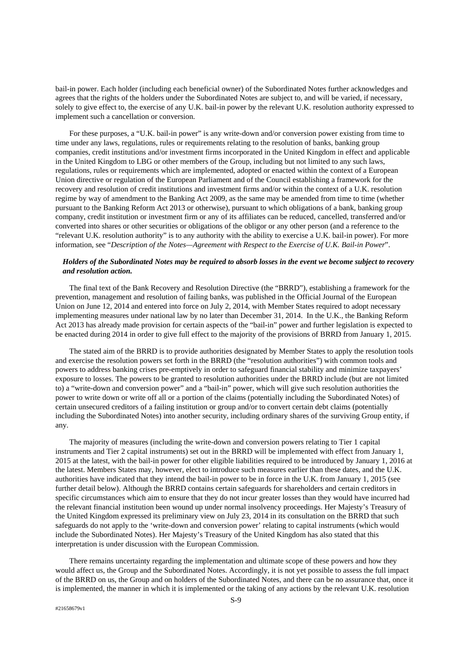bail-in power. Each holder (including each beneficial owner) of the Subordinated Notes further acknowledges and agrees that the rights of the holders under the Subordinated Notes are subject to, and will be varied, if necessary, solely to give effect to, the exercise of any U.K. bail-in power by the relevant U.K. resolution authority expressed to implement such a cancellation or conversion.

For these purposes, a "U.K. bail-in power" is any write-down and/or conversion power existing from time to time under any laws, regulations, rules or requirements relating to the resolution of banks, banking group companies, credit institutions and/or investment firms incorporated in the United Kingdom in effect and applicable in the United Kingdom to LBG or other members of the Group, including but not limited to any such laws, regulations, rules or requirements which are implemented, adopted or enacted within the context of a European Union directive or regulation of the European Parliament and of the Council establishing a framework for the recovery and resolution of credit institutions and investment firms and/or within the context of a U.K. resolution regime by way of amendment to the Banking Act 2009, as the same may be amended from time to time (whether pursuant to the Banking Reform Act 2013 or otherwise), pursuant to which obligations of a bank, banking group company, credit institution or investment firm or any of its affiliates can be reduced, cancelled, transferred and/or converted into shares or other securities or obligations of the obligor or any other person (and a reference to the "relevant U.K. resolution authority" is to any authority with the ability to exercise a U.K. bail-in power). For more information, see "*Description of the Notes—Agreement with Respect to the Exercise of U.K. Bail-in Power*".

# *Holders of the Subordinated Notes may be required to absorb losses in the event we become subject to recovery and resolution action.*

The final text of the Bank Recovery and Resolution Directive (the "BRRD"), establishing a framework for the prevention, management and resolution of failing banks, was published in the Official Journal of the European Union on June 12, 2014 and entered into force on July 2, 2014, with Member States required to adopt necessary implementing measures under national law by no later than December 31, 2014. In the U.K., the Banking Reform Act 2013 has already made provision for certain aspects of the "bail-in" power and further legislation is expected to be enacted during 2014 in order to give full effect to the majority of the provisions of BRRD from January 1, 2015.

The stated aim of the BRRD is to provide authorities designated by Member States to apply the resolution tools and exercise the resolution powers set forth in the BRRD (the "resolution authorities") with common tools and powers to address banking crises pre-emptively in order to safeguard financial stability and minimize taxpayers' exposure to losses. The powers to be granted to resolution authorities under the BRRD include (but are not limited to) a "write-down and conversion power" and a "bail-in" power, which will give such resolution authorities the power to write down or write off all or a portion of the claims (potentially including the Subordinated Notes) of certain unsecured creditors of a failing institution or group and/or to convert certain debt claims (potentially including the Subordinated Notes) into another security, including ordinary shares of the surviving Group entity, if any.

The majority of measures (including the write-down and conversion powers relating to Tier 1 capital instruments and Tier 2 capital instruments) set out in the BRRD will be implemented with effect from January 1, 2015 at the latest, with the bail-in power for other eligible liabilities required to be introduced by January 1, 2016 at the latest. Members States may, however, elect to introduce such measures earlier than these dates, and the U.K. authorities have indicated that they intend the bail-in power to be in force in the U.K. from January 1, 2015 (see further detail below). Although the BRRD contains certain safeguards for shareholders and certain creditors in specific circumstances which aim to ensure that they do not incur greater losses than they would have incurred had the relevant financial institution been wound up under normal insolvency proceedings. Her Majesty's Treasury of the United Kingdom expressed its preliminary view on July 23, 2014 in its consultation on the BRRD that such safeguards do not apply to the 'write-down and conversion power' relating to capital instruments (which would include the Subordinated Notes). Her Majesty's Treasury of the United Kingdom has also stated that this interpretation is under discussion with the European Commission.

There remains uncertainty regarding the implementation and ultimate scope of these powers and how they would affect us, the Group and the Subordinated Notes. Accordingly, it is not yet possible to assess the full impact of the BRRD on us, the Group and on holders of the Subordinated Notes, and there can be no assurance that, once it is implemented, the manner in which it is implemented or the taking of any actions by the relevant U.K. resolution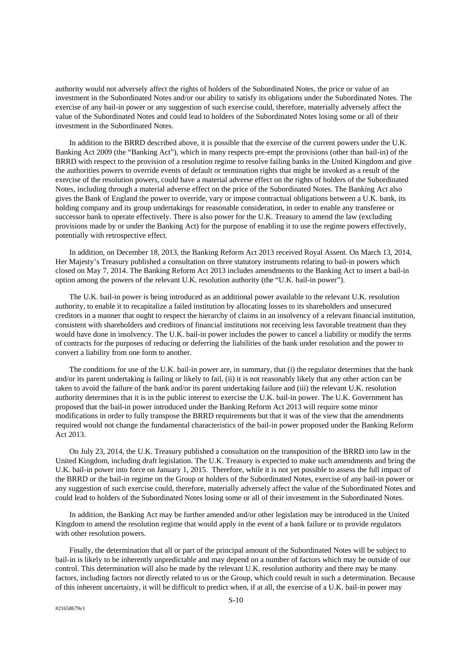authority would not adversely affect the rights of holders of the Subordinated Notes, the price or value of an investment in the Subordinated Notes and/or our ability to satisfy its obligations under the Subordinated Notes. The exercise of any bail-in power or any suggestion of such exercise could, therefore, materially adversely affect the value of the Subordinated Notes and could lead to holders of the Subordinated Notes losing some or all of their investment in the Subordinated Notes.

In addition to the BRRD described above, it is possible that the exercise of the current powers under the U.K. Banking Act 2009 (the "Banking Act"), which in many respects pre-empt the provisions (other than bail-in) of the BRRD with respect to the provision of a resolution regime to resolve failing banks in the United Kingdom and give the authorities powers to override events of default or termination rights that might be invoked as a result of the exercise of the resolution powers, could have a material adverse effect on the rights of holders of the Subordinated Notes, including through a material adverse effect on the price of the Subordinated Notes. The Banking Act also gives the Bank of England the power to override, vary or impose contractual obligations between a U.K. bank, its holding company and its group undertakings for reasonable consideration, in order to enable any transferee or successor bank to operate effectively. There is also power for the U.K. Treasury to amend the law (excluding provisions made by or under the Banking Act) for the purpose of enabling it to use the regime powers effectively, potentially with retrospective effect.

In addition, on December 18, 2013, the Banking Reform Act 2013 received Royal Assent. On March 13, 2014, Her Majesty's Treasury published a consultation on three statutory instruments relating to bail-in powers which closed on May 7, 2014. The Banking Reform Act 2013 includes amendments to the Banking Act to insert a bail-in option among the powers of the relevant U.K. resolution authority (the "U.K. bail-in power").

The U.K. bail-in power is being introduced as an additional power available to the relevant U.K. resolution authority, to enable it to recapitalize a failed institution by allocating losses to its shareholders and unsecured creditors in a manner that ought to respect the hierarchy of claims in an insolvency of a relevant financial institution, consistent with shareholders and creditors of financial institutions not receiving less favorable treatment than they would have done in insolvency. The U.K. bail-in power includes the power to cancel a liability or modify the terms of contracts for the purposes of reducing or deferring the liabilities of the bank under resolution and the power to convert a liability from one form to another.

The conditions for use of the U.K. bail-in power are, in summary, that (i) the regulator determines that the bank and/or its parent undertaking is failing or likely to fail, (ii) it is not reasonably likely that any other action can be taken to avoid the failure of the bank and/or its parent undertaking failure and (iii) the relevant U.K. resolution authority determines that it is in the public interest to exercise the U.K. bail-in power. The U.K. Government has proposed that the bail-in power introduced under the Banking Reform Act 2013 will require some minor modifications in order to fully transpose the BRRD requirements but that it was of the view that the amendments required would not change the fundamental characteristics of the bail-in power proposed under the Banking Reform Act 2013.

On July 23, 2014, the U.K. Treasury published a consultation on the transposition of the BRRD into law in the United Kingdom, including draft legislation. The U.K. Treasury is expected to make such amendments and bring the U.K. bail-in power into force on January 1, 2015. Therefore, while it is not yet possible to assess the full impact of the BRRD or the bail-in regime on the Group or holders of the Subordinated Notes, exercise of any bail-in power or any suggestion of such exercise could, therefore, materially adversely affect the value of the Subordinated Notes and could lead to holders of the Subordinated Notes losing some or all of their investment in the Subordinated Notes.

In addition, the Banking Act may be further amended and/or other legislation may be introduced in the United Kingdom to amend the resolution regime that would apply in the event of a bank failure or to provide regulators with other resolution powers.

Finally, the determination that all or part of the principal amount of the Subordinated Notes will be subject to bail-in is likely to be inherently unpredictable and may depend on a number of factors which may be outside of our control. This determination will also be made by the relevant U.K. resolution authority and there may be many factors, including factors not directly related to us or the Group, which could result in such a determination. Because of this inherent uncertainty, it will be difficult to predict when, if at all, the exercise of a U.K. bail-in power may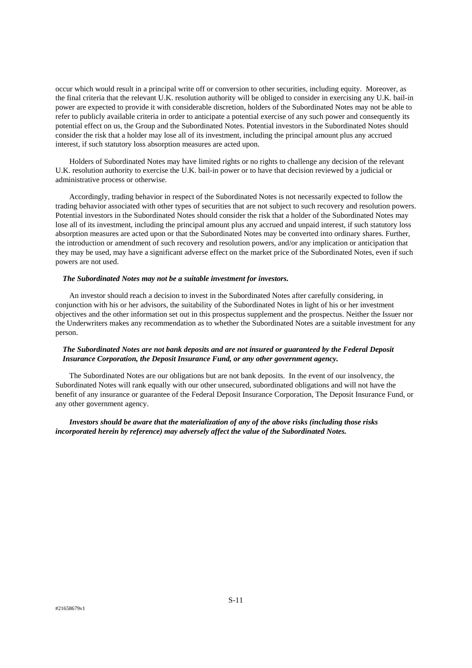occur which would result in a principal write off or conversion to other securities, including equity. Moreover, as the final criteria that the relevant U.K. resolution authority will be obliged to consider in exercising any U.K. bail-in power are expected to provide it with considerable discretion, holders of the Subordinated Notes may not be able to refer to publicly available criteria in order to anticipate a potential exercise of any such power and consequently its potential effect on us, the Group and the Subordinated Notes. Potential investors in the Subordinated Notes should consider the risk that a holder may lose all of its investment, including the principal amount plus any accrued interest, if such statutory loss absorption measures are acted upon.

Holders of Subordinated Notes may have limited rights or no rights to challenge any decision of the relevant U.K. resolution authority to exercise the U.K. bail-in power or to have that decision reviewed by a judicial or administrative process or otherwise.

Accordingly, trading behavior in respect of the Subordinated Notes is not necessarily expected to follow the trading behavior associated with other types of securities that are not subject to such recovery and resolution powers. Potential investors in the Subordinated Notes should consider the risk that a holder of the Subordinated Notes may lose all of its investment, including the principal amount plus any accrued and unpaid interest, if such statutory loss absorption measures are acted upon or that the Subordinated Notes may be converted into ordinary shares. Further, the introduction or amendment of such recovery and resolution powers, and/or any implication or anticipation that they may be used, may have a significant adverse effect on the market price of the Subordinated Notes, even if such powers are not used.

# *The Subordinated Notes may not be a suitable investment for investors.*

An investor should reach a decision to invest in the Subordinated Notes after carefully considering, in conjunction with his or her advisors, the suitability of the Subordinated Notes in light of his or her investment objectives and the other information set out in this prospectus supplement and the prospectus. Neither the Issuer nor the Underwriters makes any recommendation as to whether the Subordinated Notes are a suitable investment for any person.

# *The Subordinated Notes are not bank deposits and are not insured or guaranteed by the Federal Deposit Insurance Corporation, the Deposit Insurance Fund, or any other government agency.*

The Subordinated Notes are our obligations but are not bank deposits. In the event of our insolvency, the Subordinated Notes will rank equally with our other unsecured, subordinated obligations and will not have the benefit of any insurance or guarantee of the Federal Deposit Insurance Corporation, The Deposit Insurance Fund, or any other government agency.

 *Investors should be aware that the materialization of any of the above risks (including those risks incorporated herein by reference) may adversely affect the value of the Subordinated Notes.*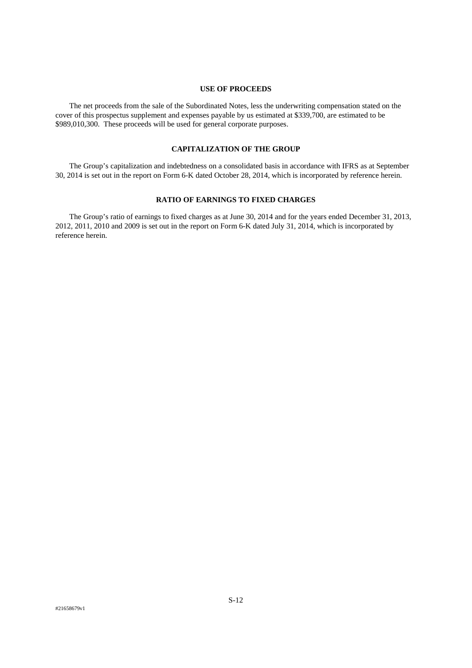#### **USE OF PROCEEDS**

The net proceeds from the sale of the Subordinated Notes, less the underwriting compensation stated on the cover of this prospectus supplement and expenses payable by us estimated at \$339,700, are estimated to be \$989,010,300. These proceeds will be used for general corporate purposes.

# **CAPITALIZATION OF THE GROUP**

The Group's capitalization and indebtedness on a consolidated basis in accordance with IFRS as at September 30, 2014 is set out in the report on Form 6-K dated October 28, 2014, which is incorporated by reference herein.

# **RATIO OF EARNINGS TO FIXED CHARGES**

The Group's ratio of earnings to fixed charges as at June 30, 2014 and for the years ended December 31, 2013, 2012, 2011, 2010 and 2009 is set out in the report on Form 6-K dated July 31, 2014, which is incorporated by reference herein.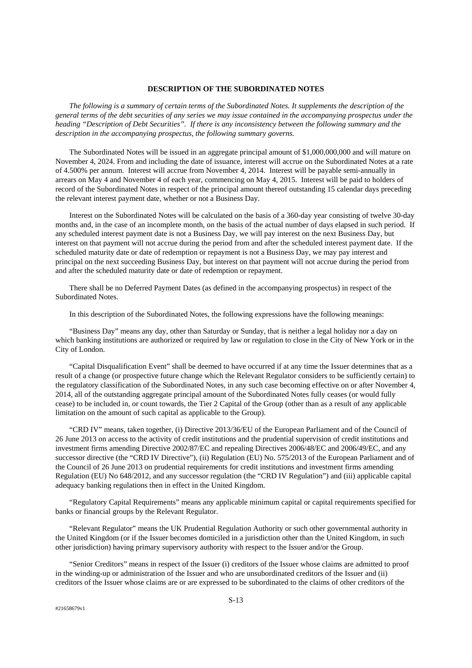#### **DESCRIPTION OF THE SUBORDINATED NOTES**

 *The following is a summary of certain terms of the Subordinated Notes. It supplements the description of the general terms of the debt securities of any series we may issue contained in the accompanying prospectus under the heading "Description of Debt Securities". If there is any inconsistency between the following summary and the description in the accompanying prospectus, the following summary governs.* 

The Subordinated Notes will be issued in an aggregate principal amount of \$1,000,000,000 and will mature on November 4, 2024. From and including the date of issuance, interest will accrue on the Subordinated Notes at a rate of 4.500% per annum. Interest will accrue from November 4, 2014. Interest will be payable semi-annually in arrears on May 4 and November 4 of each year, commencing on May 4, 2015. Interest will be paid to holders of record of the Subordinated Notes in respect of the principal amount thereof outstanding 15 calendar days preceding the relevant interest payment date, whether or not a Business Day.

Interest on the Subordinated Notes will be calculated on the basis of a 360-day year consisting of twelve 30-day months and, in the case of an incomplete month, on the basis of the actual number of days elapsed in such period. If any scheduled interest payment date is not a Business Day, we will pay interest on the next Business Day, but interest on that payment will not accrue during the period from and after the scheduled interest payment date. If the scheduled maturity date or date of redemption or repayment is not a Business Day, we may pay interest and principal on the next succeeding Business Day, but interest on that payment will not accrue during the period from and after the scheduled maturity date or date of redemption or repayment.

There shall be no Deferred Payment Dates (as defined in the accompanying prospectus) in respect of the Subordinated Notes.

In this description of the Subordinated Notes, the following expressions have the following meanings:

"Business Day" means any day, other than Saturday or Sunday, that is neither a legal holiday nor a day on which banking institutions are authorized or required by law or regulation to close in the City of New York or in the City of London.

"Capital Disqualification Event" shall be deemed to have occurred if at any time the Issuer determines that as a result of a change (or prospective future change which the Relevant Regulator considers to be sufficiently certain) to the regulatory classification of the Subordinated Notes, in any such case becoming effective on or after November 4, 2014, all of the outstanding aggregate principal amount of the Subordinated Notes fully ceases (or would fully cease) to be included in, or count towards, the Tier 2 Capital of the Group (other than as a result of any applicable limitation on the amount of such capital as applicable to the Group).

"CRD IV" means, taken together, (i) Directive 2013/36/EU of the European Parliament and of the Council of 26 June 2013 on access to the activity of credit institutions and the prudential supervision of credit institutions and investment firms amending Directive 2002/87/EC and repealing Directives 2006/48/EC and 2006/49/EC, and any successor directive (the "CRD IV Directive"), (ii) Regulation (EU) No. 575/2013 of the European Parliament and of the Council of 26 June 2013 on prudential requirements for credit institutions and investment firms amending Regulation (EU) No 648/2012, and any successor regulation (the "CRD IV Regulation") and (iii) applicable capital adequacy banking regulations then in effect in the United Kingdom.

"Regulatory Capital Requirements" means any applicable minimum capital or capital requirements specified for banks or financial groups by the Relevant Regulator.

"Relevant Regulator" means the UK Prudential Regulation Authority or such other governmental authority in the United Kingdom (or if the Issuer becomes domiciled in a jurisdiction other than the United Kingdom, in such other jurisdiction) having primary supervisory authority with respect to the Issuer and/or the Group.

"Senior Creditors" means in respect of the Issuer (i) creditors of the Issuer whose claims are admitted to proof in the winding-up or administration of the Issuer and who are unsubordinated creditors of the Issuer and (ii) creditors of the Issuer whose claims are or are expressed to be subordinated to the claims of other creditors of the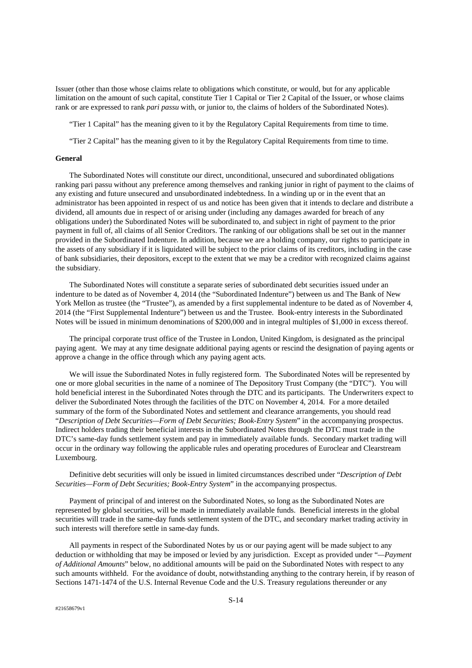Issuer (other than those whose claims relate to obligations which constitute, or would, but for any applicable limitation on the amount of such capital, constitute Tier 1 Capital or Tier 2 Capital of the Issuer, or whose claims rank or are expressed to rank *pari passu* with, or junior to, the claims of holders of the Subordinated Notes).

"Tier 1 Capital" has the meaning given to it by the Regulatory Capital Requirements from time to time.

"Tier 2 Capital" has the meaning given to it by the Regulatory Capital Requirements from time to time.

#### **General**

The Subordinated Notes will constitute our direct, unconditional, unsecured and subordinated obligations ranking pari passu without any preference among themselves and ranking junior in right of payment to the claims of any existing and future unsecured and unsubordinated indebtedness. In a winding up or in the event that an administrator has been appointed in respect of us and notice has been given that it intends to declare and distribute a dividend, all amounts due in respect of or arising under (including any damages awarded for breach of any obligations under) the Subordinated Notes will be subordinated to, and subject in right of payment to the prior payment in full of, all claims of all Senior Creditors. The ranking of our obligations shall be set out in the manner provided in the Subordinated Indenture. In addition, because we are a holding company, our rights to participate in the assets of any subsidiary if it is liquidated will be subject to the prior claims of its creditors, including in the case of bank subsidiaries, their depositors, except to the extent that we may be a creditor with recognized claims against the subsidiary.

The Subordinated Notes will constitute a separate series of subordinated debt securities issued under an indenture to be dated as of November 4, 2014 (the "Subordinated Indenture") between us and The Bank of New York Mellon as trustee (the "Trustee"), as amended by a first supplemental indenture to be dated as of November 4, 2014 (the "First Supplemental Indenture") between us and the Trustee. Book-entry interests in the Subordinated Notes will be issued in minimum denominations of \$200,000 and in integral multiples of \$1,000 in excess thereof.

The principal corporate trust office of the Trustee in London, United Kingdom, is designated as the principal paying agent. We may at any time designate additional paying agents or rescind the designation of paying agents or approve a change in the office through which any paying agent acts.

We will issue the Subordinated Notes in fully registered form. The Subordinated Notes will be represented by one or more global securities in the name of a nominee of The Depository Trust Company (the "DTC"). You will hold beneficial interest in the Subordinated Notes through the DTC and its participants. The Underwriters expect to deliver the Subordinated Notes through the facilities of the DTC on November 4, 2014. For a more detailed summary of the form of the Subordinated Notes and settlement and clearance arrangements, you should read "*Description of Debt Securities—Form of Debt Securities; Book-Entry System*" in the accompanying prospectus. Indirect holders trading their beneficial interests in the Subordinated Notes through the DTC must trade in the DTC's same-day funds settlement system and pay in immediately available funds. Secondary market trading will occur in the ordinary way following the applicable rules and operating procedures of Euroclear and Clearstream Luxembourg.

Definitive debt securities will only be issued in limited circumstances described under "*Description of Debt Securities—Form of Debt Securities; Book-Entry System*" in the accompanying prospectus.

Payment of principal of and interest on the Subordinated Notes, so long as the Subordinated Notes are represented by global securities, will be made in immediately available funds. Beneficial interests in the global securities will trade in the same-day funds settlement system of the DTC, and secondary market trading activity in such interests will therefore settle in same-day funds.

All payments in respect of the Subordinated Notes by us or our paying agent will be made subject to any deduction or withholding that may be imposed or levied by any jurisdiction. Except as provided under "*—Payment of Additional Amounts*" below, no additional amounts will be paid on the Subordinated Notes with respect to any such amounts withheld. For the avoidance of doubt, notwithstanding anything to the contrary herein, if by reason of Sections 1471-1474 of the U.S. Internal Revenue Code and the U.S. Treasury regulations thereunder or any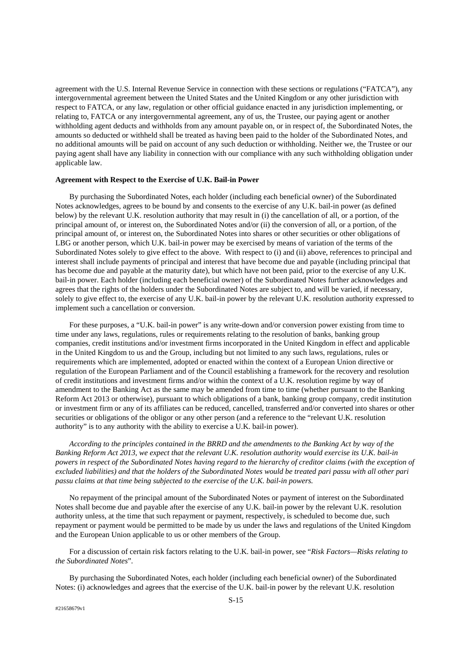agreement with the U.S. Internal Revenue Service in connection with these sections or regulations ("FATCA"), any intergovernmental agreement between the United States and the United Kingdom or any other jurisdiction with respect to FATCA, or any law, regulation or other official guidance enacted in any jurisdiction implementing, or relating to, FATCA or any intergovernmental agreement, any of us, the Trustee, our paying agent or another withholding agent deducts and withholds from any amount payable on, or in respect of, the Subordinated Notes, the amounts so deducted or withheld shall be treated as having been paid to the holder of the Subordinated Notes, and no additional amounts will be paid on account of any such deduction or withholding. Neither we, the Trustee or our paying agent shall have any liability in connection with our compliance with any such withholding obligation under applicable law.

# **Agreement with Respect to the Exercise of U.K. Bail-in Power**

By purchasing the Subordinated Notes, each holder (including each beneficial owner) of the Subordinated Notes acknowledges, agrees to be bound by and consents to the exercise of any U.K. bail-in power (as defined below) by the relevant U.K. resolution authority that may result in (i) the cancellation of all, or a portion, of the principal amount of, or interest on, the Subordinated Notes and/or (ii) the conversion of all, or a portion, of the principal amount of, or interest on, the Subordinated Notes into shares or other securities or other obligations of LBG or another person, which U.K. bail-in power may be exercised by means of variation of the terms of the Subordinated Notes solely to give effect to the above. With respect to (i) and (ii) above, references to principal and interest shall include payments of principal and interest that have become due and payable (including principal that has become due and payable at the maturity date), but which have not been paid, prior to the exercise of any U.K. bail-in power. Each holder (including each beneficial owner) of the Subordinated Notes further acknowledges and agrees that the rights of the holders under the Subordinated Notes are subject to, and will be varied, if necessary, solely to give effect to, the exercise of any U.K. bail-in power by the relevant U.K. resolution authority expressed to implement such a cancellation or conversion.

For these purposes, a "U.K. bail-in power" is any write-down and/or conversion power existing from time to time under any laws, regulations, rules or requirements relating to the resolution of banks, banking group companies, credit institutions and/or investment firms incorporated in the United Kingdom in effect and applicable in the United Kingdom to us and the Group, including but not limited to any such laws, regulations, rules or requirements which are implemented, adopted or enacted within the context of a European Union directive or regulation of the European Parliament and of the Council establishing a framework for the recovery and resolution of credit institutions and investment firms and/or within the context of a U.K. resolution regime by way of amendment to the Banking Act as the same may be amended from time to time (whether pursuant to the Banking Reform Act 2013 or otherwise), pursuant to which obligations of a bank, banking group company, credit institution or investment firm or any of its affiliates can be reduced, cancelled, transferred and/or converted into shares or other securities or obligations of the obligor or any other person (and a reference to the "relevant U.K. resolution authority" is to any authority with the ability to exercise a U.K. bail-in power).

*According to the principles contained in the BRRD and the amendments to the Banking Act by way of the Banking Reform Act 2013, we expect that the relevant U.K. resolution authority would exercise its U.K. bail-in powers in respect of the Subordinated Notes having regard to the hierarchy of creditor claims (with the exception of excluded liabilities) and that the holders of the Subordinated Notes would be treated pari passu with all other pari passu claims at that time being subjected to the exercise of the U.K. bail-in powers.* 

No repayment of the principal amount of the Subordinated Notes or payment of interest on the Subordinated Notes shall become due and payable after the exercise of any U.K. bail-in power by the relevant U.K. resolution authority unless, at the time that such repayment or payment, respectively, is scheduled to become due, such repayment or payment would be permitted to be made by us under the laws and regulations of the United Kingdom and the European Union applicable to us or other members of the Group.

For a discussion of certain risk factors relating to the U.K. bail-in power, see "*Risk Factors—Risks relating to the Subordinated Notes*"*.* 

By purchasing the Subordinated Notes, each holder (including each beneficial owner) of the Subordinated Notes: (i) acknowledges and agrees that the exercise of the U.K. bail-in power by the relevant U.K. resolution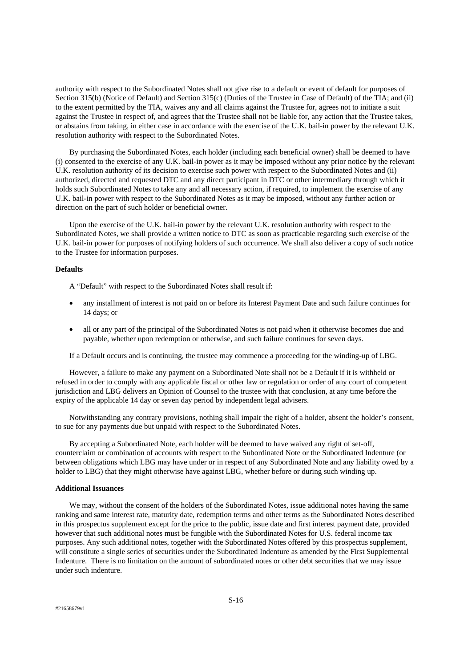authority with respect to the Subordinated Notes shall not give rise to a default or event of default for purposes of Section 315(b) (Notice of Default) and Section 315(c) (Duties of the Trustee in Case of Default) of the TIA; and (ii) to the extent permitted by the TIA, waives any and all claims against the Trustee for, agrees not to initiate a suit against the Trustee in respect of, and agrees that the Trustee shall not be liable for, any action that the Trustee takes, or abstains from taking, in either case in accordance with the exercise of the U.K. bail-in power by the relevant U.K. resolution authority with respect to the Subordinated Notes.

By purchasing the Subordinated Notes, each holder (including each beneficial owner) shall be deemed to have (i) consented to the exercise of any U.K. bail-in power as it may be imposed without any prior notice by the relevant U.K. resolution authority of its decision to exercise such power with respect to the Subordinated Notes and (ii) authorized, directed and requested DTC and any direct participant in DTC or other intermediary through which it holds such Subordinated Notes to take any and all necessary action, if required, to implement the exercise of any U.K. bail-in power with respect to the Subordinated Notes as it may be imposed, without any further action or direction on the part of such holder or beneficial owner.

Upon the exercise of the U.K. bail-in power by the relevant U.K. resolution authority with respect to the Subordinated Notes, we shall provide a written notice to DTC as soon as practicable regarding such exercise of the U.K. bail-in power for purposes of notifying holders of such occurrence. We shall also deliver a copy of such notice to the Trustee for information purposes.

# **Defaults**

A "Default" with respect to the Subordinated Notes shall result if:

- any installment of interest is not paid on or before its Interest Payment Date and such failure continues for 14 days; or
- all or any part of the principal of the Subordinated Notes is not paid when it otherwise becomes due and payable, whether upon redemption or otherwise, and such failure continues for seven days.

If a Default occurs and is continuing, the trustee may commence a proceeding for the winding-up of LBG.

However, a failure to make any payment on a Subordinated Note shall not be a Default if it is withheld or refused in order to comply with any applicable fiscal or other law or regulation or order of any court of competent jurisdiction and LBG delivers an Opinion of Counsel to the trustee with that conclusion, at any time before the expiry of the applicable 14 day or seven day period by independent legal advisers.

Notwithstanding any contrary provisions, nothing shall impair the right of a holder, absent the holder's consent, to sue for any payments due but unpaid with respect to the Subordinated Notes.

By accepting a Subordinated Note, each holder will be deemed to have waived any right of set-off, counterclaim or combination of accounts with respect to the Subordinated Note or the Subordinated Indenture (or between obligations which LBG may have under or in respect of any Subordinated Note and any liability owed by a holder to LBG) that they might otherwise have against LBG, whether before or during such winding up.

# **Additional Issuances**

We may, without the consent of the holders of the Subordinated Notes, issue additional notes having the same ranking and same interest rate, maturity date, redemption terms and other terms as the Subordinated Notes described in this prospectus supplement except for the price to the public, issue date and first interest payment date, provided however that such additional notes must be fungible with the Subordinated Notes for U.S. federal income tax purposes. Any such additional notes, together with the Subordinated Notes offered by this prospectus supplement, will constitute a single series of securities under the Subordinated Indenture as amended by the First Supplemental Indenture. There is no limitation on the amount of subordinated notes or other debt securities that we may issue under such indenture.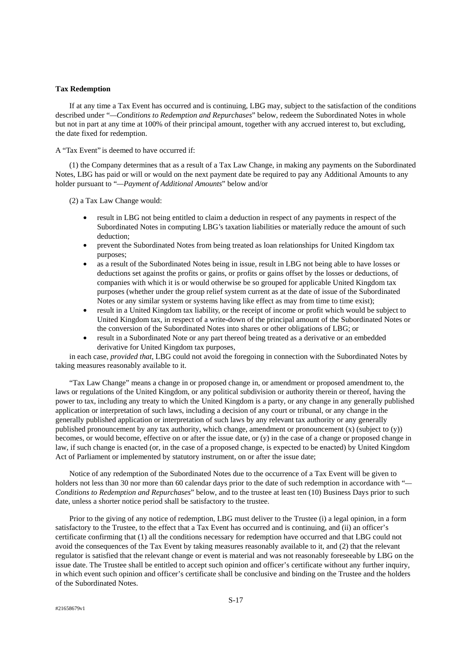# **Tax Redemption**

If at any time a Tax Event has occurred and is continuing, LBG may, subject to the satisfaction of the conditions described under "*—Conditions to Redemption and Repurchases*" below, redeem the Subordinated Notes in whole but not in part at any time at 100% of their principal amount, together with any accrued interest to, but excluding, the date fixed for redemption.

A "Tax Event" is deemed to have occurred if:

(1) the Company determines that as a result of a Tax Law Change, in making any payments on the Subordinated Notes, LBG has paid or will or would on the next payment date be required to pay any Additional Amounts to any holder pursuant to "*—Payment of Additional Amounts*" below and/or

(2) a Tax Law Change would:

- result in LBG not being entitled to claim a deduction in respect of any payments in respect of the Subordinated Notes in computing LBG's taxation liabilities or materially reduce the amount of such deduction;
- prevent the Subordinated Notes from being treated as loan relationships for United Kingdom tax purposes;
- as a result of the Subordinated Notes being in issue, result in LBG not being able to have losses or deductions set against the profits or gains, or profits or gains offset by the losses or deductions, of companies with which it is or would otherwise be so grouped for applicable United Kingdom tax purposes (whether under the group relief system current as at the date of issue of the Subordinated Notes or any similar system or systems having like effect as may from time to time exist);
- result in a United Kingdom tax liability, or the receipt of income or profit which would be subject to United Kingdom tax, in respect of a write-down of the principal amount of the Subordinated Notes or the conversion of the Subordinated Notes into shares or other obligations of LBG; or
- result in a Subordinated Note or any part thereof being treated as a derivative or an embedded derivative for United Kingdom tax purposes,

in each case, *provided that*, LBG could not avoid the foregoing in connection with the Subordinated Notes by taking measures reasonably available to it.

"Tax Law Change" means a change in or proposed change in, or amendment or proposed amendment to, the laws or regulations of the United Kingdom, or any political subdivision or authority therein or thereof, having the power to tax, including any treaty to which the United Kingdom is a party, or any change in any generally published application or interpretation of such laws, including a decision of any court or tribunal, or any change in the generally published application or interpretation of such laws by any relevant tax authority or any generally published pronouncement by any tax authority, which change, amendment or pronouncement (x) (subject to (y)) becomes, or would become, effective on or after the issue date, or (y) in the case of a change or proposed change in law, if such change is enacted (or, in the case of a proposed change, is expected to be enacted) by United Kingdom Act of Parliament or implemented by statutory instrument, on or after the issue date;

Notice of any redemption of the Subordinated Notes due to the occurrence of a Tax Event will be given to holders not less than 30 nor more than 60 calendar days prior to the date of such redemption in accordance with "*— Conditions to Redemption and Repurchases*" below, and to the trustee at least ten (10) Business Days prior to such date, unless a shorter notice period shall be satisfactory to the trustee.

Prior to the giving of any notice of redemption, LBG must deliver to the Trustee (i) a legal opinion, in a form satisfactory to the Trustee, to the effect that a Tax Event has occurred and is continuing, and (ii) an officer's certificate confirming that (1) all the conditions necessary for redemption have occurred and that LBG could not avoid the consequences of the Tax Event by taking measures reasonably available to it, and (2) that the relevant regulator is satisfied that the relevant change or event is material and was not reasonably foreseeable by LBG on the issue date. The Trustee shall be entitled to accept such opinion and officer's certificate without any further inquiry, in which event such opinion and officer's certificate shall be conclusive and binding on the Trustee and the holders of the Subordinated Notes.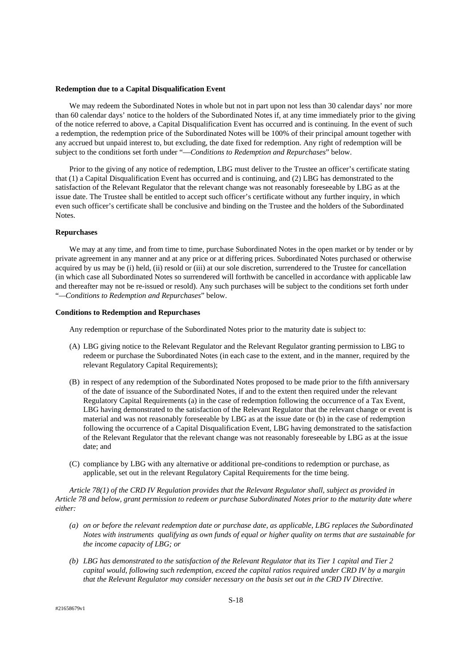#### **Redemption due to a Capital Disqualification Event**

We may redeem the Subordinated Notes in whole but not in part upon not less than 30 calendar days' nor more than 60 calendar days' notice to the holders of the Subordinated Notes if, at any time immediately prior to the giving of the notice referred to above, a Capital Disqualification Event has occurred and is continuing. In the event of such a redemption, the redemption price of the Subordinated Notes will be 100% of their principal amount together with any accrued but unpaid interest to, but excluding, the date fixed for redemption. Any right of redemption will be subject to the conditions set forth under "—*Conditions to Redemption and Repurchases*" below.

Prior to the giving of any notice of redemption, LBG must deliver to the Trustee an officer's certificate stating that (1) a Capital Disqualification Event has occurred and is continuing, and (2) LBG has demonstrated to the satisfaction of the Relevant Regulator that the relevant change was not reasonably foreseeable by LBG as at the issue date. The Trustee shall be entitled to accept such officer's certificate without any further inquiry, in which even such officer's certificate shall be conclusive and binding on the Trustee and the holders of the Subordinated Notes.

# **Repurchases**

We may at any time, and from time to time, purchase Subordinated Notes in the open market or by tender or by private agreement in any manner and at any price or at differing prices. Subordinated Notes purchased or otherwise acquired by us may be (i) held, (ii) resold or (iii) at our sole discretion, surrendered to the Trustee for cancellation (in which case all Subordinated Notes so surrendered will forthwith be cancelled in accordance with applicable law and thereafter may not be re-issued or resold). Any such purchases will be subject to the conditions set forth under "*—Conditions to Redemption and Repurchases*" below.

#### **Conditions to Redemption and Repurchases**

Any redemption or repurchase of the Subordinated Notes prior to the maturity date is subject to:

- (A) LBG giving notice to the Relevant Regulator and the Relevant Regulator granting permission to LBG to redeem or purchase the Subordinated Notes (in each case to the extent, and in the manner, required by the relevant Regulatory Capital Requirements);
- (B) in respect of any redemption of the Subordinated Notes proposed to be made prior to the fifth anniversary of the date of issuance of the Subordinated Notes, if and to the extent then required under the relevant Regulatory Capital Requirements (a) in the case of redemption following the occurrence of a Tax Event, LBG having demonstrated to the satisfaction of the Relevant Regulator that the relevant change or event is material and was not reasonably foreseeable by LBG as at the issue date or (b) in the case of redemption following the occurrence of a Capital Disqualification Event, LBG having demonstrated to the satisfaction of the Relevant Regulator that the relevant change was not reasonably foreseeable by LBG as at the issue date; and
- (C) compliance by LBG with any alternative or additional pre-conditions to redemption or purchase, as applicable, set out in the relevant Regulatory Capital Requirements for the time being.

*Article 78(1) of the CRD IV Regulation provides that the Relevant Regulator shall, subject as provided in Article 78 and below, grant permission to redeem or purchase Subordinated Notes prior to the maturity date where either:* 

- *(a) on or before the relevant redemption date or purchase date, as applicable, LBG replaces the Subordinated Notes with instruments qualifying as own funds of equal or higher quality on terms that are sustainable for the income capacity of LBG; or*
- *(b) LBG has demonstrated to the satisfaction of the Relevant Regulator that its Tier 1 capital and Tier 2 capital would, following such redemption, exceed the capital ratios required under CRD IV by a margin that the Relevant Regulator may consider necessary on the basis set out in the CRD IV Directive.*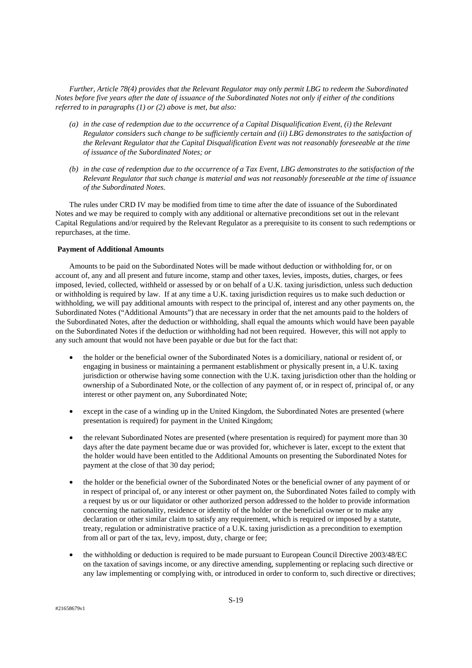*Further, Article 78(4) provides that the Relevant Regulator may only permit LBG to redeem the Subordinated Notes before five years after the date of issuance of the Subordinated Notes not only if either of the conditions referred to in paragraphs (1) or (2) above is met, but also:* 

- *(a) in the case of redemption due to the occurrence of a Capital Disqualification Event, (i) the Relevant Regulator considers such change to be sufficiently certain and (ii) LBG demonstrates to the satisfaction of the Relevant Regulator that the Capital Disqualification Event was not reasonably foreseeable at the time of issuance of the Subordinated Notes; or*
- *(b) in the case of redemption due to the occurrence of a Tax Event, LBG demonstrates to the satisfaction of the Relevant Regulator that such change is material and was not reasonably foreseeable at the time of issuance of the Subordinated Notes.*

The rules under CRD IV may be modified from time to time after the date of issuance of the Subordinated Notes and we may be required to comply with any additional or alternative preconditions set out in the relevant Capital Regulations and/or required by the Relevant Regulator as a prerequisite to its consent to such redemptions or repurchases, at the time.

# **Payment of Additional Amounts**

Amounts to be paid on the Subordinated Notes will be made without deduction or withholding for, or on account of, any and all present and future income, stamp and other taxes, levies, imposts, duties, charges, or fees imposed, levied, collected, withheld or assessed by or on behalf of a U.K. taxing jurisdiction, unless such deduction or withholding is required by law. If at any time a U.K. taxing jurisdiction requires us to make such deduction or withholding, we will pay additional amounts with respect to the principal of, interest and any other payments on, the Subordinated Notes ("Additional Amounts") that are necessary in order that the net amounts paid to the holders of the Subordinated Notes, after the deduction or withholding, shall equal the amounts which would have been payable on the Subordinated Notes if the deduction or withholding had not been required. However, this will not apply to any such amount that would not have been payable or due but for the fact that:

- the holder or the beneficial owner of the Subordinated Notes is a domiciliary, national or resident of, or engaging in business or maintaining a permanent establishment or physically present in, a U.K. taxing jurisdiction or otherwise having some connection with the U.K. taxing jurisdiction other than the holding or ownership of a Subordinated Note, or the collection of any payment of, or in respect of, principal of, or any interest or other payment on, any Subordinated Note;
- except in the case of a winding up in the United Kingdom, the Subordinated Notes are presented (where presentation is required) for payment in the United Kingdom;
- the relevant Subordinated Notes are presented (where presentation is required) for payment more than 30 days after the date payment became due or was provided for, whichever is later, except to the extent that the holder would have been entitled to the Additional Amounts on presenting the Subordinated Notes for payment at the close of that 30 day period;
- the holder or the beneficial owner of the Subordinated Notes or the beneficial owner of any payment of or in respect of principal of, or any interest or other payment on, the Subordinated Notes failed to comply with a request by us or our liquidator or other authorized person addressed to the holder to provide information concerning the nationality, residence or identity of the holder or the beneficial owner or to make any declaration or other similar claim to satisfy any requirement, which is required or imposed by a statute, treaty, regulation or administrative practice of a U.K. taxing jurisdiction as a precondition to exemption from all or part of the tax, levy, impost, duty, charge or fee;
- the withholding or deduction is required to be made pursuant to European Council Directive 2003/48/EC on the taxation of savings income, or any directive amending, supplementing or replacing such directive or any law implementing or complying with, or introduced in order to conform to, such directive or directives;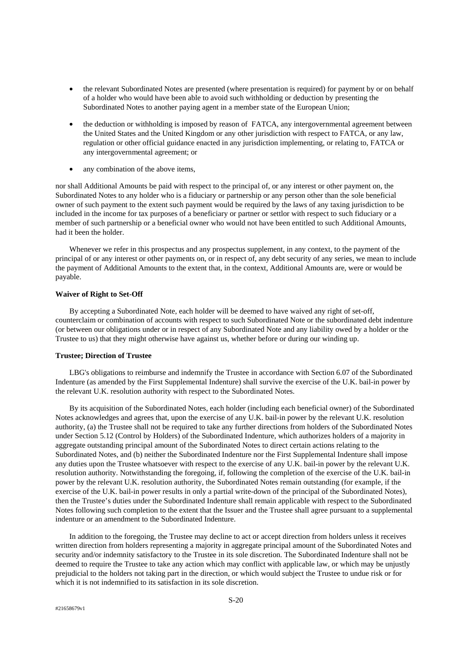- the relevant Subordinated Notes are presented (where presentation is required) for payment by or on behalf of a holder who would have been able to avoid such withholding or deduction by presenting the Subordinated Notes to another paying agent in a member state of the European Union;
- the deduction or withholding is imposed by reason of FATCA, any intergovernmental agreement between the United States and the United Kingdom or any other jurisdiction with respect to FATCA, or any law, regulation or other official guidance enacted in any jurisdiction implementing, or relating to, FATCA or any intergovernmental agreement; or
- any combination of the above items,

nor shall Additional Amounts be paid with respect to the principal of, or any interest or other payment on, the Subordinated Notes to any holder who is a fiduciary or partnership or any person other than the sole beneficial owner of such payment to the extent such payment would be required by the laws of any taxing jurisdiction to be included in the income for tax purposes of a beneficiary or partner or settlor with respect to such fiduciary or a member of such partnership or a beneficial owner who would not have been entitled to such Additional Amounts, had it been the holder.

Whenever we refer in this prospectus and any prospectus supplement, in any context, to the payment of the principal of or any interest or other payments on, or in respect of, any debt security of any series, we mean to include the payment of Additional Amounts to the extent that, in the context, Additional Amounts are, were or would be payable.

# **Waiver of Right to Set-Off**

By accepting a Subordinated Note, each holder will be deemed to have waived any right of set-off, counterclaim or combination of accounts with respect to such Subordinated Note or the subordinated debt indenture (or between our obligations under or in respect of any Subordinated Note and any liability owed by a holder or the Trustee to us) that they might otherwise have against us, whether before or during our winding up.

#### **Trustee; Direction of Trustee**

LBG's obligations to reimburse and indemnify the Trustee in accordance with Section 6.07 of the Subordinated Indenture (as amended by the First Supplemental Indenture) shall survive the exercise of the U.K. bail-in power by the relevant U.K. resolution authority with respect to the Subordinated Notes.

By its acquisition of the Subordinated Notes, each holder (including each beneficial owner) of the Subordinated Notes acknowledges and agrees that, upon the exercise of any U.K. bail-in power by the relevant U.K. resolution authority, (a) the Trustee shall not be required to take any further directions from holders of the Subordinated Notes under Section 5.12 (Control by Holders) of the Subordinated Indenture, which authorizes holders of a majority in aggregate outstanding principal amount of the Subordinated Notes to direct certain actions relating to the Subordinated Notes, and (b) neither the Subordinated Indenture nor the First Supplemental Indenture shall impose any duties upon the Trustee whatsoever with respect to the exercise of any U.K. bail-in power by the relevant U.K. resolution authority. Notwithstanding the foregoing, if, following the completion of the exercise of the U.K. bail-in power by the relevant U.K. resolution authority, the Subordinated Notes remain outstanding (for example, if the exercise of the U.K. bail-in power results in only a partial write-down of the principal of the Subordinated Notes), then the Trustee's duties under the Subordinated Indenture shall remain applicable with respect to the Subordinated Notes following such completion to the extent that the Issuer and the Trustee shall agree pursuant to a supplemental indenture or an amendment to the Subordinated Indenture.

In addition to the foregoing, the Trustee may decline to act or accept direction from holders unless it receives written direction from holders representing a majority in aggregate principal amount of the Subordinated Notes and security and/or indemnity satisfactory to the Trustee in its sole discretion. The Subordinated Indenture shall not be deemed to require the Trustee to take any action which may conflict with applicable law, or which may be unjustly prejudicial to the holders not taking part in the direction, or which would subject the Trustee to undue risk or for which it is not indemnified to its satisfaction in its sole discretion.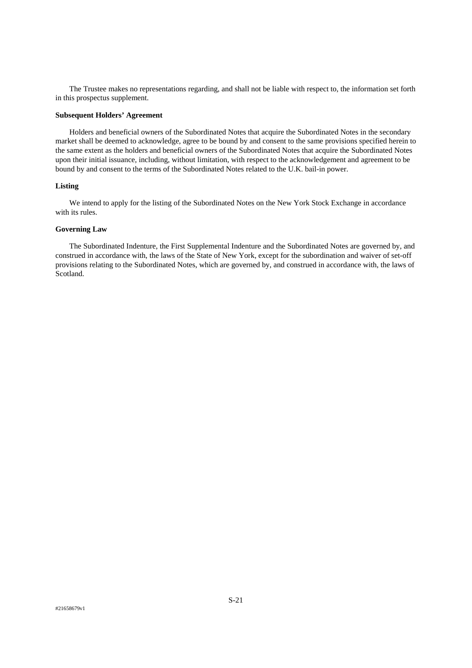The Trustee makes no representations regarding, and shall not be liable with respect to, the information set forth in this prospectus supplement.

#### **Subsequent Holders' Agreement**

Holders and beneficial owners of the Subordinated Notes that acquire the Subordinated Notes in the secondary market shall be deemed to acknowledge, agree to be bound by and consent to the same provisions specified herein to the same extent as the holders and beneficial owners of the Subordinated Notes that acquire the Subordinated Notes upon their initial issuance, including, without limitation, with respect to the acknowledgement and agreement to be bound by and consent to the terms of the Subordinated Notes related to the U.K. bail-in power.

# **Listing**

We intend to apply for the listing of the Subordinated Notes on the New York Stock Exchange in accordance with its rules.

# **Governing Law**

The Subordinated Indenture, the First Supplemental Indenture and the Subordinated Notes are governed by, and construed in accordance with, the laws of the State of New York, except for the subordination and waiver of set-off provisions relating to the Subordinated Notes, which are governed by, and construed in accordance with, the laws of Scotland.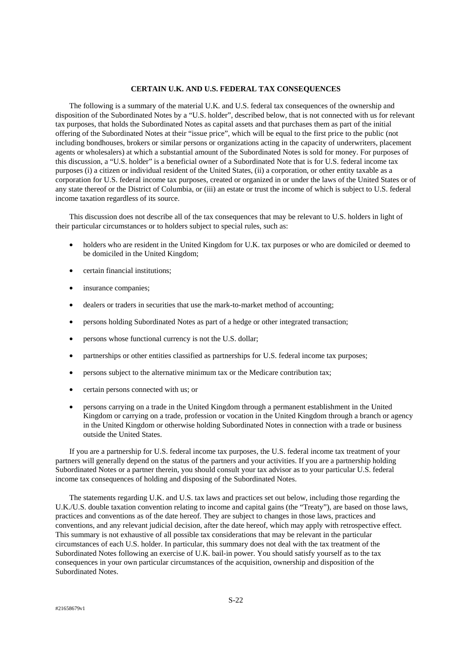#### **CERTAIN U.K. AND U.S. FEDERAL TAX CONSEQUENCES**

The following is a summary of the material U.K. and U.S. federal tax consequences of the ownership and disposition of the Subordinated Notes by a "U.S. holder", described below, that is not connected with us for relevant tax purposes, that holds the Subordinated Notes as capital assets and that purchases them as part of the initial offering of the Subordinated Notes at their "issue price", which will be equal to the first price to the public (not including bondhouses, brokers or similar persons or organizations acting in the capacity of underwriters, placement agents or wholesalers) at which a substantial amount of the Subordinated Notes is sold for money. For purposes of this discussion, a "U.S. holder" is a beneficial owner of a Subordinated Note that is for U.S. federal income tax purposes (i) a citizen or individual resident of the United States, (ii) a corporation, or other entity taxable as a corporation for U.S. federal income tax purposes, created or organized in or under the laws of the United States or of any state thereof or the District of Columbia, or (iii) an estate or trust the income of which is subject to U.S. federal income taxation regardless of its source.

This discussion does not describe all of the tax consequences that may be relevant to U.S. holders in light of their particular circumstances or to holders subject to special rules, such as:

- holders who are resident in the United Kingdom for U.K. tax purposes or who are domiciled or deemed to be domiciled in the United Kingdom;
- certain financial institutions;
- insurance companies;
- dealers or traders in securities that use the mark-to-market method of accounting;
- persons holding Subordinated Notes as part of a hedge or other integrated transaction;
- persons whose functional currency is not the U.S. dollar;
- partnerships or other entities classified as partnerships for U.S. federal income tax purposes;
- persons subject to the alternative minimum tax or the Medicare contribution tax;
- certain persons connected with us; or
- persons carrying on a trade in the United Kingdom through a permanent establishment in the United Kingdom or carrying on a trade, profession or vocation in the United Kingdom through a branch or agency in the United Kingdom or otherwise holding Subordinated Notes in connection with a trade or business outside the United States.

If you are a partnership for U.S. federal income tax purposes, the U.S. federal income tax treatment of your partners will generally depend on the status of the partners and your activities. If you are a partnership holding Subordinated Notes or a partner therein, you should consult your tax advisor as to your particular U.S. federal income tax consequences of holding and disposing of the Subordinated Notes.

The statements regarding U.K. and U.S. tax laws and practices set out below, including those regarding the U.K./U.S. double taxation convention relating to income and capital gains (the "Treaty"), are based on those laws, practices and conventions as of the date hereof. They are subject to changes in those laws, practices and conventions, and any relevant judicial decision, after the date hereof, which may apply with retrospective effect. This summary is not exhaustive of all possible tax considerations that may be relevant in the particular circumstances of each U.S. holder. In particular, this summary does not deal with the tax treatment of the Subordinated Notes following an exercise of U.K. bail-in power. You should satisfy yourself as to the tax consequences in your own particular circumstances of the acquisition, ownership and disposition of the Subordinated Notes.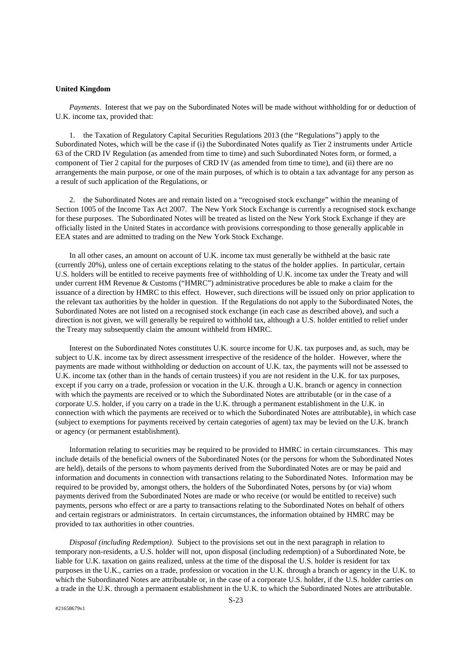#### **United Kingdom**

*Payments*. Interest that we pay on the Subordinated Notes will be made without withholding for or deduction of U.K. income tax, provided that:

1. the Taxation of Regulatory Capital Securities Regulations 2013 (the "Regulations") apply to the Subordinated Notes, which will be the case if (i) the Subordinated Notes qualify as Tier 2 instruments under Article 63 of the CRD IV Regulation (as amended from time to time) and such Subordinated Notes form, or formed, a component of Tier 2 capital for the purposes of CRD IV (as amended from time to time), and (ii) there are no arrangements the main purpose, or one of the main purposes, of which is to obtain a tax advantage for any person as a result of such application of the Regulations, or

2. the Subordinated Notes are and remain listed on a "recognised stock exchange" within the meaning of Section 1005 of the Income Tax Act 2007. The New York Stock Exchange is currently a recognised stock exchange for these purposes. The Subordinated Notes will be treated as listed on the New York Stock Exchange if they are officially listed in the United States in accordance with provisions corresponding to those generally applicable in EEA states and are admitted to trading on the New York Stock Exchange.

In all other cases, an amount on account of U.K. income tax must generally be withheld at the basic rate (currently 20%), unless one of certain exceptions relating to the status of the holder applies. In particular, certain U.S. holders will be entitled to receive payments free of withholding of U.K. income tax under the Treaty and will under current HM Revenue & Customs ("HMRC") administrative procedures be able to make a claim for the issuance of a direction by HMRC to this effect. However, such directions will be issued only on prior application to the relevant tax authorities by the holder in question. If the Regulations do not apply to the Subordinated Notes, the Subordinated Notes are not listed on a recognised stock exchange (in each case as described above), and such a direction is not given, we will generally be required to withhold tax, although a U.S. holder entitled to relief under the Treaty may subsequently claim the amount withheld from HMRC.

Interest on the Subordinated Notes constitutes U.K. source income for U.K. tax purposes and, as such, may be subject to U.K. income tax by direct assessment irrespective of the residence of the holder. However, where the payments are made without withholding or deduction on account of U.K. tax, the payments will not be assessed to U.K. income tax (other than in the hands of certain trustees) if you are not resident in the U.K. for tax purposes, except if you carry on a trade, profession or vocation in the U.K. through a U.K. branch or agency in connection with which the payments are received or to which the Subordinated Notes are attributable (or in the case of a corporate U.S. holder, if you carry on a trade in the U.K. through a permanent establishment in the U.K. in connection with which the payments are received or to which the Subordinated Notes are attributable), in which case (subject to exemptions for payments received by certain categories of agent) tax may be levied on the U.K. branch or agency (or permanent establishment).

Information relating to securities may be required to be provided to HMRC in certain circumstances. This may include details of the beneficial owners of the Subordinated Notes (or the persons for whom the Subordinated Notes are held), details of the persons to whom payments derived from the Subordinated Notes are or may be paid and information and documents in connection with transactions relating to the Subordinated Notes. Information may be required to be provided by, amongst others, the holders of the Subordinated Notes, persons by (or via) whom payments derived from the Subordinated Notes are made or who receive (or would be entitled to receive) such payments, persons who effect or are a party to transactions relating to the Subordinated Notes on behalf of others and certain registrars or administrators. In certain circumstances, the information obtained by HMRC may be provided to tax authorities in other countries.

*Disposal (including Redemption)*. Subject to the provisions set out in the next paragraph in relation to temporary non-residents, a U.S. holder will not, upon disposal (including redemption) of a Subordinated Note, be liable for U.K. taxation on gains realized, unless at the time of the disposal the U.S. holder is resident for tax purposes in the U.K., carries on a trade, profession or vocation in the U.K. through a branch or agency in the U.K. to which the Subordinated Notes are attributable or, in the case of a corporate U.S. holder, if the U.S. holder carries on a trade in the U.K. through a permanent establishment in the U.K. to which the Subordinated Notes are attributable.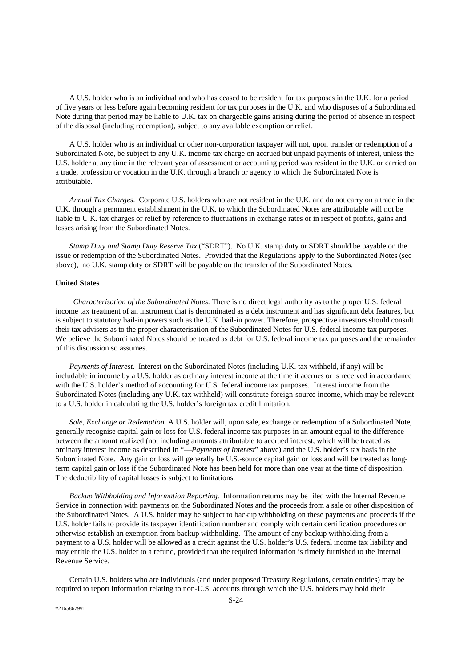A U.S. holder who is an individual and who has ceased to be resident for tax purposes in the U.K. for a period of five years or less before again becoming resident for tax purposes in the U.K. and who disposes of a Subordinated Note during that period may be liable to U.K. tax on chargeable gains arising during the period of absence in respect of the disposal (including redemption), subject to any available exemption or relief.

A U.S. holder who is an individual or other non-corporation taxpayer will not, upon transfer or redemption of a Subordinated Note, be subject to any U.K. income tax charge on accrued but unpaid payments of interest, unless the U.S. holder at any time in the relevant year of assessment or accounting period was resident in the U.K. or carried on a trade, profession or vocation in the U.K. through a branch or agency to which the Subordinated Note is attributable.

*Annual Tax Charges*. Corporate U.S. holders who are not resident in the U.K. and do not carry on a trade in the U.K. through a permanent establishment in the U.K. to which the Subordinated Notes are attributable will not be liable to U.K. tax charges or relief by reference to fluctuations in exchange rates or in respect of profits, gains and losses arising from the Subordinated Notes.

*Stamp Duty and Stamp Duty Reserve Tax* ("SDRT"). No U.K. stamp duty or SDRT should be payable on the issue or redemption of the Subordinated Notes. Provided that the Regulations apply to the Subordinated Notes (see above), no U.K. stamp duty or SDRT will be payable on the transfer of the Subordinated Notes.

# **United States**

 *Characterisation of the Subordinated Notes*. There is no direct legal authority as to the proper U.S. federal income tax treatment of an instrument that is denominated as a debt instrument and has significant debt features, but is subject to statutory bail-in powers such as the U.K. bail-in power. Therefore, prospective investors should consult their tax advisers as to the proper characterisation of the Subordinated Notes for U.S. federal income tax purposes. We believe the Subordinated Notes should be treated as debt for U.S. federal income tax purposes and the remainder of this discussion so assumes.

*Payments of Interest*. Interest on the Subordinated Notes (including U.K. tax withheld, if any) will be includable in income by a U.S. holder as ordinary interest income at the time it accrues or is received in accordance with the U.S. holder's method of accounting for U.S. federal income tax purposes. Interest income from the Subordinated Notes (including any U.K. tax withheld) will constitute foreign-source income, which may be relevant to a U.S. holder in calculating the U.S. holder's foreign tax credit limitation.

*Sale, Exchange or Redemption*. A U.S. holder will, upon sale, exchange or redemption of a Subordinated Note, generally recognise capital gain or loss for U.S. federal income tax purposes in an amount equal to the difference between the amount realized (not including amounts attributable to accrued interest, which will be treated as ordinary interest income as described in "—*Payments of Interest*" above) and the U.S. holder's tax basis in the Subordinated Note. Any gain or loss will generally be U.S.-source capital gain or loss and will be treated as longterm capital gain or loss if the Subordinated Note has been held for more than one year at the time of disposition. The deductibility of capital losses is subject to limitations.

*Backup Withholding and Information Reporting*. Information returns may be filed with the Internal Revenue Service in connection with payments on the Subordinated Notes and the proceeds from a sale or other disposition of the Subordinated Notes. A U.S. holder may be subject to backup withholding on these payments and proceeds if the U.S. holder fails to provide its taxpayer identification number and comply with certain certification procedures or otherwise establish an exemption from backup withholding. The amount of any backup withholding from a payment to a U.S. holder will be allowed as a credit against the U.S. holder's U.S. federal income tax liability and may entitle the U.S. holder to a refund, provided that the required information is timely furnished to the Internal Revenue Service.

Certain U.S. holders who are individuals (and under proposed Treasury Regulations, certain entities) may be required to report information relating to non-U.S. accounts through which the U.S. holders may hold their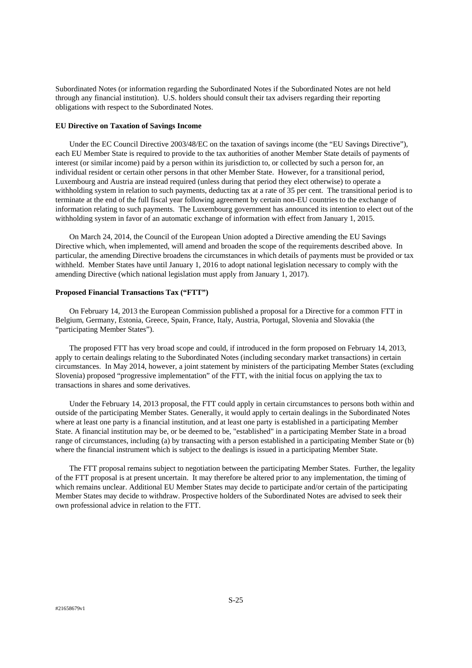Subordinated Notes (or information regarding the Subordinated Notes if the Subordinated Notes are not held through any financial institution). U.S. holders should consult their tax advisers regarding their reporting obligations with respect to the Subordinated Notes.

# **EU Directive on Taxation of Savings Income**

Under the EC Council Directive 2003/48/EC on the taxation of savings income (the "EU Savings Directive"), each EU Member State is required to provide to the tax authorities of another Member State details of payments of interest (or similar income) paid by a person within its jurisdiction to, or collected by such a person for, an individual resident or certain other persons in that other Member State. However, for a transitional period, Luxembourg and Austria are instead required (unless during that period they elect otherwise) to operate a withholding system in relation to such payments, deducting tax at a rate of 35 per cent. The transitional period is to terminate at the end of the full fiscal year following agreement by certain non-EU countries to the exchange of information relating to such payments. The Luxembourg government has announced its intention to elect out of the withholding system in favor of an automatic exchange of information with effect from January 1, 2015.

On March 24, 2014, the Council of the European Union adopted a Directive amending the EU Savings Directive which, when implemented, will amend and broaden the scope of the requirements described above. In particular, the amending Directive broadens the circumstances in which details of payments must be provided or tax withheld. Member States have until January 1, 2016 to adopt national legislation necessary to comply with the amending Directive (which national legislation must apply from January 1, 2017).

# **Proposed Financial Transactions Tax ("FTT")**

On February 14, 2013 the European Commission published a proposal for a Directive for a common FTT in Belgium, Germany, Estonia, Greece, Spain, France, Italy, Austria, Portugal, Slovenia and Slovakia (the "participating Member States").

The proposed FTT has very broad scope and could, if introduced in the form proposed on February 14, 2013, apply to certain dealings relating to the Subordinated Notes (including secondary market transactions) in certain circumstances. In May 2014, however, a joint statement by ministers of the participating Member States (excluding Slovenia) proposed "progressive implementation" of the FTT, with the initial focus on applying the tax to transactions in shares and some derivatives.

Under the February 14, 2013 proposal, the FTT could apply in certain circumstances to persons both within and outside of the participating Member States. Generally, it would apply to certain dealings in the Subordinated Notes where at least one party is a financial institution, and at least one party is established in a participating Member State. A financial institution may be, or be deemed to be, "established" in a participating Member State in a broad range of circumstances, including (a) by transacting with a person established in a participating Member State or (b) where the financial instrument which is subject to the dealings is issued in a participating Member State.

The FTT proposal remains subject to negotiation between the participating Member States. Further, the legality of the FTT proposal is at present uncertain. It may therefore be altered prior to any implementation, the timing of which remains unclear. Additional EU Member States may decide to participate and/or certain of the participating Member States may decide to withdraw. Prospective holders of the Subordinated Notes are advised to seek their own professional advice in relation to the FTT.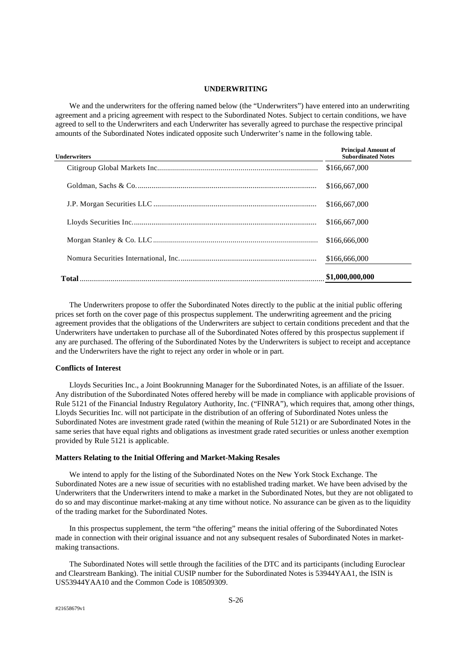# **UNDERWRITING**

We and the underwriters for the offering named below (the "Underwriters") have entered into an underwriting agreement and a pricing agreement with respect to the Subordinated Notes. Subject to certain conditions, we have agreed to sell to the Underwriters and each Underwriter has severally agreed to purchase the respective principal amounts of the Subordinated Notes indicated opposite such Underwriter's name in the following table.

| Underwriters | <b>Subordinated Notes</b> |
|--------------|---------------------------|
|              | \$166,667,000             |
|              | \$166,667,000             |
|              | \$166,667,000             |
|              | \$166,667,000             |
|              | \$166,666,000             |
|              | \$166,666,000             |
|              | \$1,000,000,000           |

The Underwriters propose to offer the Subordinated Notes directly to the public at the initial public offering prices set forth on the cover page of this prospectus supplement. The underwriting agreement and the pricing agreement provides that the obligations of the Underwriters are subject to certain conditions precedent and that the Underwriters have undertaken to purchase all of the Subordinated Notes offered by this prospectus supplement if any are purchased. The offering of the Subordinated Notes by the Underwriters is subject to receipt and acceptance and the Underwriters have the right to reject any order in whole or in part.

# **Conflicts of Interest**

Lloyds Securities Inc., a Joint Bookrunning Manager for the Subordinated Notes, is an affiliate of the Issuer. Any distribution of the Subordinated Notes offered hereby will be made in compliance with applicable provisions of Rule 5121 of the Financial Industry Regulatory Authority, Inc. ("FINRA"), which requires that, among other things, Lloyds Securities Inc. will not participate in the distribution of an offering of Subordinated Notes unless the Subordinated Notes are investment grade rated (within the meaning of Rule 5121) or are Subordinated Notes in the same series that have equal rights and obligations as investment grade rated securities or unless another exemption provided by Rule 5121 is applicable.

# **Matters Relating to the Initial Offering and Market-Making Resales**

We intend to apply for the listing of the Subordinated Notes on the New York Stock Exchange. The Subordinated Notes are a new issue of securities with no established trading market. We have been advised by the Underwriters that the Underwriters intend to make a market in the Subordinated Notes, but they are not obligated to do so and may discontinue market-making at any time without notice. No assurance can be given as to the liquidity of the trading market for the Subordinated Notes.

In this prospectus supplement, the term "the offering" means the initial offering of the Subordinated Notes made in connection with their original issuance and not any subsequent resales of Subordinated Notes in marketmaking transactions.

 The Subordinated Notes will settle through the facilities of the DTC and its participants (including Euroclear and Clearstream Banking). The initial CUSIP number for the Subordinated Notes is 53944YAA1, the ISIN is US53944YAA10 and the Common Code is 108509309.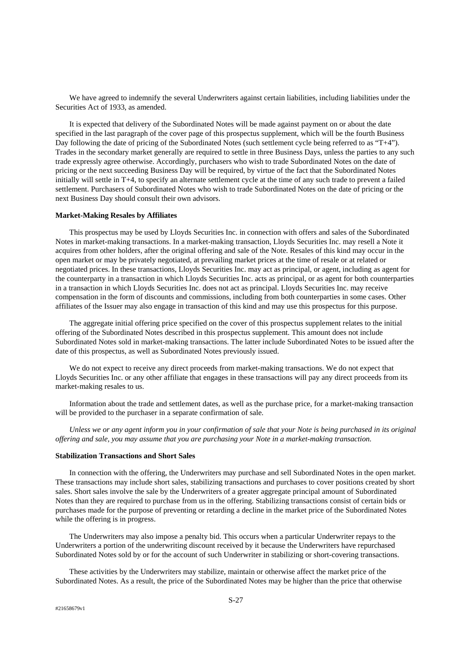We have agreed to indemnify the several Underwriters against certain liabilities, including liabilities under the Securities Act of 1933, as amended.

It is expected that delivery of the Subordinated Notes will be made against payment on or about the date specified in the last paragraph of the cover page of this prospectus supplement, which will be the fourth Business Day following the date of pricing of the Subordinated Notes (such settlement cycle being referred to as "T+4"). Trades in the secondary market generally are required to settle in three Business Days, unless the parties to any such trade expressly agree otherwise. Accordingly, purchasers who wish to trade Subordinated Notes on the date of pricing or the next succeeding Business Day will be required, by virtue of the fact that the Subordinated Notes initially will settle in T+4, to specify an alternate settlement cycle at the time of any such trade to prevent a failed settlement. Purchasers of Subordinated Notes who wish to trade Subordinated Notes on the date of pricing or the next Business Day should consult their own advisors.

### **Market-Making Resales by Affiliates**

This prospectus may be used by Lloyds Securities Inc. in connection with offers and sales of the Subordinated Notes in market-making transactions. In a market-making transaction, Lloyds Securities Inc. may resell a Note it acquires from other holders, after the original offering and sale of the Note. Resales of this kind may occur in the open market or may be privately negotiated, at prevailing market prices at the time of resale or at related or negotiated prices. In these transactions, Lloyds Securities Inc. may act as principal, or agent, including as agent for the counterparty in a transaction in which Lloyds Securities Inc. acts as principal, or as agent for both counterparties in a transaction in which Lloyds Securities Inc. does not act as principal. Lloyds Securities Inc. may receive compensation in the form of discounts and commissions, including from both counterparties in some cases. Other affiliates of the Issuer may also engage in transaction of this kind and may use this prospectus for this purpose.

The aggregate initial offering price specified on the cover of this prospectus supplement relates to the initial offering of the Subordinated Notes described in this prospectus supplement. This amount does not include Subordinated Notes sold in market-making transactions. The latter include Subordinated Notes to be issued after the date of this prospectus, as well as Subordinated Notes previously issued.

We do not expect to receive any direct proceeds from market-making transactions. We do not expect that Lloyds Securities Inc. or any other affiliate that engages in these transactions will pay any direct proceeds from its market-making resales to us.

Information about the trade and settlement dates, as well as the purchase price, for a market-making transaction will be provided to the purchaser in a separate confirmation of sale.

*Unless we or any agent inform you in your confirmation of sale that your Note is being purchased in its original offering and sale, you may assume that you are purchasing your Note in a market-making transaction.*

#### **Stabilization Transactions and Short Sales**

In connection with the offering, the Underwriters may purchase and sell Subordinated Notes in the open market. These transactions may include short sales, stabilizing transactions and purchases to cover positions created by short sales. Short sales involve the sale by the Underwriters of a greater aggregate principal amount of Subordinated Notes than they are required to purchase from us in the offering. Stabilizing transactions consist of certain bids or purchases made for the purpose of preventing or retarding a decline in the market price of the Subordinated Notes while the offering is in progress.

The Underwriters may also impose a penalty bid. This occurs when a particular Underwriter repays to the Underwriters a portion of the underwriting discount received by it because the Underwriters have repurchased Subordinated Notes sold by or for the account of such Underwriter in stabilizing or short-covering transactions.

These activities by the Underwriters may stabilize, maintain or otherwise affect the market price of the Subordinated Notes. As a result, the price of the Subordinated Notes may be higher than the price that otherwise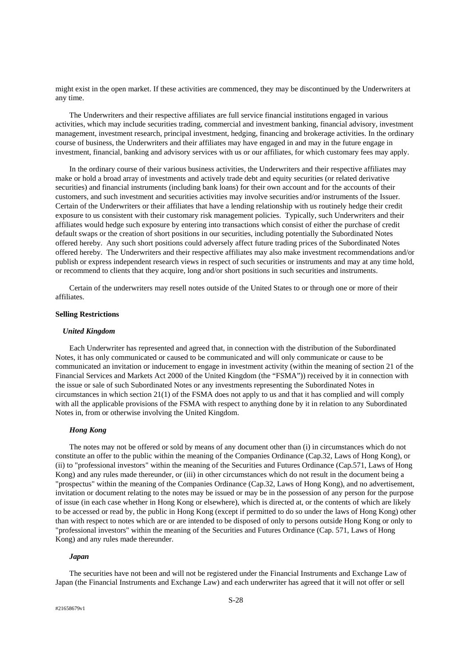might exist in the open market. If these activities are commenced, they may be discontinued by the Underwriters at any time.

The Underwriters and their respective affiliates are full service financial institutions engaged in various activities, which may include securities trading, commercial and investment banking, financial advisory, investment management, investment research, principal investment, hedging, financing and brokerage activities. In the ordinary course of business, the Underwriters and their affiliates may have engaged in and may in the future engage in investment, financial, banking and advisory services with us or our affiliates, for which customary fees may apply.

In the ordinary course of their various business activities, the Underwriters and their respective affiliates may make or hold a broad array of investments and actively trade debt and equity securities (or related derivative securities) and financial instruments (including bank loans) for their own account and for the accounts of their customers, and such investment and securities activities may involve securities and/or instruments of the Issuer. Certain of the Underwriters or their affiliates that have a lending relationship with us routinely hedge their credit exposure to us consistent with their customary risk management policies. Typically, such Underwriters and their affiliates would hedge such exposure by entering into transactions which consist of either the purchase of credit default swaps or the creation of short positions in our securities, including potentially the Subordinated Notes offered hereby. Any such short positions could adversely affect future trading prices of the Subordinated Notes offered hereby. The Underwriters and their respective affiliates may also make investment recommendations and/or publish or express independent research views in respect of such securities or instruments and may at any time hold, or recommend to clients that they acquire, long and/or short positions in such securities and instruments.

Certain of the underwriters may resell notes outside of the United States to or through one or more of their affiliates.

# **Selling Restrictions**

#### *United Kingdom*

Each Underwriter has represented and agreed that, in connection with the distribution of the Subordinated Notes, it has only communicated or caused to be communicated and will only communicate or cause to be communicated an invitation or inducement to engage in investment activity (within the meaning of section 21 of the Financial Services and Markets Act 2000 of the United Kingdom (the "FSMA")) received by it in connection with the issue or sale of such Subordinated Notes or any investments representing the Subordinated Notes in circumstances in which section 21(1) of the FSMA does not apply to us and that it has complied and will comply with all the applicable provisions of the FSMA with respect to anything done by it in relation to any Subordinated Notes in, from or otherwise involving the United Kingdom.

# *Hong Kong*

The notes may not be offered or sold by means of any document other than (i) in circumstances which do not constitute an offer to the public within the meaning of the Companies Ordinance (Cap.32, Laws of Hong Kong), or (ii) to "professional investors" within the meaning of the Securities and Futures Ordinance (Cap.571, Laws of Hong Kong) and any rules made thereunder, or (iii) in other circumstances which do not result in the document being a "prospectus" within the meaning of the Companies Ordinance (Cap.32, Laws of Hong Kong), and no advertisement, invitation or document relating to the notes may be issued or may be in the possession of any person for the purpose of issue (in each case whether in Hong Kong or elsewhere), which is directed at, or the contents of which are likely to be accessed or read by, the public in Hong Kong (except if permitted to do so under the laws of Hong Kong) other than with respect to notes which are or are intended to be disposed of only to persons outside Hong Kong or only to "professional investors" within the meaning of the Securities and Futures Ordinance (Cap. 571, Laws of Hong Kong) and any rules made thereunder.

#### *Japan*

The securities have not been and will not be registered under the Financial Instruments and Exchange Law of Japan (the Financial Instruments and Exchange Law) and each underwriter has agreed that it will not offer or sell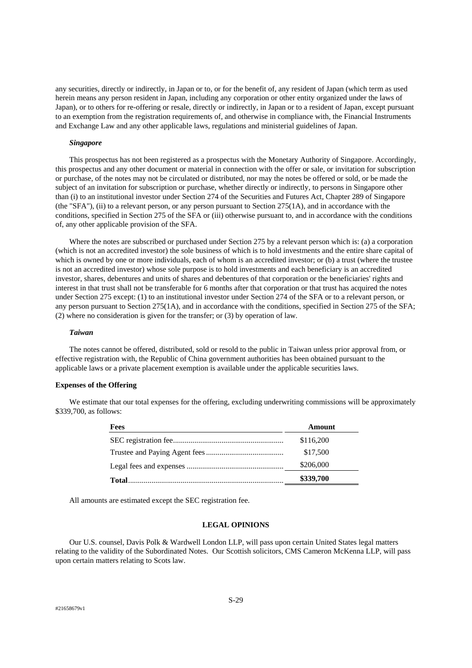any securities, directly or indirectly, in Japan or to, or for the benefit of, any resident of Japan (which term as used herein means any person resident in Japan, including any corporation or other entity organized under the laws of Japan), or to others for re-offering or resale, directly or indirectly, in Japan or to a resident of Japan, except pursuant to an exemption from the registration requirements of, and otherwise in compliance with, the Financial Instruments and Exchange Law and any other applicable laws, regulations and ministerial guidelines of Japan.

# *Singapore*

This prospectus has not been registered as a prospectus with the Monetary Authority of Singapore. Accordingly, this prospectus and any other document or material in connection with the offer or sale, or invitation for subscription or purchase, of the notes may not be circulated or distributed, nor may the notes be offered or sold, or be made the subject of an invitation for subscription or purchase, whether directly or indirectly, to persons in Singapore other than (i) to an institutional investor under Section 274 of the Securities and Futures Act, Chapter 289 of Singapore (the "SFA"), (ii) to a relevant person, or any person pursuant to Section 275(1A), and in accordance with the conditions, specified in Section 275 of the SFA or (iii) otherwise pursuant to, and in accordance with the conditions of, any other applicable provision of the SFA.

Where the notes are subscribed or purchased under Section 275 by a relevant person which is: (a) a corporation (which is not an accredited investor) the sole business of which is to hold investments and the entire share capital of which is owned by one or more individuals, each of whom is an accredited investor; or (b) a trust (where the trustee is not an accredited investor) whose sole purpose is to hold investments and each beneficiary is an accredited investor, shares, debentures and units of shares and debentures of that corporation or the beneficiaries' rights and interest in that trust shall not be transferable for 6 months after that corporation or that trust has acquired the notes under Section 275 except: (1) to an institutional investor under Section 274 of the SFA or to a relevant person, or any person pursuant to Section 275(1A), and in accordance with the conditions, specified in Section 275 of the SFA; (2) where no consideration is given for the transfer; or (3) by operation of law.

#### *Taiwan*

The notes cannot be offered, distributed, sold or resold to the public in Taiwan unless prior approval from, or effective registration with, the Republic of China government authorities has been obtained pursuant to the applicable laws or a private placement exemption is available under the applicable securities laws.

# **Expenses of the Offering**

We estimate that our total expenses for the offering, excluding underwriting commissions will be approximately \$339,700, as follows:

| Fees | Amount    |
|------|-----------|
|      | \$116,200 |
|      | \$17,500  |
|      | \$206,000 |
|      | \$339,700 |

All amounts are estimated except the SEC registration fee.

# **LEGAL OPINIONS**

Our U.S. counsel, Davis Polk & Wardwell London LLP, will pass upon certain United States legal matters relating to the validity of the Subordinated Notes. Our Scottish solicitors, CMS Cameron McKenna LLP, will pass upon certain matters relating to Scots law.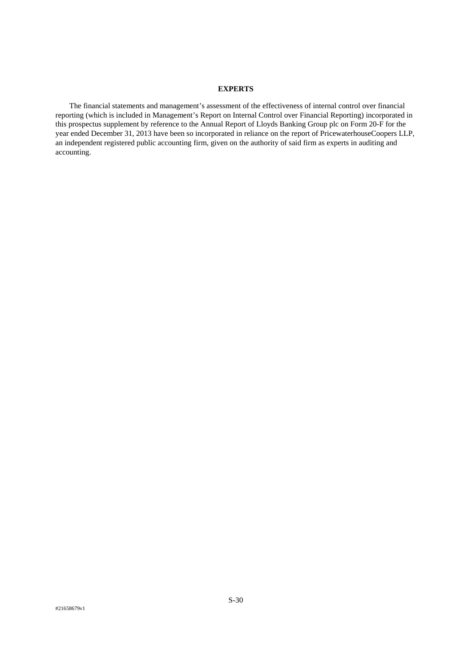# **EXPERTS**

The financial statements and management's assessment of the effectiveness of internal control over financial reporting (which is included in Management's Report on Internal Control over Financial Reporting) incorporated in this prospectus supplement by reference to the Annual Report of Lloyds Banking Group plc on Form 20-F for the year ended December 31, 2013 have been so incorporated in reliance on the report of PricewaterhouseCoopers LLP, an independent registered public accounting firm, given on the authority of said firm as experts in auditing and accounting.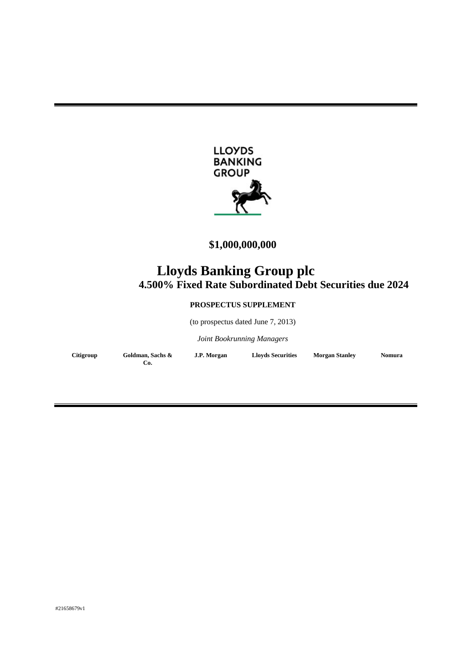

# **\$1,000,000,000**

# **Lloyds Banking Group plc 4.500% Fixed Rate Subordinated Debt Securities due 2024**

# **PROSPECTUS SUPPLEMENT**

(to prospectus dated June 7, 2013)

*Joint Bookrunning Managers* 

| Citigroup | Goldman, Sachs & | J.P. Morgan | <b>Lloyds Securities</b> | <b>Morgan Stanley</b> | <b>Nomura</b> |
|-----------|------------------|-------------|--------------------------|-----------------------|---------------|
|           | Co.              |             |                          |                       |               |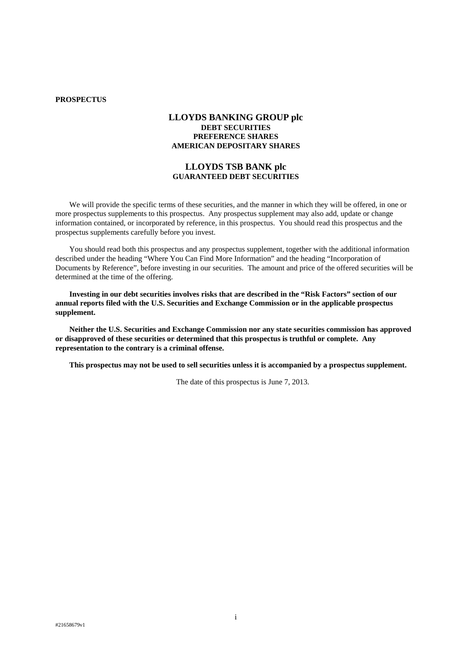# **PROSPECTUS**

# **LLOYDS BANKING GROUP plc DEBT SECURITIES PREFERENCE SHARES AMERICAN DEPOSITARY SHARES**

# **LLOYDS TSB BANK plc GUARANTEED DEBT SECURITIES**

We will provide the specific terms of these securities, and the manner in which they will be offered, in one or more prospectus supplements to this prospectus. Any prospectus supplement may also add, update or change information contained, or incorporated by reference, in this prospectus. You should read this prospectus and the prospectus supplements carefully before you invest.

You should read both this prospectus and any prospectus supplement, together with the additional information described under the heading "Where You Can Find More Information" and the heading "Incorporation of Documents by Reference", before investing in our securities. The amount and price of the offered securities will be determined at the time of the offering.

**Investing in our debt securities involves risks that are described in the "Risk Factors" section of our annual reports filed with the U.S. Securities and Exchange Commission or in the applicable prospectus supplement.** 

**Neither the U.S. Securities and Exchange Commission nor any state securities commission has approved or disapproved of these securities or determined that this prospectus is truthful or complete. Any representation to the contrary is a criminal offense.** 

**This prospectus may not be used to sell securities unless it is accompanied by a prospectus supplement.** 

The date of this prospectus is June 7, 2013.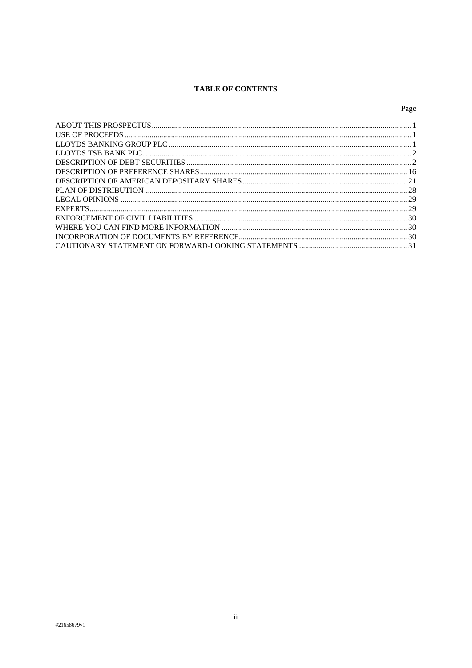# **TABLE OF CONTENTS**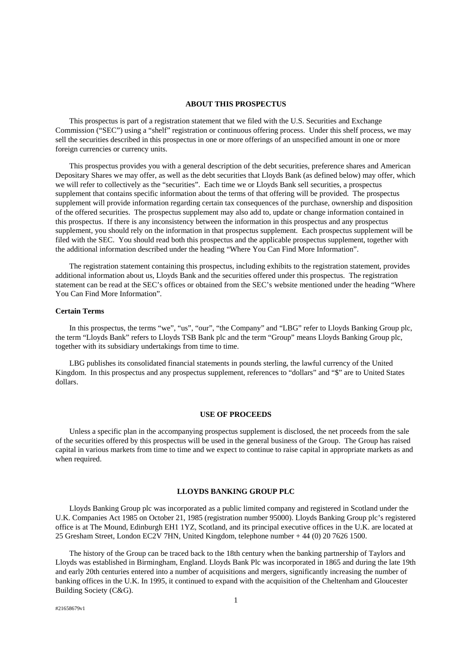#### **ABOUT THIS PROSPECTUS**

This prospectus is part of a registration statement that we filed with the U.S. Securities and Exchange Commission ("SEC") using a "shelf" registration or continuous offering process. Under this shelf process, we may sell the securities described in this prospectus in one or more offerings of an unspecified amount in one or more foreign currencies or currency units.

This prospectus provides you with a general description of the debt securities, preference shares and American Depositary Shares we may offer, as well as the debt securities that Lloyds Bank (as defined below) may offer, which we will refer to collectively as the "securities". Each time we or Lloyds Bank sell securities, a prospectus supplement that contains specific information about the terms of that offering will be provided. The prospectus supplement will provide information regarding certain tax consequences of the purchase, ownership and disposition of the offered securities. The prospectus supplement may also add to, update or change information contained in this prospectus. If there is any inconsistency between the information in this prospectus and any prospectus supplement, you should rely on the information in that prospectus supplement. Each prospectus supplement will be filed with the SEC. You should read both this prospectus and the applicable prospectus supplement, together with the additional information described under the heading "Where You Can Find More Information".

The registration statement containing this prospectus, including exhibits to the registration statement, provides additional information about us, Lloyds Bank and the securities offered under this prospectus. The registration statement can be read at the SEC's offices or obtained from the SEC's website mentioned under the heading "Where You Can Find More Information".

# **Certain Terms**

In this prospectus, the terms "we", "us", "our", "the Company" and "LBG" refer to Lloyds Banking Group plc, the term "Lloyds Bank" refers to Lloyds TSB Bank plc and the term "Group" means Lloyds Banking Group plc, together with its subsidiary undertakings from time to time.

LBG publishes its consolidated financial statements in pounds sterling, the lawful currency of the United Kingdom. In this prospectus and any prospectus supplement, references to "dollars" and "\$" are to United States dollars.

# **USE OF PROCEEDS**

Unless a specific plan in the accompanying prospectus supplement is disclosed, the net proceeds from the sale of the securities offered by this prospectus will be used in the general business of the Group. The Group has raised capital in various markets from time to time and we expect to continue to raise capital in appropriate markets as and when required.

# **LLOYDS BANKING GROUP PLC**

Lloyds Banking Group plc was incorporated as a public limited company and registered in Scotland under the U.K. Companies Act 1985 on October 21, 1985 (registration number 95000). Lloyds Banking Group plc's registered office is at The Mound, Edinburgh EH1 1YZ, Scotland, and its principal executive offices in the U.K. are located at 25 Gresham Street, London EC2V 7HN, United Kingdom, telephone number + 44 (0) 20 7626 1500.

The history of the Group can be traced back to the 18th century when the banking partnership of Taylors and Lloyds was established in Birmingham, England. Lloyds Bank Plc was incorporated in 1865 and during the late 19th and early 20th centuries entered into a number of acquisitions and mergers, significantly increasing the number of banking offices in the U.K. In 1995, it continued to expand with the acquisition of the Cheltenham and Gloucester Building Society (C&G).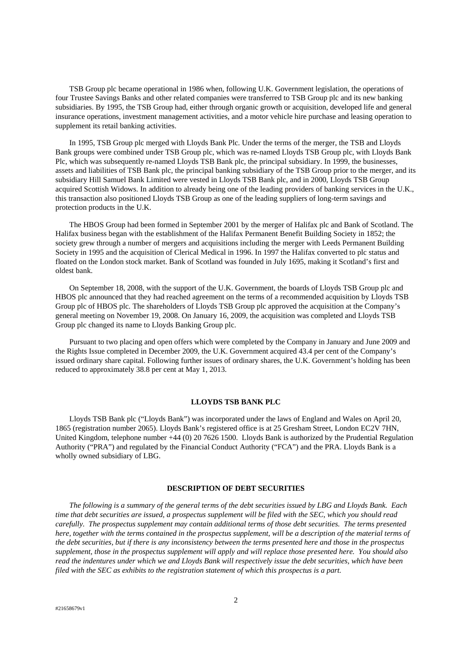TSB Group plc became operational in 1986 when, following U.K. Government legislation, the operations of four Trustee Savings Banks and other related companies were transferred to TSB Group plc and its new banking subsidiaries. By 1995, the TSB Group had, either through organic growth or acquisition, developed life and general insurance operations, investment management activities, and a motor vehicle hire purchase and leasing operation to supplement its retail banking activities.

In 1995, TSB Group plc merged with Lloyds Bank Plc. Under the terms of the merger, the TSB and Lloyds Bank groups were combined under TSB Group plc, which was re-named Lloyds TSB Group plc, with Lloyds Bank Plc, which was subsequently re-named Lloyds TSB Bank plc, the principal subsidiary. In 1999, the businesses, assets and liabilities of TSB Bank plc, the principal banking subsidiary of the TSB Group prior to the merger, and its subsidiary Hill Samuel Bank Limited were vested in Lloyds TSB Bank plc, and in 2000, Lloyds TSB Group acquired Scottish Widows. In addition to already being one of the leading providers of banking services in the U.K., this transaction also positioned Lloyds TSB Group as one of the leading suppliers of long-term savings and protection products in the U.K.

The HBOS Group had been formed in September 2001 by the merger of Halifax plc and Bank of Scotland. The Halifax business began with the establishment of the Halifax Permanent Benefit Building Society in 1852; the society grew through a number of mergers and acquisitions including the merger with Leeds Permanent Building Society in 1995 and the acquisition of Clerical Medical in 1996. In 1997 the Halifax converted to plc status and floated on the London stock market. Bank of Scotland was founded in July 1695, making it Scotland's first and oldest bank.

On September 18, 2008, with the support of the U.K. Government, the boards of Lloyds TSB Group plc and HBOS plc announced that they had reached agreement on the terms of a recommended acquisition by Lloyds TSB Group plc of HBOS plc. The shareholders of Lloyds TSB Group plc approved the acquisition at the Company's general meeting on November 19, 2008. On January 16, 2009, the acquisition was completed and Lloyds TSB Group plc changed its name to Lloyds Banking Group plc.

Pursuant to two placing and open offers which were completed by the Company in January and June 2009 and the Rights Issue completed in December 2009, the U.K. Government acquired 43.4 per cent of the Company's issued ordinary share capital. Following further issues of ordinary shares, the U.K. Government's holding has been reduced to approximately 38.8 per cent at May 1, 2013.

# **LLOYDS TSB BANK PLC**

Lloyds TSB Bank plc ("Lloyds Bank") was incorporated under the laws of England and Wales on April 20, 1865 (registration number 2065). Lloyds Bank's registered office is at 25 Gresham Street, London EC2V 7HN, United Kingdom, telephone number +44 (0) 20 7626 1500. Lloyds Bank is authorized by the Prudential Regulation Authority ("PRA") and regulated by the Financial Conduct Authority ("FCA") and the PRA. Lloyds Bank is a wholly owned subsidiary of LBG.

# **DESCRIPTION OF DEBT SECURITIES**

*The following is a summary of the general terms of the debt securities issued by LBG and Lloyds Bank. Each time that debt securities are issued, a prospectus supplement will be filed with the SEC, which you should read carefully. The prospectus supplement may contain additional terms of those debt securities. The terms presented here, together with the terms contained in the prospectus supplement, will be a description of the material terms of the debt securities, but if there is any inconsistency between the terms presented here and those in the prospectus supplement, those in the prospectus supplement will apply and will replace those presented here. You should also read the indentures under which we and Lloyds Bank will respectively issue the debt securities, which have been filed with the SEC as exhibits to the registration statement of which this prospectus is a part.*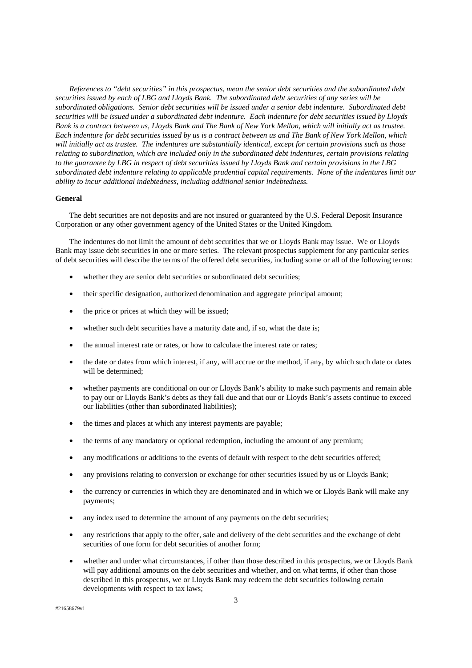*References to "debt securities" in this prospectus, mean the senior debt securities and the subordinated debt securities issued by each of LBG and Lloyds Bank. The subordinated debt securities of any series will be subordinated obligations. Senior debt securities will be issued under a senior debt indenture. Subordinated debt securities will be issued under a subordinated debt indenture. Each indenture for debt securities issued by Lloyds Bank is a contract between us, Lloyds Bank and The Bank of New York Mellon, which will initially act as trustee. Each indenture for debt securities issued by us is a contract between us and The Bank of New York Mellon, which will initially act as trustee. The indentures are substantially identical, except for certain provisions such as those relating to subordination, which are included only in the subordinated debt indentures, certain provisions relating to the guarantee by LBG in respect of debt securities issued by Lloyds Bank and certain provisions in the LBG subordinated debt indenture relating to applicable prudential capital requirements. None of the indentures limit our ability to incur additional indebtedness, including additional senior indebtedness.*

# **General**

The debt securities are not deposits and are not insured or guaranteed by the U.S. Federal Deposit Insurance Corporation or any other government agency of the United States or the United Kingdom.

The indentures do not limit the amount of debt securities that we or Lloyds Bank may issue. We or Lloyds Bank may issue debt securities in one or more series. The relevant prospectus supplement for any particular series of debt securities will describe the terms of the offered debt securities, including some or all of the following terms:

- whether they are senior debt securities or subordinated debt securities;
- their specific designation, authorized denomination and aggregate principal amount;
- the price or prices at which they will be issued;
- whether such debt securities have a maturity date and, if so, what the date is;
- the annual interest rate or rates, or how to calculate the interest rate or rates;
- the date or dates from which interest, if any, will accrue or the method, if any, by which such date or dates will be determined;
- whether payments are conditional on our or Lloyds Bank's ability to make such payments and remain able to pay our or Lloyds Bank's debts as they fall due and that our or Lloyds Bank's assets continue to exceed our liabilities (other than subordinated liabilities);
- the times and places at which any interest payments are payable;
- the terms of any mandatory or optional redemption, including the amount of any premium;
- any modifications or additions to the events of default with respect to the debt securities offered;
- any provisions relating to conversion or exchange for other securities issued by us or Lloyds Bank;
- the currency or currencies in which they are denominated and in which we or Lloyds Bank will make any payments;
- any index used to determine the amount of any payments on the debt securities;
- any restrictions that apply to the offer, sale and delivery of the debt securities and the exchange of debt securities of one form for debt securities of another form;
- whether and under what circumstances, if other than those described in this prospectus, we or Lloyds Bank will pay additional amounts on the debt securities and whether, and on what terms, if other than those described in this prospectus, we or Lloyds Bank may redeem the debt securities following certain developments with respect to tax laws;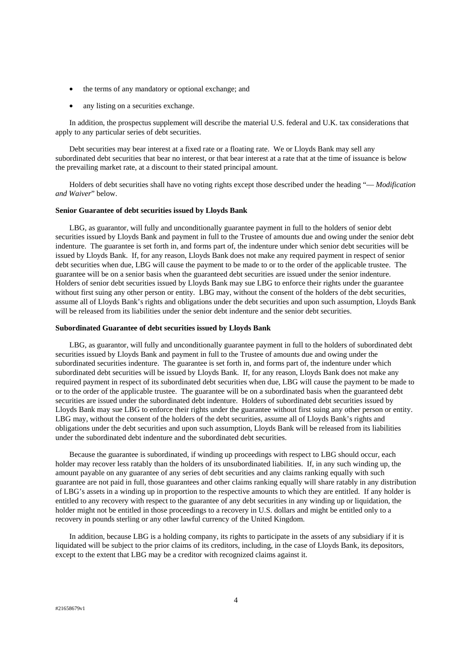- the terms of any mandatory or optional exchange; and
- any listing on a securities exchange.

In addition, the prospectus supplement will describe the material U.S. federal and U.K. tax considerations that apply to any particular series of debt securities.

Debt securities may bear interest at a fixed rate or a floating rate. We or Lloyds Bank may sell any subordinated debt securities that bear no interest, or that bear interest at a rate that at the time of issuance is below the prevailing market rate, at a discount to their stated principal amount.

Holders of debt securities shall have no voting rights except those described under the heading "— *Modification and Waiver*" below.

#### **Senior Guarantee of debt securities issued by Lloyds Bank**

LBG, as guarantor, will fully and unconditionally guarantee payment in full to the holders of senior debt securities issued by Lloyds Bank and payment in full to the Trustee of amounts due and owing under the senior debt indenture. The guarantee is set forth in, and forms part of, the indenture under which senior debt securities will be issued by Lloyds Bank. If, for any reason, Lloyds Bank does not make any required payment in respect of senior debt securities when due, LBG will cause the payment to be made to or to the order of the applicable trustee. The guarantee will be on a senior basis when the guaranteed debt securities are issued under the senior indenture. Holders of senior debt securities issued by Lloyds Bank may sue LBG to enforce their rights under the guarantee without first suing any other person or entity. LBG may, without the consent of the holders of the debt securities, assume all of Lloyds Bank's rights and obligations under the debt securities and upon such assumption, Lloyds Bank will be released from its liabilities under the senior debt indenture and the senior debt securities.

# **Subordinated Guarantee of debt securities issued by Lloyds Bank**

LBG, as guarantor, will fully and unconditionally guarantee payment in full to the holders of subordinated debt securities issued by Lloyds Bank and payment in full to the Trustee of amounts due and owing under the subordinated securities indenture. The guarantee is set forth in, and forms part of, the indenture under which subordinated debt securities will be issued by Lloyds Bank. If, for any reason, Lloyds Bank does not make any required payment in respect of its subordinated debt securities when due, LBG will cause the payment to be made to or to the order of the applicable trustee. The guarantee will be on a subordinated basis when the guaranteed debt securities are issued under the subordinated debt indenture. Holders of subordinated debt securities issued by Lloyds Bank may sue LBG to enforce their rights under the guarantee without first suing any other person or entity. LBG may, without the consent of the holders of the debt securities, assume all of Lloyds Bank's rights and obligations under the debt securities and upon such assumption, Lloyds Bank will be released from its liabilities under the subordinated debt indenture and the subordinated debt securities.

Because the guarantee is subordinated, if winding up proceedings with respect to LBG should occur, each holder may recover less ratably than the holders of its unsubordinated liabilities. If, in any such winding up, the amount payable on any guarantee of any series of debt securities and any claims ranking equally with such guarantee are not paid in full, those guarantees and other claims ranking equally will share ratably in any distribution of LBG's assets in a winding up in proportion to the respective amounts to which they are entitled. If any holder is entitled to any recovery with respect to the guarantee of any debt securities in any winding up or liquidation, the holder might not be entitled in those proceedings to a recovery in U.S. dollars and might be entitled only to a recovery in pounds sterling or any other lawful currency of the United Kingdom.

In addition, because LBG is a holding company, its rights to participate in the assets of any subsidiary if it is liquidated will be subject to the prior claims of its creditors, including, in the case of Lloyds Bank, its depositors, except to the extent that LBG may be a creditor with recognized claims against it.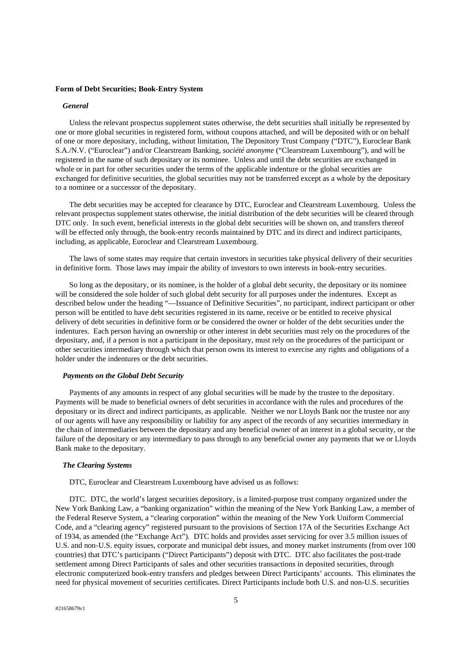#### **Form of Debt Securities; Book-Entry System**

## *General*

Unless the relevant prospectus supplement states otherwise, the debt securities shall initially be represented by one or more global securities in registered form, without coupons attached, and will be deposited with or on behalf of one or more depositary, including, without limitation, The Depository Trust Company ("DTC"), Euroclear Bank S.A./N.V. ("Euroclear") and/or Clearstream Banking, *société anonyme* ("Clearstream Luxembourg"), and will be registered in the name of such depositary or its nominee. Unless and until the debt securities are exchanged in whole or in part for other securities under the terms of the applicable indenture or the global securities are exchanged for definitive securities, the global securities may not be transferred except as a whole by the depositary to a nominee or a successor of the depositary.

The debt securities may be accepted for clearance by DTC, Euroclear and Clearstream Luxembourg. Unless the relevant prospectus supplement states otherwise, the initial distribution of the debt securities will be cleared through DTC only. In such event, beneficial interests in the global debt securities will be shown on, and transfers thereof will be effected only through, the book-entry records maintained by DTC and its direct and indirect participants, including, as applicable, Euroclear and Clearstream Luxembourg.

The laws of some states may require that certain investors in securities take physical delivery of their securities in definitive form. Those laws may impair the ability of investors to own interests in book-entry securities.

So long as the depositary, or its nominee, is the holder of a global debt security, the depositary or its nominee will be considered the sole holder of such global debt security for all purposes under the indentures. Except as described below under the heading "—Issuance of Definitive Securities", no participant, indirect participant or other person will be entitled to have debt securities registered in its name, receive or be entitled to receive physical delivery of debt securities in definitive form or be considered the owner or holder of the debt securities under the indentures. Each person having an ownership or other interest in debt securities must rely on the procedures of the depositary, and, if a person is not a participant in the depositary, must rely on the procedures of the participant or other securities intermediary through which that person owns its interest to exercise any rights and obligations of a holder under the indentures or the debt securities.

#### *Payments on the Global Debt Security*

Payments of any amounts in respect of any global securities will be made by the trustee to the depositary. Payments will be made to beneficial owners of debt securities in accordance with the rules and procedures of the depositary or its direct and indirect participants, as applicable. Neither we nor Lloyds Bank nor the trustee nor any of our agents will have any responsibility or liability for any aspect of the records of any securities intermediary in the chain of intermediaries between the depositary and any beneficial owner of an interest in a global security, or the failure of the depositary or any intermediary to pass through to any beneficial owner any payments that we or Lloyds Bank make to the depositary.

# *The Clearing Systems*

DTC, Euroclear and Clearstream Luxembourg have advised us as follows:

DTC. DTC, the world's largest securities depository, is a limited-purpose trust company organized under the New York Banking Law, a "banking organization" within the meaning of the New York Banking Law, a member of the Federal Reserve System, a "clearing corporation" within the meaning of the New York Uniform Commercial Code, and a "clearing agency" registered pursuant to the provisions of Section 17A of the Securities Exchange Act of 1934, as amended (the "Exchange Act"). DTC holds and provides asset servicing for over 3.5 million issues of U.S. and non-U.S. equity issues, corporate and municipal debt issues, and money market instruments (from over 100 countries) that DTC's participants ("Direct Participants") deposit with DTC. DTC also facilitates the post-trade settlement among Direct Participants of sales and other securities transactions in deposited securities, through electronic computerized book-entry transfers and pledges between Direct Participants' accounts. This eliminates the need for physical movement of securities certificates. Direct Participants include both U.S. and non-U.S. securities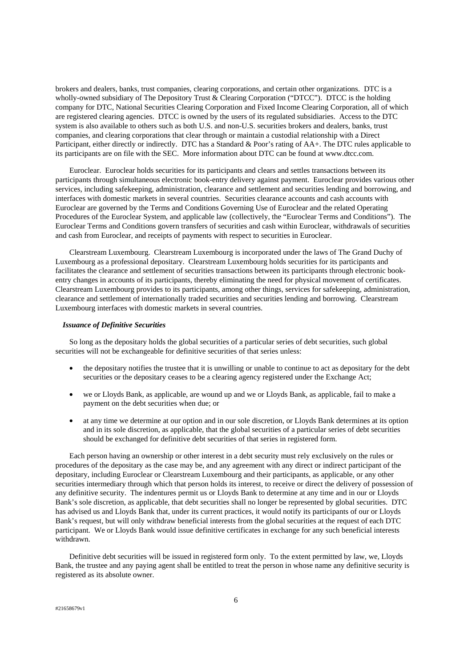brokers and dealers, banks, trust companies, clearing corporations, and certain other organizations. DTC is a wholly-owned subsidiary of The Depository Trust & Clearing Corporation ("DTCC"). DTCC is the holding company for DTC, National Securities Clearing Corporation and Fixed Income Clearing Corporation, all of which are registered clearing agencies. DTCC is owned by the users of its regulated subsidiaries. Access to the DTC system is also available to others such as both U.S. and non-U.S. securities brokers and dealers, banks, trust companies, and clearing corporations that clear through or maintain a custodial relationship with a Direct Participant, either directly or indirectly. DTC has a Standard & Poor's rating of AA+. The DTC rules applicable to its participants are on file with the SEC. More information about DTC can be found at www.dtcc.com.

Euroclear. Euroclear holds securities for its participants and clears and settles transactions between its participants through simultaneous electronic book-entry delivery against payment. Euroclear provides various other services, including safekeeping, administration, clearance and settlement and securities lending and borrowing, and interfaces with domestic markets in several countries. Securities clearance accounts and cash accounts with Euroclear are governed by the Terms and Conditions Governing Use of Euroclear and the related Operating Procedures of the Euroclear System, and applicable law (collectively, the "Euroclear Terms and Conditions"). The Euroclear Terms and Conditions govern transfers of securities and cash within Euroclear, withdrawals of securities and cash from Euroclear, and receipts of payments with respect to securities in Euroclear.

Clearstream Luxembourg. Clearstream Luxembourg is incorporated under the laws of The Grand Duchy of Luxembourg as a professional depositary. Clearstream Luxembourg holds securities for its participants and facilitates the clearance and settlement of securities transactions between its participants through electronic bookentry changes in accounts of its participants, thereby eliminating the need for physical movement of certificates. Clearstream Luxembourg provides to its participants, among other things, services for safekeeping, administration, clearance and settlement of internationally traded securities and securities lending and borrowing. Clearstream Luxembourg interfaces with domestic markets in several countries.

# *Issuance of Definitive Securities*

So long as the depositary holds the global securities of a particular series of debt securities, such global securities will not be exchangeable for definitive securities of that series unless:

- the depositary notifies the trustee that it is unwilling or unable to continue to act as depositary for the debt securities or the depositary ceases to be a clearing agency registered under the Exchange Act;
- we or Lloyds Bank, as applicable, are wound up and we or Lloyds Bank, as applicable, fail to make a payment on the debt securities when due; or
- at any time we determine at our option and in our sole discretion, or Lloyds Bank determines at its option and in its sole discretion, as applicable, that the global securities of a particular series of debt securities should be exchanged for definitive debt securities of that series in registered form.

Each person having an ownership or other interest in a debt security must rely exclusively on the rules or procedures of the depositary as the case may be, and any agreement with any direct or indirect participant of the depositary, including Euroclear or Clearstream Luxembourg and their participants, as applicable, or any other securities intermediary through which that person holds its interest, to receive or direct the delivery of possession of any definitive security. The indentures permit us or Lloyds Bank to determine at any time and in our or Lloyds Bank's sole discretion, as applicable, that debt securities shall no longer be represented by global securities. DTC has advised us and Lloyds Bank that, under its current practices, it would notify its participants of our or Lloyds Bank's request, but will only withdraw beneficial interests from the global securities at the request of each DTC participant. We or Lloyds Bank would issue definitive certificates in exchange for any such beneficial interests withdrawn.

Definitive debt securities will be issued in registered form only. To the extent permitted by law, we, Lloyds Bank, the trustee and any paying agent shall be entitled to treat the person in whose name any definitive security is registered as its absolute owner.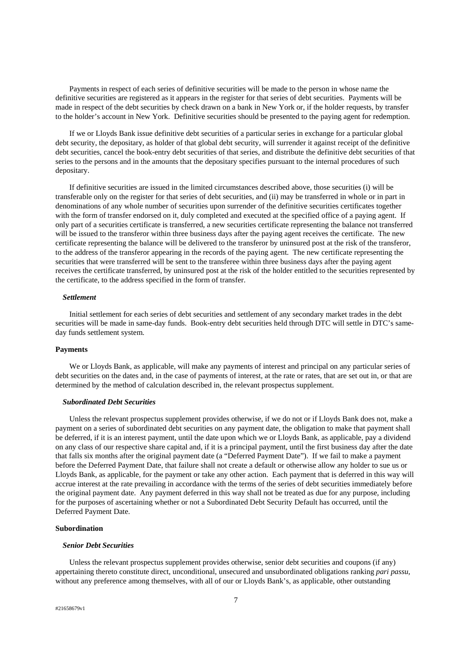Payments in respect of each series of definitive securities will be made to the person in whose name the definitive securities are registered as it appears in the register for that series of debt securities. Payments will be made in respect of the debt securities by check drawn on a bank in New York or, if the holder requests, by transfer to the holder's account in New York. Definitive securities should be presented to the paying agent for redemption.

If we or Lloyds Bank issue definitive debt securities of a particular series in exchange for a particular global debt security, the depositary, as holder of that global debt security, will surrender it against receipt of the definitive debt securities, cancel the book-entry debt securities of that series, and distribute the definitive debt securities of that series to the persons and in the amounts that the depositary specifies pursuant to the internal procedures of such depositary.

If definitive securities are issued in the limited circumstances described above, those securities (i) will be transferable only on the register for that series of debt securities, and (ii) may be transferred in whole or in part in denominations of any whole number of securities upon surrender of the definitive securities certificates together with the form of transfer endorsed on it, duly completed and executed at the specified office of a paying agent. If only part of a securities certificate is transferred, a new securities certificate representing the balance not transferred will be issued to the transferor within three business days after the paying agent receives the certificate. The new certificate representing the balance will be delivered to the transferor by uninsured post at the risk of the transferor, to the address of the transferor appearing in the records of the paying agent. The new certificate representing the securities that were transferred will be sent to the transferee within three business days after the paying agent receives the certificate transferred, by uninsured post at the risk of the holder entitled to the securities represented by the certificate, to the address specified in the form of transfer.

# *Settlement*

Initial settlement for each series of debt securities and settlement of any secondary market trades in the debt securities will be made in same-day funds. Book-entry debt securities held through DTC will settle in DTC's sameday funds settlement system.

# **Payments**

We or Lloyds Bank, as applicable, will make any payments of interest and principal on any particular series of debt securities on the dates and, in the case of payments of interest, at the rate or rates, that are set out in, or that are determined by the method of calculation described in, the relevant prospectus supplement.

# *Subordinated Debt Securities*

Unless the relevant prospectus supplement provides otherwise, if we do not or if Lloyds Bank does not, make a payment on a series of subordinated debt securities on any payment date, the obligation to make that payment shall be deferred, if it is an interest payment, until the date upon which we or Lloyds Bank, as applicable, pay a dividend on any class of our respective share capital and, if it is a principal payment, until the first business day after the date that falls six months after the original payment date (a "Deferred Payment Date"). If we fail to make a payment before the Deferred Payment Date, that failure shall not create a default or otherwise allow any holder to sue us or Lloyds Bank, as applicable, for the payment or take any other action. Each payment that is deferred in this way will accrue interest at the rate prevailing in accordance with the terms of the series of debt securities immediately before the original payment date. Any payment deferred in this way shall not be treated as due for any purpose, including for the purposes of ascertaining whether or not a Subordinated Debt Security Default has occurred, until the Deferred Payment Date.

# **Subordination**

# *Senior Debt Securities*

Unless the relevant prospectus supplement provides otherwise, senior debt securities and coupons (if any) appertaining thereto constitute direct, unconditional, unsecured and unsubordinated obligations ranking *pari passu*, without any preference among themselves, with all of our or Lloyds Bank's, as applicable, other outstanding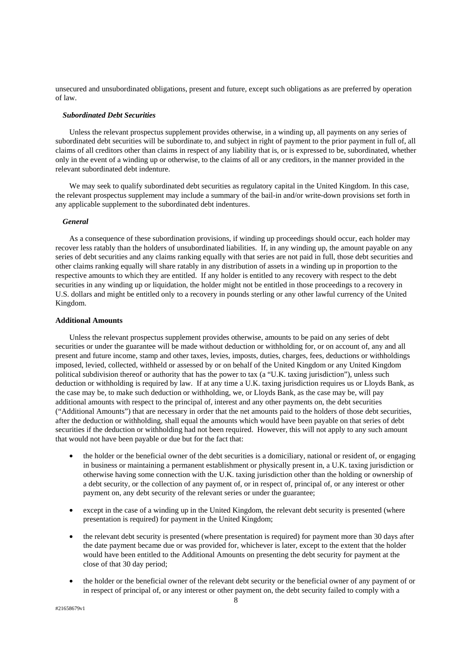unsecured and unsubordinated obligations, present and future, except such obligations as are preferred by operation of law.

# *Subordinated Debt Securities*

Unless the relevant prospectus supplement provides otherwise, in a winding up, all payments on any series of subordinated debt securities will be subordinate to, and subject in right of payment to the prior payment in full of, all claims of all creditors other than claims in respect of any liability that is, or is expressed to be, subordinated, whether only in the event of a winding up or otherwise, to the claims of all or any creditors, in the manner provided in the relevant subordinated debt indenture.

We may seek to qualify subordinated debt securities as regulatory capital in the United Kingdom. In this case, the relevant prospectus supplement may include a summary of the bail-in and/or write-down provisions set forth in any applicable supplement to the subordinated debt indentures.

# *General*

As a consequence of these subordination provisions, if winding up proceedings should occur, each holder may recover less ratably than the holders of unsubordinated liabilities. If, in any winding up, the amount payable on any series of debt securities and any claims ranking equally with that series are not paid in full, those debt securities and other claims ranking equally will share ratably in any distribution of assets in a winding up in proportion to the respective amounts to which they are entitled. If any holder is entitled to any recovery with respect to the debt securities in any winding up or liquidation, the holder might not be entitled in those proceedings to a recovery in U.S. dollars and might be entitled only to a recovery in pounds sterling or any other lawful currency of the United Kingdom.

# **Additional Amounts**

Unless the relevant prospectus supplement provides otherwise, amounts to be paid on any series of debt securities or under the guarantee will be made without deduction or withholding for, or on account of, any and all present and future income, stamp and other taxes, levies, imposts, duties, charges, fees, deductions or withholdings imposed, levied, collected, withheld or assessed by or on behalf of the United Kingdom or any United Kingdom political subdivision thereof or authority that has the power to tax (a "U.K. taxing jurisdiction"), unless such deduction or withholding is required by law. If at any time a U.K. taxing jurisdiction requires us or Lloyds Bank, as the case may be, to make such deduction or withholding, we, or Lloyds Bank, as the case may be, will pay additional amounts with respect to the principal of, interest and any other payments on, the debt securities ("Additional Amounts") that are necessary in order that the net amounts paid to the holders of those debt securities, after the deduction or withholding, shall equal the amounts which would have been payable on that series of debt securities if the deduction or withholding had not been required. However, this will not apply to any such amount that would not have been payable or due but for the fact that:

- the holder or the beneficial owner of the debt securities is a domiciliary, national or resident of, or engaging in business or maintaining a permanent establishment or physically present in, a U.K. taxing jurisdiction or otherwise having some connection with the U.K. taxing jurisdiction other than the holding or ownership of a debt security, or the collection of any payment of, or in respect of, principal of, or any interest or other payment on, any debt security of the relevant series or under the guarantee;
- except in the case of a winding up in the United Kingdom, the relevant debt security is presented (where presentation is required) for payment in the United Kingdom;
- the relevant debt security is presented (where presentation is required) for payment more than 30 days after the date payment became due or was provided for, whichever is later, except to the extent that the holder would have been entitled to the Additional Amounts on presenting the debt security for payment at the close of that 30 day period;
- the holder or the beneficial owner of the relevant debt security or the beneficial owner of any payment of or in respect of principal of, or any interest or other payment on, the debt security failed to comply with a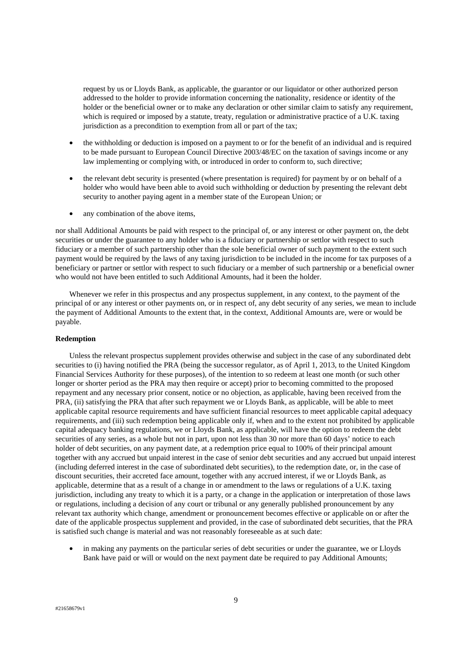request by us or Lloyds Bank, as applicable, the guarantor or our liquidator or other authorized person addressed to the holder to provide information concerning the nationality, residence or identity of the holder or the beneficial owner or to make any declaration or other similar claim to satisfy any requirement, which is required or imposed by a statute, treaty, regulation or administrative practice of a U.K. taxing jurisdiction as a precondition to exemption from all or part of the tax;

- the withholding or deduction is imposed on a payment to or for the benefit of an individual and is required to be made pursuant to European Council Directive 2003/48/EC on the taxation of savings income or any law implementing or complying with, or introduced in order to conform to, such directive;
- the relevant debt security is presented (where presentation is required) for payment by or on behalf of a holder who would have been able to avoid such withholding or deduction by presenting the relevant debt security to another paying agent in a member state of the European Union; or
- any combination of the above items,

nor shall Additional Amounts be paid with respect to the principal of, or any interest or other payment on, the debt securities or under the guarantee to any holder who is a fiduciary or partnership or settlor with respect to such fiduciary or a member of such partnership other than the sole beneficial owner of such payment to the extent such payment would be required by the laws of any taxing jurisdiction to be included in the income for tax purposes of a beneficiary or partner or settlor with respect to such fiduciary or a member of such partnership or a beneficial owner who would not have been entitled to such Additional Amounts, had it been the holder.

Whenever we refer in this prospectus and any prospectus supplement, in any context, to the payment of the principal of or any interest or other payments on, or in respect of, any debt security of any series, we mean to include the payment of Additional Amounts to the extent that, in the context, Additional Amounts are, were or would be payable.

# **Redemption**

Unless the relevant prospectus supplement provides otherwise and subject in the case of any subordinated debt securities to (i) having notified the PRA (being the successor regulator, as of April 1, 2013, to the United Kingdom Financial Services Authority for these purposes), of the intention to so redeem at least one month (or such other longer or shorter period as the PRA may then require or accept) prior to becoming committed to the proposed repayment and any necessary prior consent, notice or no objection, as applicable, having been received from the PRA, (ii) satisfying the PRA that after such repayment we or Lloyds Bank, as applicable, will be able to meet applicable capital resource requirements and have sufficient financial resources to meet applicable capital adequacy requirements, and (iii) such redemption being applicable only if, when and to the extent not prohibited by applicable capital adequacy banking regulations, we or Lloyds Bank, as applicable, will have the option to redeem the debt securities of any series, as a whole but not in part, upon not less than 30 nor more than 60 days' notice to each holder of debt securities, on any payment date, at a redemption price equal to 100% of their principal amount together with any accrued but unpaid interest in the case of senior debt securities and any accrued but unpaid interest (including deferred interest in the case of subordinated debt securities), to the redemption date, or, in the case of discount securities, their accreted face amount, together with any accrued interest, if we or Lloyds Bank, as applicable, determine that as a result of a change in or amendment to the laws or regulations of a U.K. taxing jurisdiction, including any treaty to which it is a party, or a change in the application or interpretation of those laws or regulations, including a decision of any court or tribunal or any generally published pronouncement by any relevant tax authority which change, amendment or pronouncement becomes effective or applicable on or after the date of the applicable prospectus supplement and provided, in the case of subordinated debt securities, that the PRA is satisfied such change is material and was not reasonably foreseeable as at such date:

in making any payments on the particular series of debt securities or under the guarantee, we or Lloyds Bank have paid or will or would on the next payment date be required to pay Additional Amounts;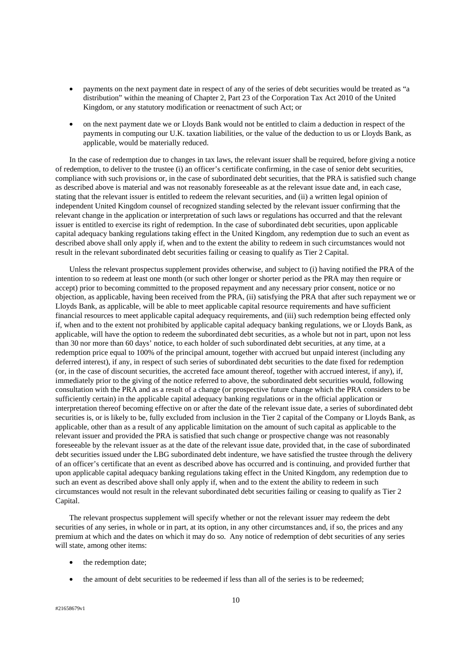- payments on the next payment date in respect of any of the series of debt securities would be treated as "a distribution" within the meaning of Chapter 2, Part 23 of the Corporation Tax Act 2010 of the United Kingdom, or any statutory modification or reenactment of such Act; or
- on the next payment date we or Lloyds Bank would not be entitled to claim a deduction in respect of the payments in computing our U.K. taxation liabilities, or the value of the deduction to us or Lloyds Bank, as applicable, would be materially reduced.

In the case of redemption due to changes in tax laws, the relevant issuer shall be required, before giving a notice of redemption, to deliver to the trustee (i) an officer's certificate confirming, in the case of senior debt securities, compliance with such provisions or, in the case of subordinated debt securities, that the PRA is satisfied such change as described above is material and was not reasonably foreseeable as at the relevant issue date and, in each case, stating that the relevant issuer is entitled to redeem the relevant securities, and (ii) a written legal opinion of independent United Kingdom counsel of recognized standing selected by the relevant issuer confirming that the relevant change in the application or interpretation of such laws or regulations has occurred and that the relevant issuer is entitled to exercise its right of redemption. In the case of subordinated debt securities, upon applicable capital adequacy banking regulations taking effect in the United Kingdom, any redemption due to such an event as described above shall only apply if, when and to the extent the ability to redeem in such circumstances would not result in the relevant subordinated debt securities failing or ceasing to qualify as Tier 2 Capital.

Unless the relevant prospectus supplement provides otherwise, and subject to (i) having notified the PRA of the intention to so redeem at least one month (or such other longer or shorter period as the PRA may then require or accept) prior to becoming committed to the proposed repayment and any necessary prior consent, notice or no objection, as applicable, having been received from the PRA, (ii) satisfying the PRA that after such repayment we or Lloyds Bank, as applicable, will be able to meet applicable capital resource requirements and have sufficient financial resources to meet applicable capital adequacy requirements, and (iii) such redemption being effected only if, when and to the extent not prohibited by applicable capital adequacy banking regulations, we or Lloyds Bank, as applicable, will have the option to redeem the subordinated debt securities, as a whole but not in part, upon not less than 30 nor more than 60 days' notice, to each holder of such subordinated debt securities, at any time, at a redemption price equal to 100% of the principal amount, together with accrued but unpaid interest (including any deferred interest), if any, in respect of such series of subordinated debt securities to the date fixed for redemption (or, in the case of discount securities, the accreted face amount thereof, together with accrued interest, if any), if, immediately prior to the giving of the notice referred to above, the subordinated debt securities would, following consultation with the PRA and as a result of a change (or prospective future change which the PRA considers to be sufficiently certain) in the applicable capital adequacy banking regulations or in the official application or interpretation thereof becoming effective on or after the date of the relevant issue date, a series of subordinated debt securities is, or is likely to be, fully excluded from inclusion in the Tier 2 capital of the Company or Lloyds Bank, as applicable, other than as a result of any applicable limitation on the amount of such capital as applicable to the relevant issuer and provided the PRA is satisfied that such change or prospective change was not reasonably foreseeable by the relevant issuer as at the date of the relevant issue date, provided that, in the case of subordinated debt securities issued under the LBG subordinated debt indenture, we have satisfied the trustee through the delivery of an officer's certificate that an event as described above has occurred and is continuing, and provided further that upon applicable capital adequacy banking regulations taking effect in the United Kingdom, any redemption due to such an event as described above shall only apply if, when and to the extent the ability to redeem in such circumstances would not result in the relevant subordinated debt securities failing or ceasing to qualify as Tier 2 Capital.

The relevant prospectus supplement will specify whether or not the relevant issuer may redeem the debt securities of any series, in whole or in part, at its option, in any other circumstances and, if so, the prices and any premium at which and the dates on which it may do so. Any notice of redemption of debt securities of any series will state, among other items:

- the redemption date;
- the amount of debt securities to be redeemed if less than all of the series is to be redeemed;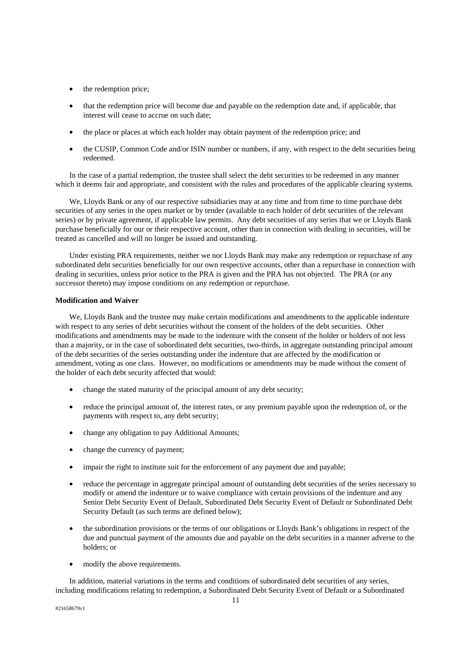- the redemption price;
- that the redemption price will become due and payable on the redemption date and, if applicable, that interest will cease to accrue on such date;
- the place or places at which each holder may obtain payment of the redemption price; and
- the CUSIP, Common Code and/or ISIN number or numbers, if any, with respect to the debt securities being redeemed.

In the case of a partial redemption, the trustee shall select the debt securities to be redeemed in any manner which it deems fair and appropriate, and consistent with the rules and procedures of the applicable clearing systems.

We, Lloyds Bank or any of our respective subsidiaries may at any time and from time to time purchase debt securities of any series in the open market or by tender (available to each holder of debt securities of the relevant series) or by private agreement, if applicable law permits. Any debt securities of any series that we or Lloyds Bank purchase beneficially for our or their respective account, other than in connection with dealing in securities, will be treated as cancelled and will no longer be issued and outstanding.

Under existing PRA requirements, neither we nor Lloyds Bank may make any redemption or repurchase of any subordinated debt securities beneficially for our own respective accounts, other than a repurchase in connection with dealing in securities, unless prior notice to the PRA is given and the PRA has not objected. The PRA (or any successor thereto) may impose conditions on any redemption or repurchase.

# **Modification and Waiver**

We, Lloyds Bank and the trustee may make certain modifications and amendments to the applicable indenture with respect to any series of debt securities without the consent of the holders of the debt securities. Other modifications and amendments may be made to the indenture with the consent of the holder or holders of not less than a majority, or in the case of subordinated debt securities, two-thirds, in aggregate outstanding principal amount of the debt securities of the series outstanding under the indenture that are affected by the modification or amendment, voting as one class. However, no modifications or amendments may be made without the consent of the holder of each debt security affected that would:

- change the stated maturity of the principal amount of any debt security;
- reduce the principal amount of, the interest rates, or any premium payable upon the redemption of, or the payments with respect to, any debt security;
- change any obligation to pay Additional Amounts;
- change the currency of payment;
- impair the right to institute suit for the enforcement of any payment due and payable;
- reduce the percentage in aggregate principal amount of outstanding debt securities of the series necessary to modify or amend the indenture or to waive compliance with certain provisions of the indenture and any Senior Debt Security Event of Default, Subordinated Debt Security Event of Default or Subordinated Debt Security Default (as such terms are defined below);
- the subordination provisions or the terms of our obligations or Lloyds Bank's obligations in respect of the due and punctual payment of the amounts due and payable on the debt securities in a manner adverse to the holders; or
- modify the above requirements.

In addition, material variations in the terms and conditions of subordinated debt securities of any series, including modifications relating to redemption, a Subordinated Debt Security Event of Default or a Subordinated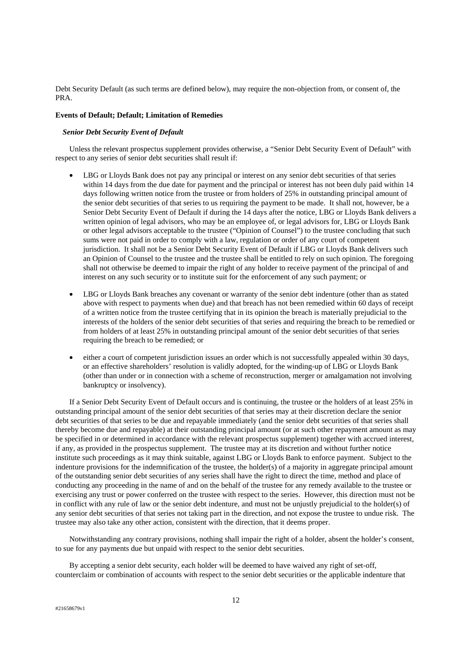Debt Security Default (as such terms are defined below), may require the non-objection from, or consent of, the PRA.

#### **Events of Default; Default; Limitation of Remedies**

#### *Senior Debt Security Event of Default*

Unless the relevant prospectus supplement provides otherwise, a "Senior Debt Security Event of Default" with respect to any series of senior debt securities shall result if:

- LBG or Lloyds Bank does not pay any principal or interest on any senior debt securities of that series within 14 days from the due date for payment and the principal or interest has not been duly paid within 14 days following written notice from the trustee or from holders of 25% in outstanding principal amount of the senior debt securities of that series to us requiring the payment to be made. It shall not, however, be a Senior Debt Security Event of Default if during the 14 days after the notice, LBG or Lloyds Bank delivers a written opinion of legal advisors, who may be an employee of, or legal advisors for, LBG or Lloyds Bank or other legal advisors acceptable to the trustee ("Opinion of Counsel") to the trustee concluding that such sums were not paid in order to comply with a law, regulation or order of any court of competent jurisdiction. It shall not be a Senior Debt Security Event of Default if LBG or Lloyds Bank delivers such an Opinion of Counsel to the trustee and the trustee shall be entitled to rely on such opinion. The foregoing shall not otherwise be deemed to impair the right of any holder to receive payment of the principal of and interest on any such security or to institute suit for the enforcement of any such payment; or
- LBG or Lloyds Bank breaches any covenant or warranty of the senior debt indenture (other than as stated above with respect to payments when due) and that breach has not been remedied within 60 days of receipt of a written notice from the trustee certifying that in its opinion the breach is materially prejudicial to the interests of the holders of the senior debt securities of that series and requiring the breach to be remedied or from holders of at least 25% in outstanding principal amount of the senior debt securities of that series requiring the breach to be remedied; or
- either a court of competent jurisdiction issues an order which is not successfully appealed within 30 days, or an effective shareholders' resolution is validly adopted, for the winding-up of LBG or Lloyds Bank (other than under or in connection with a scheme of reconstruction, merger or amalgamation not involving bankruptcy or insolvency).

If a Senior Debt Security Event of Default occurs and is continuing, the trustee or the holders of at least 25% in outstanding principal amount of the senior debt securities of that series may at their discretion declare the senior debt securities of that series to be due and repayable immediately (and the senior debt securities of that series shall thereby become due and repayable) at their outstanding principal amount (or at such other repayment amount as may be specified in or determined in accordance with the relevant prospectus supplement) together with accrued interest, if any, as provided in the prospectus supplement. The trustee may at its discretion and without further notice institute such proceedings as it may think suitable, against LBG or Lloyds Bank to enforce payment. Subject to the indenture provisions for the indemnification of the trustee, the holder(s) of a majority in aggregate principal amount of the outstanding senior debt securities of any series shall have the right to direct the time, method and place of conducting any proceeding in the name of and on the behalf of the trustee for any remedy available to the trustee or exercising any trust or power conferred on the trustee with respect to the series. However, this direction must not be in conflict with any rule of law or the senior debt indenture, and must not be unjustly prejudicial to the holder(s) of any senior debt securities of that series not taking part in the direction, and not expose the trustee to undue risk. The trustee may also take any other action, consistent with the direction, that it deems proper.

Notwithstanding any contrary provisions, nothing shall impair the right of a holder, absent the holder's consent, to sue for any payments due but unpaid with respect to the senior debt securities.

By accepting a senior debt security, each holder will be deemed to have waived any right of set-off, counterclaim or combination of accounts with respect to the senior debt securities or the applicable indenture that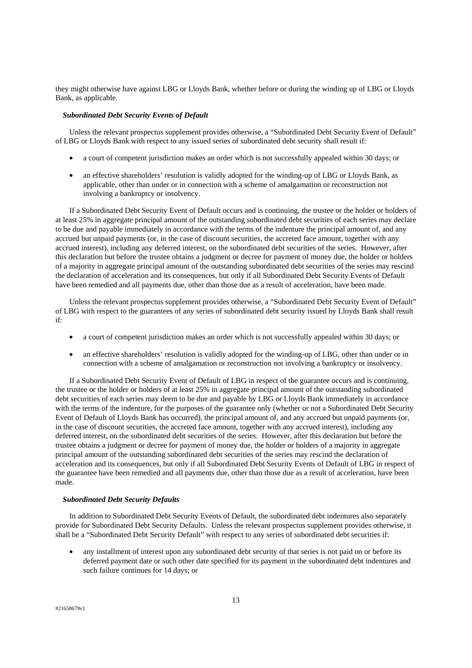they might otherwise have against LBG or Lloyds Bank, whether before or during the winding up of LBG or Lloyds Bank, as applicable.

#### *Subordinated Debt Security Events of Default*

Unless the relevant prospectus supplement provides otherwise, a "Subordinated Debt Security Event of Default" of LBG or Lloyds Bank with respect to any issued series of subordinated debt security shall result if:

- a court of competent jurisdiction makes an order which is not successfully appealed within 30 days; or
- an effective shareholders' resolution is validly adopted for the winding-up of LBG or Lloyds Bank, as applicable, other than under or in connection with a scheme of amalgamation or reconstruction not involving a bankruptcy or insolvency.

If a Subordinated Debt Security Event of Default occurs and is continuing, the trustee or the holder or holders of at least 25% in aggregate principal amount of the outstanding subordinated debt securities of each series may declare to be due and payable immediately in accordance with the terms of the indenture the principal amount of, and any accrued but unpaid payments (or, in the case of discount securities, the accreted face amount, together with any accrued interest), including any deferred interest, on the subordinated debt securities of the series. However, after this declaration but before the trustee obtains a judgment or decree for payment of money due, the holder or holders of a majority in aggregate principal amount of the outstanding subordinated debt securities of the series may rescind the declaration of acceleration and its consequences, but only if all Subordinated Debt Security Events of Default have been remedied and all payments due, other than those due as a result of acceleration, have been made.

Unless the relevant prospectus supplement provides otherwise, a "Subordinated Debt Security Event of Default" of LBG with respect to the guarantees of any series of subordinated debt security issued by Lloyds Bank shall result if:

- a court of competent jurisdiction makes an order which is not successfully appealed within 30 days; or
- an effective shareholders' resolution is validly adopted for the winding-up of LBG, other than under or in connection with a scheme of amalgamation or reconstruction not involving a bankruptcy or insolvency.

If a Subordinated Debt Security Event of Default of LBG in respect of the guarantee occurs and is continuing, the trustee or the holder or holders of at least 25% in aggregate principal amount of the outstanding subordinated debt securities of each series may deem to be due and payable by LBG or Lloyds Bank immediately in accordance with the terms of the indenture, for the purposes of the guarantee only (whether or not a Subordinated Debt Security Event of Default of Lloyds Bank has occurred), the principal amount of, and any accrued but unpaid payments (or, in the case of discount securities, the accreted face amount, together with any accrued interest), including any deferred interest, on the subordinated debt securities of the series. However, after this declaration but before the trustee obtains a judgment or decree for payment of money due, the holder or holders of a majority in aggregate principal amount of the outstanding subordinated debt securities of the series may rescind the declaration of acceleration and its consequences, but only if all Subordinated Debt Security Events of Default of LBG in respect of the guarantee have been remedied and all payments due, other than those due as a result of acceleration, have been made.

# *Subordinated Debt Security Defaults*

In addition to Subordinated Debt Security Events of Default, the subordinated debt indentures also separately provide for Subordinated Debt Security Defaults. Unless the relevant prospectus supplement provides otherwise, it shall be a "Subordinated Debt Security Default" with respect to any series of subordinated debt securities if:

• any installment of interest upon any subordinated debt security of that series is not paid on or before its deferred payment date or such other date specified for its payment in the subordinated debt indentures and such failure continues for 14 days; or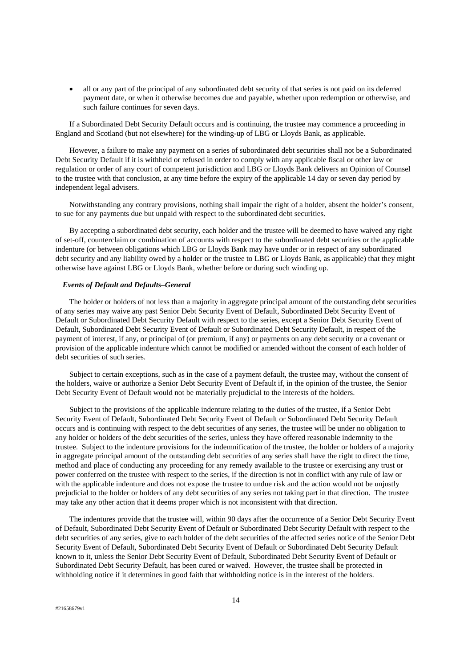• all or any part of the principal of any subordinated debt security of that series is not paid on its deferred payment date, or when it otherwise becomes due and payable, whether upon redemption or otherwise, and such failure continues for seven days.

If a Subordinated Debt Security Default occurs and is continuing, the trustee may commence a proceeding in England and Scotland (but not elsewhere) for the winding-up of LBG or Lloyds Bank, as applicable.

However, a failure to make any payment on a series of subordinated debt securities shall not be a Subordinated Debt Security Default if it is withheld or refused in order to comply with any applicable fiscal or other law or regulation or order of any court of competent jurisdiction and LBG or Lloyds Bank delivers an Opinion of Counsel to the trustee with that conclusion, at any time before the expiry of the applicable 14 day or seven day period by independent legal advisers.

Notwithstanding any contrary provisions, nothing shall impair the right of a holder, absent the holder's consent, to sue for any payments due but unpaid with respect to the subordinated debt securities.

By accepting a subordinated debt security, each holder and the trustee will be deemed to have waived any right of set-off, counterclaim or combination of accounts with respect to the subordinated debt securities or the applicable indenture (or between obligations which LBG or Lloyds Bank may have under or in respect of any subordinated debt security and any liability owed by a holder or the trustee to LBG or Lloyds Bank, as applicable) that they might otherwise have against LBG or Lloyds Bank, whether before or during such winding up.

# *Events of Default and Defaults–General*

The holder or holders of not less than a majority in aggregate principal amount of the outstanding debt securities of any series may waive any past Senior Debt Security Event of Default, Subordinated Debt Security Event of Default or Subordinated Debt Security Default with respect to the series, except a Senior Debt Security Event of Default, Subordinated Debt Security Event of Default or Subordinated Debt Security Default, in respect of the payment of interest, if any, or principal of (or premium, if any) or payments on any debt security or a covenant or provision of the applicable indenture which cannot be modified or amended without the consent of each holder of debt securities of such series.

Subject to certain exceptions, such as in the case of a payment default, the trustee may, without the consent of the holders, waive or authorize a Senior Debt Security Event of Default if, in the opinion of the trustee, the Senior Debt Security Event of Default would not be materially prejudicial to the interests of the holders.

Subject to the provisions of the applicable indenture relating to the duties of the trustee, if a Senior Debt Security Event of Default, Subordinated Debt Security Event of Default or Subordinated Debt Security Default occurs and is continuing with respect to the debt securities of any series, the trustee will be under no obligation to any holder or holders of the debt securities of the series, unless they have offered reasonable indemnity to the trustee. Subject to the indenture provisions for the indemnification of the trustee, the holder or holders of a majority in aggregate principal amount of the outstanding debt securities of any series shall have the right to direct the time, method and place of conducting any proceeding for any remedy available to the trustee or exercising any trust or power conferred on the trustee with respect to the series, if the direction is not in conflict with any rule of law or with the applicable indenture and does not expose the trustee to undue risk and the action would not be unjustly prejudicial to the holder or holders of any debt securities of any series not taking part in that direction. The trustee may take any other action that it deems proper which is not inconsistent with that direction.

The indentures provide that the trustee will, within 90 days after the occurrence of a Senior Debt Security Event of Default, Subordinated Debt Security Event of Default or Subordinated Debt Security Default with respect to the debt securities of any series, give to each holder of the debt securities of the affected series notice of the Senior Debt Security Event of Default, Subordinated Debt Security Event of Default or Subordinated Debt Security Default known to it, unless the Senior Debt Security Event of Default, Subordinated Debt Security Event of Default or Subordinated Debt Security Default, has been cured or waived. However, the trustee shall be protected in withholding notice if it determines in good faith that withholding notice is in the interest of the holders.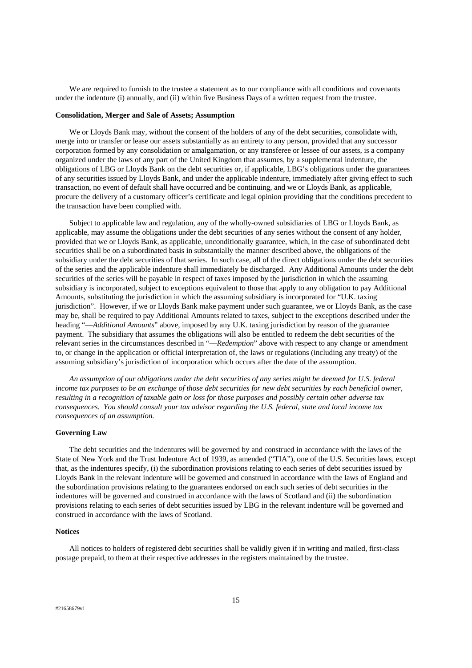We are required to furnish to the trustee a statement as to our compliance with all conditions and covenants under the indenture (i) annually, and (ii) within five Business Days of a written request from the trustee.

#### **Consolidation, Merger and Sale of Assets; Assumption**

We or Lloyds Bank may, without the consent of the holders of any of the debt securities, consolidate with, merge into or transfer or lease our assets substantially as an entirety to any person, provided that any successor corporation formed by any consolidation or amalgamation, or any transferee or lessee of our assets, is a company organized under the laws of any part of the United Kingdom that assumes, by a supplemental indenture, the obligations of LBG or Lloyds Bank on the debt securities or, if applicable, LBG's obligations under the guarantees of any securities issued by Lloyds Bank, and under the applicable indenture, immediately after giving effect to such transaction, no event of default shall have occurred and be continuing, and we or Lloyds Bank, as applicable, procure the delivery of a customary officer's certificate and legal opinion providing that the conditions precedent to the transaction have been complied with.

Subject to applicable law and regulation, any of the wholly-owned subsidiaries of LBG or Lloyds Bank, as applicable, may assume the obligations under the debt securities of any series without the consent of any holder, provided that we or Lloyds Bank, as applicable, unconditionally guarantee, which, in the case of subordinated debt securities shall be on a subordinated basis in substantially the manner described above, the obligations of the subsidiary under the debt securities of that series. In such case, all of the direct obligations under the debt securities of the series and the applicable indenture shall immediately be discharged. Any Additional Amounts under the debt securities of the series will be payable in respect of taxes imposed by the jurisdiction in which the assuming subsidiary is incorporated, subject to exceptions equivalent to those that apply to any obligation to pay Additional Amounts, substituting the jurisdiction in which the assuming subsidiary is incorporated for "U.K. taxing jurisdiction". However, if we or Lloyds Bank make payment under such guarantee, we or Lloyds Bank, as the case may be, shall be required to pay Additional Amounts related to taxes, subject to the exceptions described under the heading "—*Additional Amounts*" above, imposed by any U.K. taxing jurisdiction by reason of the guarantee payment. The subsidiary that assumes the obligations will also be entitled to redeem the debt securities of the relevant series in the circumstances described in "—*Redemption*" above with respect to any change or amendment to, or change in the application or official interpretation of, the laws or regulations (including any treaty) of the assuming subsidiary's jurisdiction of incorporation which occurs after the date of the assumption.

*An assumption of our obligations under the debt securities of any series might be deemed for U.S. federal income tax purposes to be an exchange of those debt securities for new debt securities by each beneficial owner, resulting in a recognition of taxable gain or loss for those purposes and possibly certain other adverse tax consequences. You should consult your tax advisor regarding the U.S. federal, state and local income tax consequences of an assumption.* 

#### **Governing Law**

The debt securities and the indentures will be governed by and construed in accordance with the laws of the State of New York and the Trust Indenture Act of 1939, as amended ("TIA"), one of the U.S. Securities laws, except that, as the indentures specify, (i) the subordination provisions relating to each series of debt securities issued by Lloyds Bank in the relevant indenture will be governed and construed in accordance with the laws of England and the subordination provisions relating to the guarantees endorsed on each such series of debt securities in the indentures will be governed and construed in accordance with the laws of Scotland and (ii) the subordination provisions relating to each series of debt securities issued by LBG in the relevant indenture will be governed and construed in accordance with the laws of Scotland.

#### **Notices**

All notices to holders of registered debt securities shall be validly given if in writing and mailed, first-class postage prepaid, to them at their respective addresses in the registers maintained by the trustee.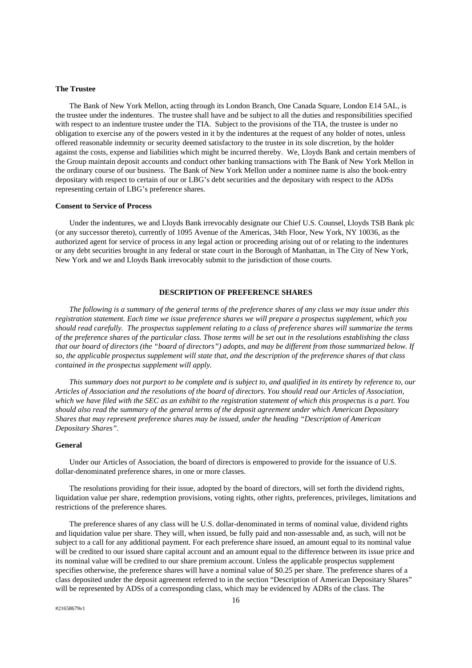#### **The Trustee**

The Bank of New York Mellon, acting through its London Branch, One Canada Square, London E14 5AL, is the trustee under the indentures. The trustee shall have and be subject to all the duties and responsibilities specified with respect to an indenture trustee under the TIA. Subject to the provisions of the TIA, the trustee is under no obligation to exercise any of the powers vested in it by the indentures at the request of any holder of notes, unless offered reasonable indemnity or security deemed satisfactory to the trustee in its sole discretion, by the holder against the costs, expense and liabilities which might be incurred thereby. We, Lloyds Bank and certain members of the Group maintain deposit accounts and conduct other banking transactions with The Bank of New York Mellon in the ordinary course of our business. The Bank of New York Mellon under a nominee name is also the book-entry depositary with respect to certain of our or LBG's debt securities and the depositary with respect to the ADSs representing certain of LBG's preference shares.

#### **Consent to Service of Process**

Under the indentures, we and Lloyds Bank irrevocably designate our Chief U.S. Counsel, Lloyds TSB Bank plc (or any successor thereto), currently of 1095 Avenue of the Americas, 34th Floor, New York, NY 10036, as the authorized agent for service of process in any legal action or proceeding arising out of or relating to the indentures or any debt securities brought in any federal or state court in the Borough of Manhattan, in The City of New York, New York and we and Lloyds Bank irrevocably submit to the jurisdiction of those courts.

# **DESCRIPTION OF PREFERENCE SHARES**

*The following is a summary of the general terms of the preference shares of any class we may issue under this registration statement. Each time we issue preference shares we will prepare a prospectus supplement, which you should read carefully. The prospectus supplement relating to a class of preference shares will summarize the terms of the preference shares of the particular class. Those terms will be set out in the resolutions establishing the class that our board of directors (the "board of directors") adopts, and may be different from those summarized below. If so, the applicable prospectus supplement will state that, and the description of the preference shares of that class contained in the prospectus supplement will apply.* 

*This summary does not purport to be complete and is subject to, and qualified in its entirety by reference to, our Articles of Association and the resolutions of the board of directors. You should read our Articles of Association, which we have filed with the SEC as an exhibit to the registration statement of which this prospectus is a part. You should also read the summary of the general terms of the deposit agreement under which American Depositary Shares that may represent preference shares may be issued, under the heading "Description of American Depositary Shares".* 

# **General**

Under our Articles of Association, the board of directors is empowered to provide for the issuance of U.S. dollar-denominated preference shares, in one or more classes.

The resolutions providing for their issue, adopted by the board of directors, will set forth the dividend rights, liquidation value per share, redemption provisions, voting rights, other rights, preferences, privileges, limitations and restrictions of the preference shares.

The preference shares of any class will be U.S. dollar-denominated in terms of nominal value, dividend rights and liquidation value per share. They will, when issued, be fully paid and non-assessable and, as such, will not be subject to a call for any additional payment. For each preference share issued, an amount equal to its nominal value will be credited to our issued share capital account and an amount equal to the difference between its issue price and its nominal value will be credited to our share premium account. Unless the applicable prospectus supplement specifies otherwise, the preference shares will have a nominal value of \$0.25 per share. The preference shares of a class deposited under the deposit agreement referred to in the section "Description of American Depositary Shares" will be represented by ADSs of a corresponding class, which may be evidenced by ADRs of the class. The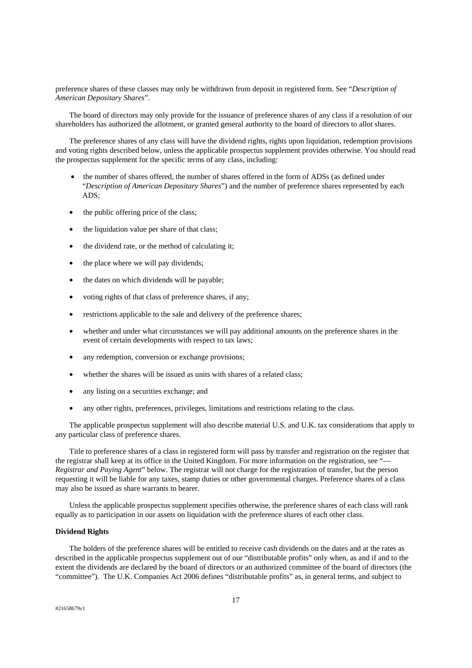preference shares of these classes may only be withdrawn from deposit in registered form. See "*Description of American Depositary Shares*".

The board of directors may only provide for the issuance of preference shares of any class if a resolution of our shareholders has authorized the allotment, or granted general authority to the board of directors to allot shares.

The preference shares of any class will have the dividend rights, rights upon liquidation, redemption provisions and voting rights described below, unless the applicable prospectus supplement provides otherwise. You should read the prospectus supplement for the specific terms of any class, including:

- the number of shares offered, the number of shares offered in the form of ADSs (as defined under "*Description of American Depositary Shares*") and the number of preference shares represented by each ADS;
- the public offering price of the class;
- the liquidation value per share of that class;
- the dividend rate, or the method of calculating it;
- the place where we will pay dividends;
- the dates on which dividends will be payable;
- voting rights of that class of preference shares, if any;
- restrictions applicable to the sale and delivery of the preference shares;
- whether and under what circumstances we will pay additional amounts on the preference shares in the event of certain developments with respect to tax laws;
- any redemption, conversion or exchange provisions;
- whether the shares will be issued as units with shares of a related class:
- any listing on a securities exchange; and
- any other rights, preferences, privileges, limitations and restrictions relating to the class.

The applicable prospectus supplement will also describe material U.S. and U.K. tax considerations that apply to any particular class of preference shares.

Title to preference shares of a class in registered form will pass by transfer and registration on the register that the registrar shall keep at its office in the United Kingdom. For more information on the registration, see "— *Registrar and Paying Agent*" below. The registrar will not charge for the registration of transfer, but the person requesting it will be liable for any taxes, stamp duties or other governmental charges. Preference shares of a class may also be issued as share warrants to bearer.

Unless the applicable prospectus supplement specifies otherwise, the preference shares of each class will rank equally as to participation in our assets on liquidation with the preference shares of each other class.

#### **Dividend Rights**

The holders of the preference shares will be entitled to receive cash dividends on the dates and at the rates as described in the applicable prospectus supplement out of our "distributable profits" only when, as and if and to the extent the dividends are declared by the board of directors or an authorized committee of the board of directors (the "committee"). The U.K. Companies Act 2006 defines "distributable profits" as, in general terms, and subject to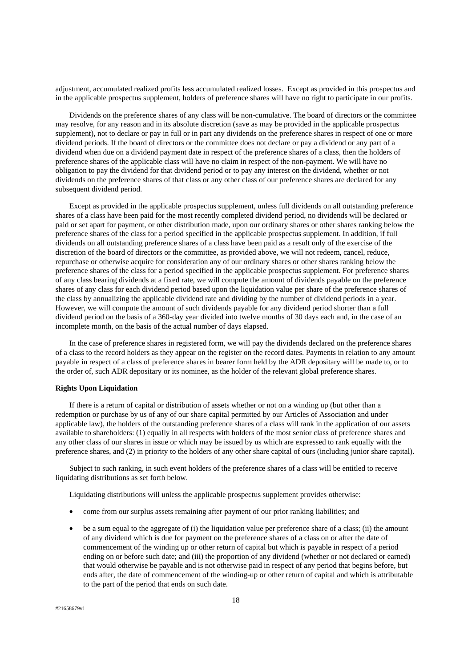adjustment, accumulated realized profits less accumulated realized losses. Except as provided in this prospectus and in the applicable prospectus supplement, holders of preference shares will have no right to participate in our profits.

Dividends on the preference shares of any class will be non-cumulative. The board of directors or the committee may resolve, for any reason and in its absolute discretion (save as may be provided in the applicable prospectus supplement), not to declare or pay in full or in part any dividends on the preference shares in respect of one or more dividend periods. If the board of directors or the committee does not declare or pay a dividend or any part of a dividend when due on a dividend payment date in respect of the preference shares of a class, then the holders of preference shares of the applicable class will have no claim in respect of the non-payment. We will have no obligation to pay the dividend for that dividend period or to pay any interest on the dividend, whether or not dividends on the preference shares of that class or any other class of our preference shares are declared for any subsequent dividend period.

Except as provided in the applicable prospectus supplement, unless full dividends on all outstanding preference shares of a class have been paid for the most recently completed dividend period, no dividends will be declared or paid or set apart for payment, or other distribution made, upon our ordinary shares or other shares ranking below the preference shares of the class for a period specified in the applicable prospectus supplement. In addition, if full dividends on all outstanding preference shares of a class have been paid as a result only of the exercise of the discretion of the board of directors or the committee, as provided above, we will not redeem, cancel, reduce, repurchase or otherwise acquire for consideration any of our ordinary shares or other shares ranking below the preference shares of the class for a period specified in the applicable prospectus supplement. For preference shares of any class bearing dividends at a fixed rate, we will compute the amount of dividends payable on the preference shares of any class for each dividend period based upon the liquidation value per share of the preference shares of the class by annualizing the applicable dividend rate and dividing by the number of dividend periods in a year. However, we will compute the amount of such dividends payable for any dividend period shorter than a full dividend period on the basis of a 360-day year divided into twelve months of 30 days each and, in the case of an incomplete month, on the basis of the actual number of days elapsed.

In the case of preference shares in registered form, we will pay the dividends declared on the preference shares of a class to the record holders as they appear on the register on the record dates. Payments in relation to any amount payable in respect of a class of preference shares in bearer form held by the ADR depositary will be made to, or to the order of, such ADR depositary or its nominee, as the holder of the relevant global preference shares.

# **Rights Upon Liquidation**

If there is a return of capital or distribution of assets whether or not on a winding up (but other than a redemption or purchase by us of any of our share capital permitted by our Articles of Association and under applicable law), the holders of the outstanding preference shares of a class will rank in the application of our assets available to shareholders: (1) equally in all respects with holders of the most senior class of preference shares and any other class of our shares in issue or which may be issued by us which are expressed to rank equally with the preference shares, and (2) in priority to the holders of any other share capital of ours (including junior share capital).

Subject to such ranking, in such event holders of the preference shares of a class will be entitled to receive liquidating distributions as set forth below.

Liquidating distributions will unless the applicable prospectus supplement provides otherwise:

- come from our surplus assets remaining after payment of our prior ranking liabilities; and
- be a sum equal to the aggregate of (i) the liquidation value per preference share of a class; (ii) the amount of any dividend which is due for payment on the preference shares of a class on or after the date of commencement of the winding up or other return of capital but which is payable in respect of a period ending on or before such date; and (iii) the proportion of any dividend (whether or not declared or earned) that would otherwise be payable and is not otherwise paid in respect of any period that begins before, but ends after, the date of commencement of the winding-up or other return of capital and which is attributable to the part of the period that ends on such date.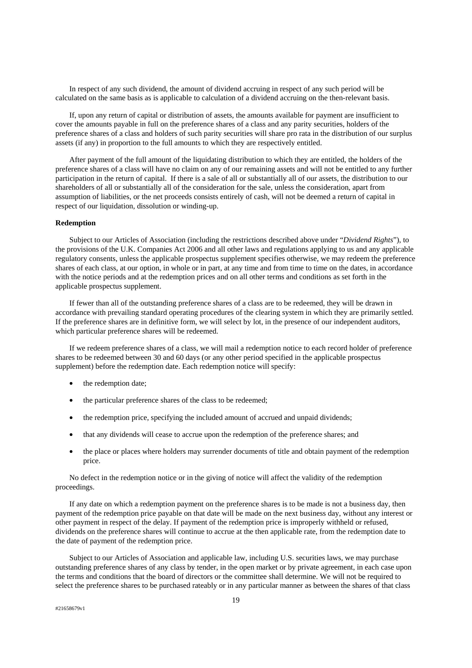In respect of any such dividend, the amount of dividend accruing in respect of any such period will be calculated on the same basis as is applicable to calculation of a dividend accruing on the then-relevant basis.

If, upon any return of capital or distribution of assets, the amounts available for payment are insufficient to cover the amounts payable in full on the preference shares of a class and any parity securities, holders of the preference shares of a class and holders of such parity securities will share pro rata in the distribution of our surplus assets (if any) in proportion to the full amounts to which they are respectively entitled.

After payment of the full amount of the liquidating distribution to which they are entitled, the holders of the preference shares of a class will have no claim on any of our remaining assets and will not be entitled to any further participation in the return of capital. If there is a sale of all or substantially all of our assets, the distribution to our shareholders of all or substantially all of the consideration for the sale, unless the consideration, apart from assumption of liabilities, or the net proceeds consists entirely of cash, will not be deemed a return of capital in respect of our liquidation, dissolution or winding-up.

# **Redemption**

Subject to our Articles of Association (including the restrictions described above under "*Dividend Rights*"), to the provisions of the U.K. Companies Act 2006 and all other laws and regulations applying to us and any applicable regulatory consents, unless the applicable prospectus supplement specifies otherwise, we may redeem the preference shares of each class, at our option, in whole or in part, at any time and from time to time on the dates, in accordance with the notice periods and at the redemption prices and on all other terms and conditions as set forth in the applicable prospectus supplement.

If fewer than all of the outstanding preference shares of a class are to be redeemed, they will be drawn in accordance with prevailing standard operating procedures of the clearing system in which they are primarily settled. If the preference shares are in definitive form, we will select by lot, in the presence of our independent auditors, which particular preference shares will be redeemed.

If we redeem preference shares of a class, we will mail a redemption notice to each record holder of preference shares to be redeemed between 30 and 60 days (or any other period specified in the applicable prospectus supplement) before the redemption date. Each redemption notice will specify:

- the redemption date;
- the particular preference shares of the class to be redeemed;
- the redemption price, specifying the included amount of accrued and unpaid dividends;
- that any dividends will cease to accrue upon the redemption of the preference shares; and
- the place or places where holders may surrender documents of title and obtain payment of the redemption price.

No defect in the redemption notice or in the giving of notice will affect the validity of the redemption proceedings.

If any date on which a redemption payment on the preference shares is to be made is not a business day, then payment of the redemption price payable on that date will be made on the next business day, without any interest or other payment in respect of the delay. If payment of the redemption price is improperly withheld or refused, dividends on the preference shares will continue to accrue at the then applicable rate, from the redemption date to the date of payment of the redemption price.

Subject to our Articles of Association and applicable law, including U.S. securities laws, we may purchase outstanding preference shares of any class by tender, in the open market or by private agreement, in each case upon the terms and conditions that the board of directors or the committee shall determine. We will not be required to select the preference shares to be purchased rateably or in any particular manner as between the shares of that class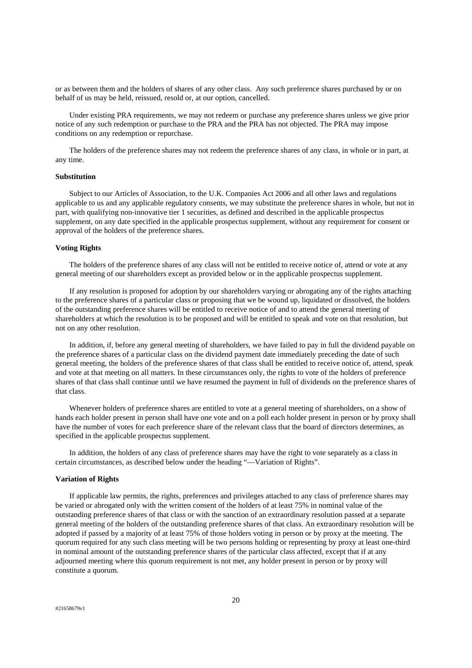or as between them and the holders of shares of any other class. Any such preference shares purchased by or on behalf of us may be held, reissued, resold or, at our option, cancelled.

Under existing PRA requirements, we may not redeem or purchase any preference shares unless we give prior notice of any such redemption or purchase to the PRA and the PRA has not objected. The PRA may impose conditions on any redemption or repurchase.

The holders of the preference shares may not redeem the preference shares of any class, in whole or in part, at any time.

# **Substitution**

Subject to our Articles of Association, to the U.K. Companies Act 2006 and all other laws and regulations applicable to us and any applicable regulatory consents, we may substitute the preference shares in whole, but not in part, with qualifying non-innovative tier 1 securities, as defined and described in the applicable prospectus supplement, on any date specified in the applicable prospectus supplement, without any requirement for consent or approval of the holders of the preference shares.

# **Voting Rights**

The holders of the preference shares of any class will not be entitled to receive notice of, attend or vote at any general meeting of our shareholders except as provided below or in the applicable prospectus supplement.

If any resolution is proposed for adoption by our shareholders varying or abrogating any of the rights attaching to the preference shares of a particular class or proposing that we be wound up, liquidated or dissolved, the holders of the outstanding preference shares will be entitled to receive notice of and to attend the general meeting of shareholders at which the resolution is to be proposed and will be entitled to speak and vote on that resolution, but not on any other resolution.

In addition, if, before any general meeting of shareholders, we have failed to pay in full the dividend payable on the preference shares of a particular class on the dividend payment date immediately preceding the date of such general meeting, the holders of the preference shares of that class shall be entitled to receive notice of, attend, speak and vote at that meeting on all matters. In these circumstances only, the rights to vote of the holders of preference shares of that class shall continue until we have resumed the payment in full of dividends on the preference shares of that class.

Whenever holders of preference shares are entitled to vote at a general meeting of shareholders, on a show of hands each holder present in person shall have one vote and on a poll each holder present in person or by proxy shall have the number of votes for each preference share of the relevant class that the board of directors determines, as specified in the applicable prospectus supplement.

In addition, the holders of any class of preference shares may have the right to vote separately as a class in certain circumstances, as described below under the heading "—Variation of Rights".

#### **Variation of Rights**

If applicable law permits, the rights, preferences and privileges attached to any class of preference shares may be varied or abrogated only with the written consent of the holders of at least 75% in nominal value of the outstanding preference shares of that class or with the sanction of an extraordinary resolution passed at a separate general meeting of the holders of the outstanding preference shares of that class. An extraordinary resolution will be adopted if passed by a majority of at least 75% of those holders voting in person or by proxy at the meeting. The quorum required for any such class meeting will be two persons holding or representing by proxy at least one-third in nominal amount of the outstanding preference shares of the particular class affected, except that if at any adjourned meeting where this quorum requirement is not met, any holder present in person or by proxy will constitute a quorum.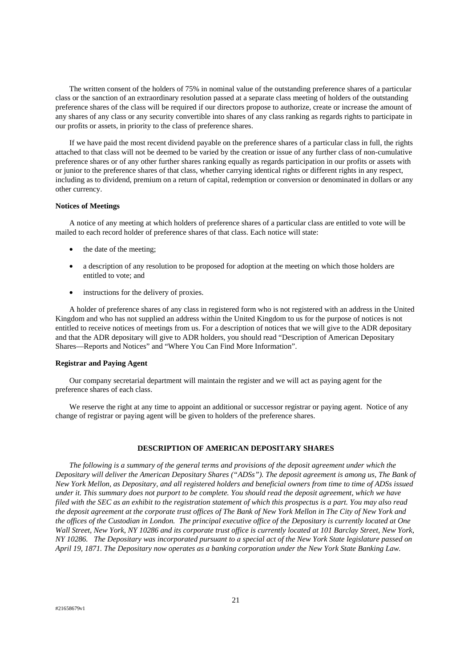The written consent of the holders of 75% in nominal value of the outstanding preference shares of a particular class or the sanction of an extraordinary resolution passed at a separate class meeting of holders of the outstanding preference shares of the class will be required if our directors propose to authorize, create or increase the amount of any shares of any class or any security convertible into shares of any class ranking as regards rights to participate in our profits or assets, in priority to the class of preference shares.

If we have paid the most recent dividend payable on the preference shares of a particular class in full, the rights attached to that class will not be deemed to be varied by the creation or issue of any further class of non-cumulative preference shares or of any other further shares ranking equally as regards participation in our profits or assets with or junior to the preference shares of that class, whether carrying identical rights or different rights in any respect, including as to dividend, premium on a return of capital, redemption or conversion or denominated in dollars or any other currency.

#### **Notices of Meetings**

A notice of any meeting at which holders of preference shares of a particular class are entitled to vote will be mailed to each record holder of preference shares of that class. Each notice will state:

- the date of the meeting:
- a description of any resolution to be proposed for adoption at the meeting on which those holders are entitled to vote; and
- instructions for the delivery of proxies.

A holder of preference shares of any class in registered form who is not registered with an address in the United Kingdom and who has not supplied an address within the United Kingdom to us for the purpose of notices is not entitled to receive notices of meetings from us. For a description of notices that we will give to the ADR depositary and that the ADR depositary will give to ADR holders, you should read "Description of American Depositary Shares—Reports and Notices" and "Where You Can Find More Information".

# **Registrar and Paying Agent**

Our company secretarial department will maintain the register and we will act as paying agent for the preference shares of each class.

We reserve the right at any time to appoint an additional or successor registrar or paying agent. Notice of any change of registrar or paying agent will be given to holders of the preference shares.

# **DESCRIPTION OF AMERICAN DEPOSITARY SHARES**

*The following is a summary of the general terms and provisions of the deposit agreement under which the Depositary will deliver the American Depositary Shares ("ADSs"). The deposit agreement is among us, The Bank of New York Mellon, as Depositary, and all registered holders and beneficial owners from time to time of ADSs issued under it. This summary does not purport to be complete. You should read the deposit agreement, which we have filed with the SEC as an exhibit to the registration statement of which this prospectus is a part. You may also read the deposit agreement at the corporate trust offices of The Bank of New York Mellon in The City of New York and the offices of the Custodian in London. The principal executive office of the Depositary is currently located at One Wall Street, New York, NY 10286 and its corporate trust office is currently located at 101 Barclay Street, New York, NY 10286. The Depositary was incorporated pursuant to a special act of the New York State legislature passed on April 19, 1871. The Depositary now operates as a banking corporation under the New York State Banking Law.*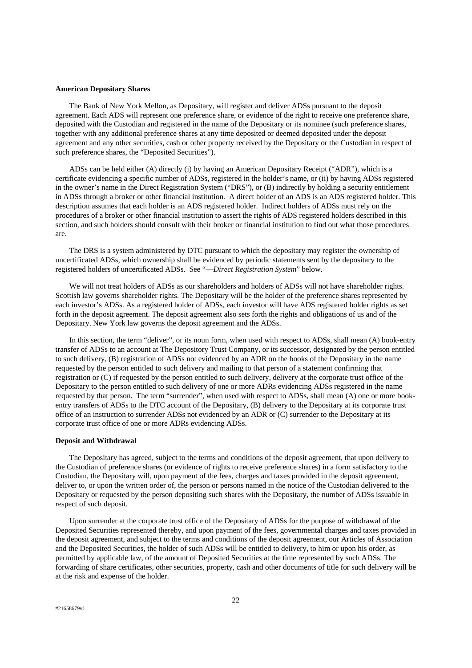#### **American Depositary Shares**

The Bank of New York Mellon, as Depositary, will register and deliver ADSs pursuant to the deposit agreement. Each ADS will represent one preference share, or evidence of the right to receive one preference share, deposited with the Custodian and registered in the name of the Depositary or its nominee (such preference shares, together with any additional preference shares at any time deposited or deemed deposited under the deposit agreement and any other securities, cash or other property received by the Depositary or the Custodian in respect of such preference shares, the "Deposited Securities").

ADSs can be held either (A) directly (i) by having an American Depositary Receipt ("ADR"), which is a certificate evidencing a specific number of ADSs, registered in the holder's name, or (ii) by having ADSs registered in the owner's name in the Direct Registration System ("DRS"), or (B) indirectly by holding a security entitlement in ADSs through a broker or other financial institution. A direct holder of an ADS is an ADS registered holder. This description assumes that each holder is an ADS registered holder. Indirect holders of ADSs must rely on the procedures of a broker or other financial institution to assert the rights of ADS registered holders described in this section, and such holders should consult with their broker or financial institution to find out what those procedures are.

The DRS is a system administered by DTC pursuant to which the depositary may register the ownership of uncertificated ADSs, which ownership shall be evidenced by periodic statements sent by the depositary to the registered holders of uncertificated ADSs. See "—*Direct Registration System*" below.

We will not treat holders of ADSs as our shareholders and holders of ADSs will not have shareholder rights. Scottish law governs shareholder rights. The Depositary will be the holder of the preference shares represented by each investor's ADSs. As a registered holder of ADSs, each investor will have ADS registered holder rights as set forth in the deposit agreement. The deposit agreement also sets forth the rights and obligations of us and of the Depositary. New York law governs the deposit agreement and the ADSs.

In this section, the term "deliver", or its noun form, when used with respect to ADSs, shall mean (A) book-entry transfer of ADSs to an account at The Depository Trust Company, or its successor, designated by the person entitled to such delivery, (B) registration of ADSs not evidenced by an ADR on the books of the Depositary in the name requested by the person entitled to such delivery and mailing to that person of a statement confirming that registration or (C) if requested by the person entitled to such delivery, delivery at the corporate trust office of the Depositary to the person entitled to such delivery of one or more ADRs evidencing ADSs registered in the name requested by that person. The term "surrender", when used with respect to ADSs, shall mean (A) one or more bookentry transfers of ADSs to the DTC account of the Depositary, (B) delivery to the Depositary at its corporate trust office of an instruction to surrender ADSs not evidenced by an ADR or (C) surrender to the Depositary at its corporate trust office of one or more ADRs evidencing ADSs.

#### **Deposit and Withdrawal**

The Depositary has agreed, subject to the terms and conditions of the deposit agreement, that upon delivery to the Custodian of preference shares (or evidence of rights to receive preference shares) in a form satisfactory to the Custodian, the Depositary will, upon payment of the fees, charges and taxes provided in the deposit agreement, deliver to, or upon the written order of, the person or persons named in the notice of the Custodian delivered to the Depositary or requested by the person depositing such shares with the Depositary, the number of ADSs issuable in respect of such deposit.

Upon surrender at the corporate trust office of the Depositary of ADSs for the purpose of withdrawal of the Deposited Securities represented thereby, and upon payment of the fees, governmental charges and taxes provided in the deposit agreement, and subject to the terms and conditions of the deposit agreement, our Articles of Association and the Deposited Securities, the holder of such ADSs will be entitled to delivery, to him or upon his order, as permitted by applicable law, of the amount of Deposited Securities at the time represented by such ADSs. The forwarding of share certificates, other securities, property, cash and other documents of title for such delivery will be at the risk and expense of the holder.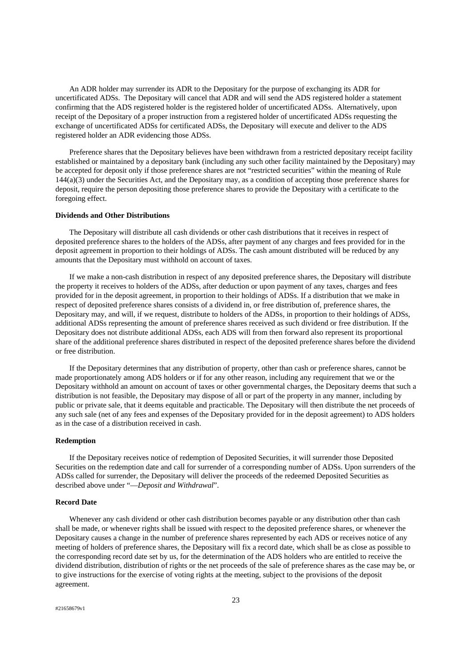An ADR holder may surrender its ADR to the Depositary for the purpose of exchanging its ADR for uncertificated ADSs. The Depositary will cancel that ADR and will send the ADS registered holder a statement confirming that the ADS registered holder is the registered holder of uncertificated ADSs. Alternatively, upon receipt of the Depositary of a proper instruction from a registered holder of uncertificated ADSs requesting the exchange of uncertificated ADSs for certificated ADSs, the Depositary will execute and deliver to the ADS registered holder an ADR evidencing those ADSs.

Preference shares that the Depositary believes have been withdrawn from a restricted depositary receipt facility established or maintained by a depositary bank (including any such other facility maintained by the Depositary) may be accepted for deposit only if those preference shares are not "restricted securities" within the meaning of Rule 144(a)(3) under the Securities Act, and the Depositary may, as a condition of accepting those preference shares for deposit, require the person depositing those preference shares to provide the Depositary with a certificate to the foregoing effect.

# **Dividends and Other Distributions**

The Depositary will distribute all cash dividends or other cash distributions that it receives in respect of deposited preference shares to the holders of the ADSs, after payment of any charges and fees provided for in the deposit agreement in proportion to their holdings of ADSs. The cash amount distributed will be reduced by any amounts that the Depositary must withhold on account of taxes.

If we make a non-cash distribution in respect of any deposited preference shares, the Depositary will distribute the property it receives to holders of the ADSs, after deduction or upon payment of any taxes, charges and fees provided for in the deposit agreement, in proportion to their holdings of ADSs. If a distribution that we make in respect of deposited preference shares consists of a dividend in, or free distribution of, preference shares, the Depositary may, and will, if we request, distribute to holders of the ADSs, in proportion to their holdings of ADSs, additional ADSs representing the amount of preference shares received as such dividend or free distribution. If the Depositary does not distribute additional ADSs, each ADS will from then forward also represent its proportional share of the additional preference shares distributed in respect of the deposited preference shares before the dividend or free distribution.

If the Depositary determines that any distribution of property, other than cash or preference shares, cannot be made proportionately among ADS holders or if for any other reason, including any requirement that we or the Depositary withhold an amount on account of taxes or other governmental charges, the Depositary deems that such a distribution is not feasible, the Depositary may dispose of all or part of the property in any manner, including by public or private sale, that it deems equitable and practicable. The Depositary will then distribute the net proceeds of any such sale (net of any fees and expenses of the Depositary provided for in the deposit agreement) to ADS holders as in the case of a distribution received in cash.

#### **Redemption**

If the Depositary receives notice of redemption of Deposited Securities, it will surrender those Deposited Securities on the redemption date and call for surrender of a corresponding number of ADSs. Upon surrenders of the ADSs called for surrender, the Depositary will deliver the proceeds of the redeemed Deposited Securities as described above under "—*Deposit and Withdrawal*".

#### **Record Date**

Whenever any cash dividend or other cash distribution becomes payable or any distribution other than cash shall be made, or whenever rights shall be issued with respect to the deposited preference shares, or whenever the Depositary causes a change in the number of preference shares represented by each ADS or receives notice of any meeting of holders of preference shares, the Depositary will fix a record date, which shall be as close as possible to the corresponding record date set by us, for the determination of the ADS holders who are entitled to receive the dividend distribution, distribution of rights or the net proceeds of the sale of preference shares as the case may be, or to give instructions for the exercise of voting rights at the meeting, subject to the provisions of the deposit agreement.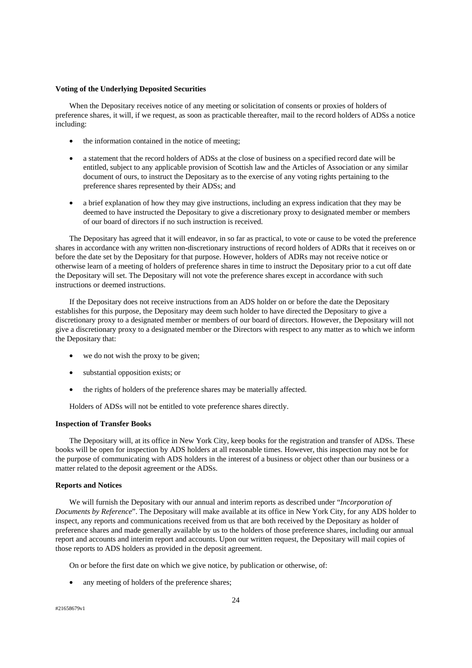# **Voting of the Underlying Deposited Securities**

When the Depositary receives notice of any meeting or solicitation of consents or proxies of holders of preference shares, it will, if we request, as soon as practicable thereafter, mail to the record holders of ADSs a notice including:

- the information contained in the notice of meeting;
- a statement that the record holders of ADSs at the close of business on a specified record date will be entitled, subject to any applicable provision of Scottish law and the Articles of Association or any similar document of ours, to instruct the Depositary as to the exercise of any voting rights pertaining to the preference shares represented by their ADSs; and
- a brief explanation of how they may give instructions, including an express indication that they may be deemed to have instructed the Depositary to give a discretionary proxy to designated member or members of our board of directors if no such instruction is received.

The Depositary has agreed that it will endeavor, in so far as practical, to vote or cause to be voted the preference shares in accordance with any written non-discretionary instructions of record holders of ADRs that it receives on or before the date set by the Depositary for that purpose. However, holders of ADRs may not receive notice or otherwise learn of a meeting of holders of preference shares in time to instruct the Depositary prior to a cut off date the Depositary will set. The Depositary will not vote the preference shares except in accordance with such instructions or deemed instructions.

If the Depositary does not receive instructions from an ADS holder on or before the date the Depositary establishes for this purpose, the Depositary may deem such holder to have directed the Depositary to give a discretionary proxy to a designated member or members of our board of directors. However, the Depositary will not give a discretionary proxy to a designated member or the Directors with respect to any matter as to which we inform the Depositary that:

- we do not wish the proxy to be given;
- substantial opposition exists; or
- the rights of holders of the preference shares may be materially affected.

Holders of ADSs will not be entitled to vote preference shares directly.

# **Inspection of Transfer Books**

The Depositary will, at its office in New York City, keep books for the registration and transfer of ADSs. These books will be open for inspection by ADS holders at all reasonable times. However, this inspection may not be for the purpose of communicating with ADS holders in the interest of a business or object other than our business or a matter related to the deposit agreement or the ADSs.

## **Reports and Notices**

We will furnish the Depositary with our annual and interim reports as described under "*Incorporation of Documents by Reference*". The Depositary will make available at its office in New York City, for any ADS holder to inspect, any reports and communications received from us that are both received by the Depositary as holder of preference shares and made generally available by us to the holders of those preference shares, including our annual report and accounts and interim report and accounts. Upon our written request, the Depositary will mail copies of those reports to ADS holders as provided in the deposit agreement.

On or before the first date on which we give notice, by publication or otherwise, of:

any meeting of holders of the preference shares;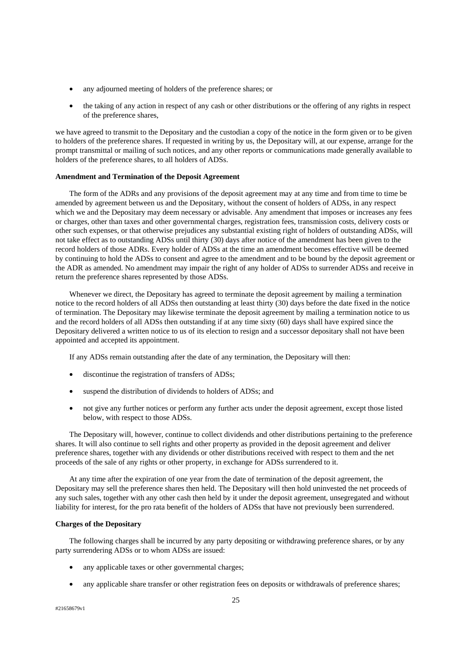- any adjourned meeting of holders of the preference shares; or
- the taking of any action in respect of any cash or other distributions or the offering of any rights in respect of the preference shares,

we have agreed to transmit to the Depositary and the custodian a copy of the notice in the form given or to be given to holders of the preference shares. If requested in writing by us, the Depositary will, at our expense, arrange for the prompt transmittal or mailing of such notices, and any other reports or communications made generally available to holders of the preference shares, to all holders of ADSs.

# **Amendment and Termination of the Deposit Agreement**

The form of the ADRs and any provisions of the deposit agreement may at any time and from time to time be amended by agreement between us and the Depositary, without the consent of holders of ADSs, in any respect which we and the Depositary may deem necessary or advisable. Any amendment that imposes or increases any fees or charges, other than taxes and other governmental charges, registration fees, transmission costs, delivery costs or other such expenses, or that otherwise prejudices any substantial existing right of holders of outstanding ADSs, will not take effect as to outstanding ADSs until thirty (30) days after notice of the amendment has been given to the record holders of those ADRs. Every holder of ADSs at the time an amendment becomes effective will be deemed by continuing to hold the ADSs to consent and agree to the amendment and to be bound by the deposit agreement or the ADR as amended. No amendment may impair the right of any holder of ADSs to surrender ADSs and receive in return the preference shares represented by those ADSs.

Whenever we direct, the Depositary has agreed to terminate the deposit agreement by mailing a termination notice to the record holders of all ADSs then outstanding at least thirty (30) days before the date fixed in the notice of termination. The Depositary may likewise terminate the deposit agreement by mailing a termination notice to us and the record holders of all ADSs then outstanding if at any time sixty (60) days shall have expired since the Depositary delivered a written notice to us of its election to resign and a successor depositary shall not have been appointed and accepted its appointment.

If any ADSs remain outstanding after the date of any termination, the Depositary will then:

- discontinue the registration of transfers of ADSs;
- suspend the distribution of dividends to holders of ADSs; and
- not give any further notices or perform any further acts under the deposit agreement, except those listed below, with respect to those ADSs.

The Depositary will, however, continue to collect dividends and other distributions pertaining to the preference shares. It will also continue to sell rights and other property as provided in the deposit agreement and deliver preference shares, together with any dividends or other distributions received with respect to them and the net proceeds of the sale of any rights or other property, in exchange for ADSs surrendered to it.

At any time after the expiration of one year from the date of termination of the deposit agreement, the Depositary may sell the preference shares then held. The Depositary will then hold uninvested the net proceeds of any such sales, together with any other cash then held by it under the deposit agreement, unsegregated and without liability for interest, for the pro rata benefit of the holders of ADSs that have not previously been surrendered.

# **Charges of the Depositary**

The following charges shall be incurred by any party depositing or withdrawing preference shares, or by any party surrendering ADSs or to whom ADSs are issued:

- any applicable taxes or other governmental charges;
- any applicable share transfer or other registration fees on deposits or withdrawals of preference shares;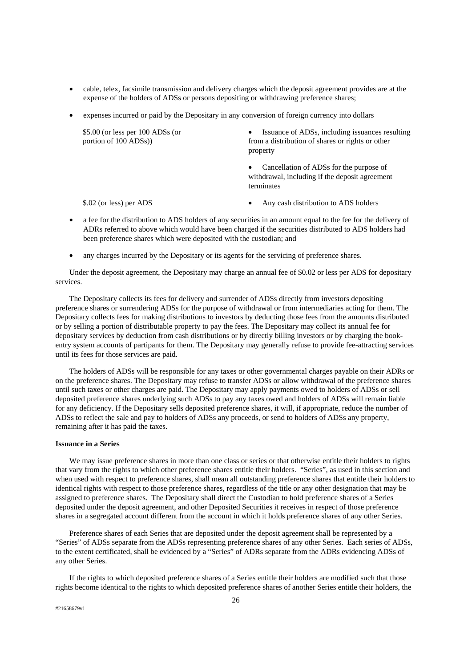- cable, telex, facsimile transmission and delivery charges which the deposit agreement provides are at the expense of the holders of ADSs or persons depositing or withdrawing preference shares;
- expenses incurred or paid by the Depositary in any conversion of foreign currency into dollars

| $$5.00$ (or less per 100 ADSs (or<br>portion of 100 ADSs) | Issuance of ADSs, including issuances resulting<br>$\bullet$<br>from a distribution of shares or rights or other<br>property |
|-----------------------------------------------------------|------------------------------------------------------------------------------------------------------------------------------|
|                                                           | Cancellation of ADSs for the purpose of<br>$\bullet$<br>withdrawal, including if the deposit agreement<br>terminates         |
| \$.02 (or less) per ADS                                   | Any cash distribution to ADS holders<br>٠                                                                                    |

- a fee for the distribution to ADS holders of any securities in an amount equal to the fee for the delivery of ADRs referred to above which would have been charged if the securities distributed to ADS holders had been preference shares which were deposited with the custodian; and
- any charges incurred by the Depositary or its agents for the servicing of preference shares.

Under the deposit agreement, the Depositary may charge an annual fee of \$0.02 or less per ADS for depositary services.

The Depositary collects its fees for delivery and surrender of ADSs directly from investors depositing preference shares or surrendering ADSs for the purpose of withdrawal or from intermediaries acting for them. The Depositary collects fees for making distributions to investors by deducting those fees from the amounts distributed or by selling a portion of distributable property to pay the fees. The Depositary may collect its annual fee for depositary services by deduction from cash distributions or by directly billing investors or by charging the bookentry system accounts of partipants for them. The Depositary may generally refuse to provide fee-attracting services until its fees for those services are paid.

The holders of ADSs will be responsible for any taxes or other governmental charges payable on their ADRs or on the preference shares. The Depositary may refuse to transfer ADSs or allow withdrawal of the preference shares until such taxes or other charges are paid. The Depositary may apply payments owed to holders of ADSs or sell deposited preference shares underlying such ADSs to pay any taxes owed and holders of ADSs will remain liable for any deficiency. If the Depositary sells deposited preference shares, it will, if appropriate, reduce the number of ADSs to reflect the sale and pay to holders of ADSs any proceeds, or send to holders of ADSs any property, remaining after it has paid the taxes.

#### **Issuance in a Series**

We may issue preference shares in more than one class or series or that otherwise entitle their holders to rights that vary from the rights to which other preference shares entitle their holders. "Series", as used in this section and when used with respect to preference shares, shall mean all outstanding preference shares that entitle their holders to identical rights with respect to those preference shares, regardless of the title or any other designation that may be assigned to preference shares. The Depositary shall direct the Custodian to hold preference shares of a Series deposited under the deposit agreement, and other Deposited Securities it receives in respect of those preference shares in a segregated account different from the account in which it holds preference shares of any other Series.

Preference shares of each Series that are deposited under the deposit agreement shall be represented by a "Series" of ADSs separate from the ADSs representing preference shares of any other Series. Each series of ADSs, to the extent certificated, shall be evidenced by a "Series" of ADRs separate from the ADRs evidencing ADSs of any other Series.

If the rights to which deposited preference shares of a Series entitle their holders are modified such that those rights become identical to the rights to which deposited preference shares of another Series entitle their holders, the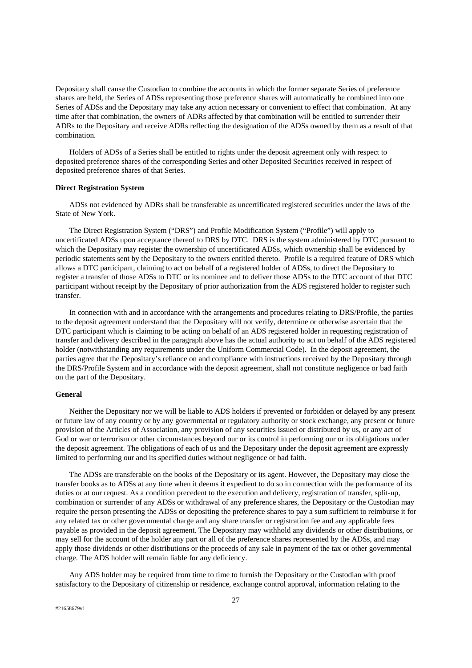Depositary shall cause the Custodian to combine the accounts in which the former separate Series of preference shares are held, the Series of ADSs representing those preference shares will automatically be combined into one Series of ADSs and the Depositary may take any action necessary or convenient to effect that combination. At any time after that combination, the owners of ADRs affected by that combination will be entitled to surrender their ADRs to the Depositary and receive ADRs reflecting the designation of the ADSs owned by them as a result of that combination.

Holders of ADSs of a Series shall be entitled to rights under the deposit agreement only with respect to deposited preference shares of the corresponding Series and other Deposited Securities received in respect of deposited preference shares of that Series.

# **Direct Registration System**

ADSs not evidenced by ADRs shall be transferable as uncertificated registered securities under the laws of the State of New York.

The Direct Registration System ("DRS") and Profile Modification System ("Profile") will apply to uncertificated ADSs upon acceptance thereof to DRS by DTC. DRS is the system administered by DTC pursuant to which the Depositary may register the ownership of uncertificated ADSs, which ownership shall be evidenced by periodic statements sent by the Depositary to the owners entitled thereto. Profile is a required feature of DRS which allows a DTC participant, claiming to act on behalf of a registered holder of ADSs, to direct the Depositary to register a transfer of those ADSs to DTC or its nominee and to deliver those ADSs to the DTC account of that DTC participant without receipt by the Depositary of prior authorization from the ADS registered holder to register such transfer.

In connection with and in accordance with the arrangements and procedures relating to DRS/Profile, the parties to the deposit agreement understand that the Depositary will not verify, determine or otherwise ascertain that the DTC participant which is claiming to be acting on behalf of an ADS registered holder in requesting registration of transfer and delivery described in the paragraph above has the actual authority to act on behalf of the ADS registered holder (notwithstanding any requirements under the Uniform Commercial Code). In the deposit agreement, the parties agree that the Depositary's reliance on and compliance with instructions received by the Depositary through the DRS/Profile System and in accordance with the deposit agreement, shall not constitute negligence or bad faith on the part of the Depositary.

# **General**

Neither the Depositary nor we will be liable to ADS holders if prevented or forbidden or delayed by any present or future law of any country or by any governmental or regulatory authority or stock exchange, any present or future provision of the Articles of Association, any provision of any securities issued or distributed by us, or any act of God or war or terrorism or other circumstances beyond our or its control in performing our or its obligations under the deposit agreement. The obligations of each of us and the Depositary under the deposit agreement are expressly limited to performing our and its specified duties without negligence or bad faith.

The ADSs are transferable on the books of the Depositary or its agent. However, the Depositary may close the transfer books as to ADSs at any time when it deems it expedient to do so in connection with the performance of its duties or at our request. As a condition precedent to the execution and delivery, registration of transfer, split-up, combination or surrender of any ADSs or withdrawal of any preference shares, the Depositary or the Custodian may require the person presenting the ADSs or depositing the preference shares to pay a sum sufficient to reimburse it for any related tax or other governmental charge and any share transfer or registration fee and any applicable fees payable as provided in the deposit agreement. The Depositary may withhold any dividends or other distributions, or may sell for the account of the holder any part or all of the preference shares represented by the ADSs, and may apply those dividends or other distributions or the proceeds of any sale in payment of the tax or other governmental charge. The ADS holder will remain liable for any deficiency.

Any ADS holder may be required from time to time to furnish the Depositary or the Custodian with proof satisfactory to the Depositary of citizenship or residence, exchange control approval, information relating to the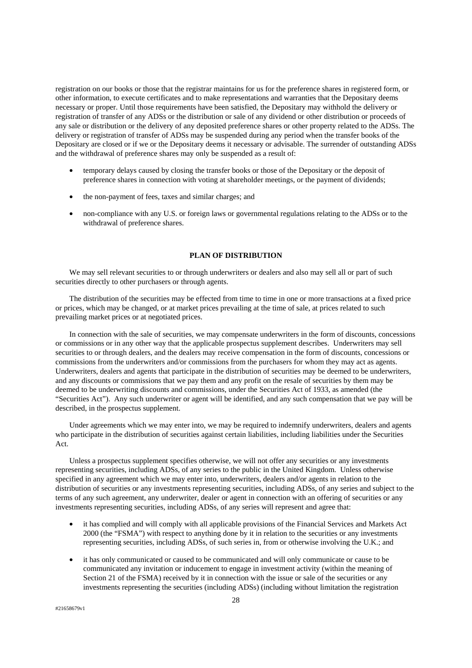registration on our books or those that the registrar maintains for us for the preference shares in registered form, or other information, to execute certificates and to make representations and warranties that the Depositary deems necessary or proper. Until those requirements have been satisfied, the Depositary may withhold the delivery or registration of transfer of any ADSs or the distribution or sale of any dividend or other distribution or proceeds of any sale or distribution or the delivery of any deposited preference shares or other property related to the ADSs. The delivery or registration of transfer of ADSs may be suspended during any period when the transfer books of the Depositary are closed or if we or the Depositary deems it necessary or advisable. The surrender of outstanding ADSs and the withdrawal of preference shares may only be suspended as a result of:

- temporary delays caused by closing the transfer books or those of the Depositary or the deposit of preference shares in connection with voting at shareholder meetings, or the payment of dividends;
- the non-payment of fees, taxes and similar charges; and
- non-compliance with any U.S. or foreign laws or governmental regulations relating to the ADSs or to the withdrawal of preference shares.

# **PLAN OF DISTRIBUTION**

We may sell relevant securities to or through underwriters or dealers and also may sell all or part of such securities directly to other purchasers or through agents.

The distribution of the securities may be effected from time to time in one or more transactions at a fixed price or prices, which may be changed, or at market prices prevailing at the time of sale, at prices related to such prevailing market prices or at negotiated prices.

In connection with the sale of securities, we may compensate underwriters in the form of discounts, concessions or commissions or in any other way that the applicable prospectus supplement describes. Underwriters may sell securities to or through dealers, and the dealers may receive compensation in the form of discounts, concessions or commissions from the underwriters and/or commissions from the purchasers for whom they may act as agents. Underwriters, dealers and agents that participate in the distribution of securities may be deemed to be underwriters, and any discounts or commissions that we pay them and any profit on the resale of securities by them may be deemed to be underwriting discounts and commissions, under the Securities Act of 1933, as amended (the "Securities Act"). Any such underwriter or agent will be identified, and any such compensation that we pay will be described, in the prospectus supplement.

Under agreements which we may enter into, we may be required to indemnify underwriters, dealers and agents who participate in the distribution of securities against certain liabilities, including liabilities under the Securities Act.

Unless a prospectus supplement specifies otherwise, we will not offer any securities or any investments representing securities, including ADSs, of any series to the public in the United Kingdom. Unless otherwise specified in any agreement which we may enter into, underwriters, dealers and/or agents in relation to the distribution of securities or any investments representing securities, including ADSs, of any series and subject to the terms of any such agreement, any underwriter, dealer or agent in connection with an offering of securities or any investments representing securities, including ADSs, of any series will represent and agree that:

- it has complied and will comply with all applicable provisions of the Financial Services and Markets Act 2000 (the "FSMA") with respect to anything done by it in relation to the securities or any investments representing securities, including ADSs, of such series in, from or otherwise involving the U.K.; and
- it has only communicated or caused to be communicated and will only communicate or cause to be communicated any invitation or inducement to engage in investment activity (within the meaning of Section 21 of the FSMA) received by it in connection with the issue or sale of the securities or any investments representing the securities (including ADSs) (including without limitation the registration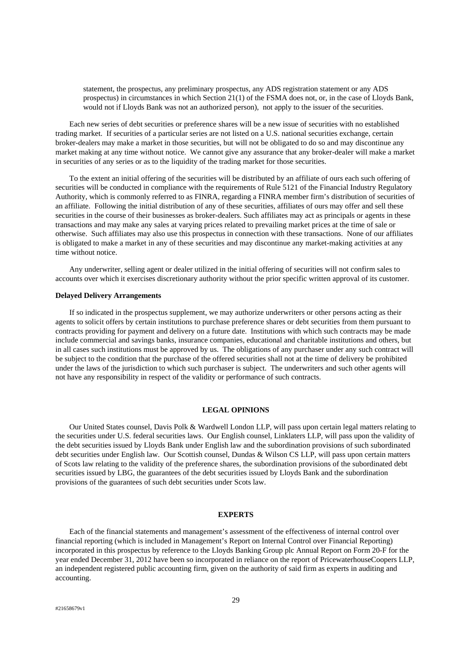statement, the prospectus, any preliminary prospectus, any ADS registration statement or any ADS prospectus) in circumstances in which Section 21(1) of the FSMA does not, or, in the case of Lloyds Bank, would not if Lloyds Bank was not an authorized person), not apply to the issuer of the securities.

Each new series of debt securities or preference shares will be a new issue of securities with no established trading market. If securities of a particular series are not listed on a U.S. national securities exchange, certain broker-dealers may make a market in those securities, but will not be obligated to do so and may discontinue any market making at any time without notice. We cannot give any assurance that any broker-dealer will make a market in securities of any series or as to the liquidity of the trading market for those securities.

To the extent an initial offering of the securities will be distributed by an affiliate of ours each such offering of securities will be conducted in compliance with the requirements of Rule 5121 of the Financial Industry Regulatory Authority, which is commonly referred to as FINRA, regarding a FINRA member firm's distribution of securities of an affiliate. Following the initial distribution of any of these securities, affiliates of ours may offer and sell these securities in the course of their businesses as broker-dealers. Such affiliates may act as principals or agents in these transactions and may make any sales at varying prices related to prevailing market prices at the time of sale or otherwise. Such affiliates may also use this prospectus in connection with these transactions. None of our affiliates is obligated to make a market in any of these securities and may discontinue any market-making activities at any time without notice.

Any underwriter, selling agent or dealer utilized in the initial offering of securities will not confirm sales to accounts over which it exercises discretionary authority without the prior specific written approval of its customer.

# **Delayed Delivery Arrangements**

If so indicated in the prospectus supplement, we may authorize underwriters or other persons acting as their agents to solicit offers by certain institutions to purchase preference shares or debt securities from them pursuant to contracts providing for payment and delivery on a future date. Institutions with which such contracts may be made include commercial and savings banks, insurance companies, educational and charitable institutions and others, but in all cases such institutions must be approved by us. The obligations of any purchaser under any such contract will be subject to the condition that the purchase of the offered securities shall not at the time of delivery be prohibited under the laws of the jurisdiction to which such purchaser is subject. The underwriters and such other agents will not have any responsibility in respect of the validity or performance of such contracts.

#### **LEGAL OPINIONS**

Our United States counsel, Davis Polk & Wardwell London LLP, will pass upon certain legal matters relating to the securities under U.S. federal securities laws. Our English counsel, Linklaters LLP, will pass upon the validity of the debt securities issued by Lloyds Bank under English law and the subordination provisions of such subordinated debt securities under English law. Our Scottish counsel, Dundas & Wilson CS LLP, will pass upon certain matters of Scots law relating to the validity of the preference shares, the subordination provisions of the subordinated debt securities issued by LBG, the guarantees of the debt securities issued by Lloyds Bank and the subordination provisions of the guarantees of such debt securities under Scots law.

#### **EXPERTS**

Each of the financial statements and management's assessment of the effectiveness of internal control over financial reporting (which is included in Management's Report on Internal Control over Financial Reporting) incorporated in this prospectus by reference to the Lloyds Banking Group plc Annual Report on Form 20-F for the year ended December 31, 2012 have been so incorporated in reliance on the report of PricewaterhouseCoopers LLP, an independent registered public accounting firm, given on the authority of said firm as experts in auditing and accounting.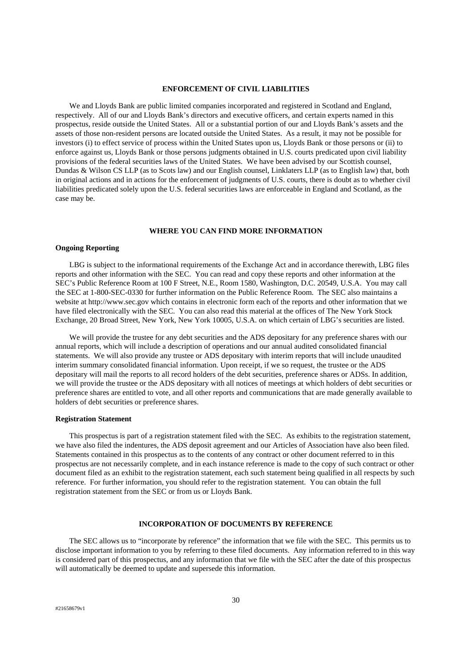#### **ENFORCEMENT OF CIVIL LIABILITIES**

We and Lloyds Bank are public limited companies incorporated and registered in Scotland and England, respectively. All of our and Lloyds Bank's directors and executive officers, and certain experts named in this prospectus, reside outside the United States. All or a substantial portion of our and Lloyds Bank's assets and the assets of those non-resident persons are located outside the United States. As a result, it may not be possible for investors (i) to effect service of process within the United States upon us, Lloyds Bank or those persons or (ii) to enforce against us, Lloyds Bank or those persons judgments obtained in U.S. courts predicated upon civil liability provisions of the federal securities laws of the United States. We have been advised by our Scottish counsel, Dundas & Wilson CS LLP (as to Scots law) and our English counsel, Linklaters LLP (as to English law) that, both in original actions and in actions for the enforcement of judgments of U.S. courts, there is doubt as to whether civil liabilities predicated solely upon the U.S. federal securities laws are enforceable in England and Scotland, as the case may be.

# **WHERE YOU CAN FIND MORE INFORMATION**

# **Ongoing Reporting**

LBG is subject to the informational requirements of the Exchange Act and in accordance therewith, LBG files reports and other information with the SEC. You can read and copy these reports and other information at the SEC's Public Reference Room at 100 F Street, N.E., Room 1580, Washington, D.C. 20549, U.S.A. You may call the SEC at 1-800-SEC-0330 for further information on the Public Reference Room. The SEC also maintains a website at http://www.sec.gov which contains in electronic form each of the reports and other information that we have filed electronically with the SEC. You can also read this material at the offices of The New York Stock Exchange, 20 Broad Street, New York, New York 10005, U.S.A. on which certain of LBG's securities are listed.

We will provide the trustee for any debt securities and the ADS depositary for any preference shares with our annual reports, which will include a description of operations and our annual audited consolidated financial statements. We will also provide any trustee or ADS depositary with interim reports that will include unaudited interim summary consolidated financial information. Upon receipt, if we so request, the trustee or the ADS depositary will mail the reports to all record holders of the debt securities, preference shares or ADSs. In addition, we will provide the trustee or the ADS depositary with all notices of meetings at which holders of debt securities or preference shares are entitled to vote, and all other reports and communications that are made generally available to holders of debt securities or preference shares.

# **Registration Statement**

This prospectus is part of a registration statement filed with the SEC. As exhibits to the registration statement, we have also filed the indentures, the ADS deposit agreement and our Articles of Association have also been filed. Statements contained in this prospectus as to the contents of any contract or other document referred to in this prospectus are not necessarily complete, and in each instance reference is made to the copy of such contract or other document filed as an exhibit to the registration statement, each such statement being qualified in all respects by such reference. For further information, you should refer to the registration statement. You can obtain the full registration statement from the SEC or from us or Lloyds Bank.

#### **INCORPORATION OF DOCUMENTS BY REFERENCE**

The SEC allows us to "incorporate by reference" the information that we file with the SEC. This permits us to disclose important information to you by referring to these filed documents. Any information referred to in this way is considered part of this prospectus, and any information that we file with the SEC after the date of this prospectus will automatically be deemed to update and supersede this information.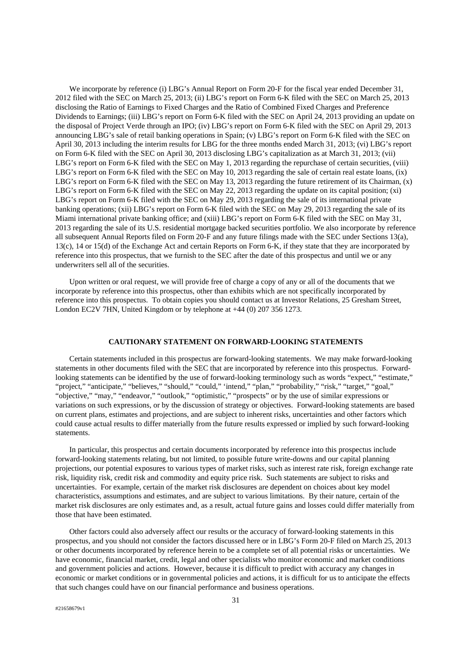We incorporate by reference (i) LBG's Annual Report on Form 20-F for the fiscal year ended December 31, 2012 filed with the SEC on March 25, 2013; (ii) LBG's report on Form 6-K filed with the SEC on March 25, 2013 disclosing the Ratio of Earnings to Fixed Charges and the Ratio of Combined Fixed Charges and Preference Dividends to Earnings; (iii) LBG's report on Form 6-K filed with the SEC on April 24, 2013 providing an update on the disposal of Project Verde through an IPO; (iv) LBG's report on Form 6-K filed with the SEC on April 29, 2013 announcing LBG's sale of retail banking operations in Spain; (v) LBG's report on Form 6-K filed with the SEC on April 30, 2013 including the interim results for LBG for the three months ended March 31, 2013; (vi) LBG's report on Form 6-K filed with the SEC on April 30, 2013 disclosing LBG's capitalization as at March 31, 2013; (vii) LBG's report on Form 6-K filed with the SEC on May 1, 2013 regarding the repurchase of certain securities, (viii) LBG's report on Form 6-K filed with the SEC on May 10, 2013 regarding the sale of certain real estate loans, (ix) LBG's report on Form 6-K filed with the SEC on May 13, 2013 regarding the future retirement of its Chairman, (x) LBG's report on Form 6-K filed with the SEC on May 22, 2013 regarding the update on its capital position; (xi) LBG's report on Form 6-K filed with the SEC on May 29, 2013 regarding the sale of its international private banking operations; (xii) LBG's report on Form 6-K filed with the SEC on May 29, 2013 regarding the sale of its Miami international private banking office; and (xiii) LBG's report on Form 6-K filed with the SEC on May 31, 2013 regarding the sale of its U.S. residential mortgage backed securities portfolio. We also incorporate by reference all subsequent Annual Reports filed on Form 20-F and any future filings made with the SEC under Sections 13(a), 13(c), 14 or 15(d) of the Exchange Act and certain Reports on Form 6-K, if they state that they are incorporated by reference into this prospectus, that we furnish to the SEC after the date of this prospectus and until we or any underwriters sell all of the securities.

Upon written or oral request, we will provide free of charge a copy of any or all of the documents that we incorporate by reference into this prospectus, other than exhibits which are not specifically incorporated by reference into this prospectus. To obtain copies you should contact us at Investor Relations, 25 Gresham Street, London EC2V 7HN, United Kingdom or by telephone at +44 (0) 207 356 1273.

# **CAUTIONARY STATEMENT ON FORWARD-LOOKING STATEMENTS**

Certain statements included in this prospectus are forward-looking statements. We may make forward-looking statements in other documents filed with the SEC that are incorporated by reference into this prospectus. Forwardlooking statements can be identified by the use of forward-looking terminology such as words "expect," "estimate," "project," "anticipate," "believes," "should," "could," 'intend," "plan," "probability," "risk," "target," "goal," "objective," "may," "endeavor," "outlook," "optimistic," "prospects" or by the use of similar expressions or variations on such expressions, or by the discussion of strategy or objectives. Forward-looking statements are based on current plans, estimates and projections, and are subject to inherent risks, uncertainties and other factors which could cause actual results to differ materially from the future results expressed or implied by such forward-looking statements.

In particular, this prospectus and certain documents incorporated by reference into this prospectus include forward-looking statements relating, but not limited, to possible future write-downs and our capital planning projections, our potential exposures to various types of market risks, such as interest rate risk, foreign exchange rate risk, liquidity risk, credit risk and commodity and equity price risk. Such statements are subject to risks and uncertainties. For example, certain of the market risk disclosures are dependent on choices about key model characteristics, assumptions and estimates, and are subject to various limitations. By their nature, certain of the market risk disclosures are only estimates and, as a result, actual future gains and losses could differ materially from those that have been estimated.

Other factors could also adversely affect our results or the accuracy of forward-looking statements in this prospectus, and you should not consider the factors discussed here or in LBG's Form 20-F filed on March 25, 2013 or other documents incorporated by reference herein to be a complete set of all potential risks or uncertainties. We have economic, financial market, credit, legal and other specialists who monitor economic and market conditions and government policies and actions. However, because it is difficult to predict with accuracy any changes in economic or market conditions or in governmental policies and actions, it is difficult for us to anticipate the effects that such changes could have on our financial performance and business operations.